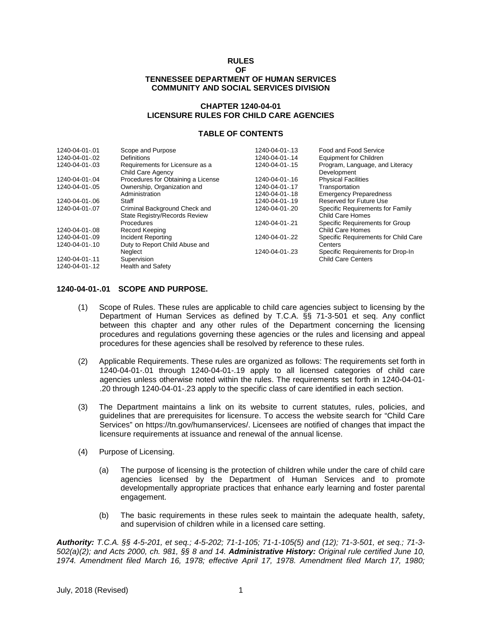#### **RULES**

#### **OF TENNESSEE DEPARTMENT OF HUMAN SERVICES COMMUNITY AND SOCIAL SERVICES DIVISION**

#### **CHAPTER 1240-04-01 LICENSURE RULES FOR CHILD CARE AGENCIES**

#### **TABLE OF CONTENTS**

| 1240-04-01-.01 | Scope and Purpose                  | 1240-04-01-.13 | Food and Food Service                |
|----------------|------------------------------------|----------------|--------------------------------------|
| 1240-04-01-.02 | Definitions                        | 1240-04-01-.14 | Equipment for Children               |
| 1240-04-01-.03 | Requirements for Licensure as a    | 1240-04-01-.15 | Program, Language, and Literacy      |
|                | Child Care Agency                  |                | Development                          |
| 1240-04-01-.04 | Procedures for Obtaining a License | 1240-04-01-.16 | <b>Physical Facilities</b>           |
| 1240-04-01-.05 | Ownership, Organization and        | 1240-04-01-.17 | Transportation                       |
|                | Administration                     | 1240-04-01-.18 | <b>Emergency Preparedness</b>        |
| 1240-04-01-.06 | Staff                              | 1240-04-01-.19 | Reserved for Future Use              |
| 1240-04-01-.07 | Criminal Background Check and      | 1240-04-01-.20 | Specific Requirements for Family     |
|                | State Registry/Records Review      |                | Child Care Homes                     |
|                | Procedures                         | 1240-04-01-.21 | Specific Requirements for Group      |
| 1240-04-01-.08 | Record Keeping                     |                | Child Care Homes                     |
| 1240-04-01-.09 | Incident Reporting                 | 1240-04-01-.22 | Specific Requirements for Child Care |
| 1240-04-01-.10 | Duty to Report Child Abuse and     |                | Centers                              |
|                | Neglect                            | 1240-04-01-.23 | Specific Requirements for Drop-In    |
| 1240-04-01-.11 | Supervision                        |                | <b>Child Care Centers</b>            |
| 1240-04-01-.12 | <b>Health and Safety</b>           |                |                                      |

#### **1240-04-01-.01 SCOPE AND PURPOSE.**

- (1) Scope of Rules. These rules are applicable to child care agencies subject to licensing by the Department of Human Services as defined by T.C.A. §§ 71-3-501 et seq. Any conflict between this chapter and any other rules of the Department concerning the licensing procedures and regulations governing these agencies or the rules and licensing and appeal procedures for these agencies shall be resolved by reference to these rules.
- (2) Applicable Requirements. These rules are organized as follows: The requirements set forth in 1240-04-01-.01 through 1240-04-01-.19 apply to all licensed categories of child care agencies unless otherwise noted within the rules. The requirements set forth in 1240-04-01- .20 through 1240-04-01-.23 apply to the specific class of care identified in each section.
- (3) The Department maintains a link on its website to current statutes, rules, policies, and guidelines that are prerequisites for licensure. To access the website search for "Child Care Services" on https://tn.gov/humanservices/. Licensees are notified of changes that impact the licensure requirements at issuance and renewal of the annual license.
- (4) Purpose of Licensing.
	- (a) The purpose of licensing is the protection of children while under the care of child care agencies licensed by the Department of Human Services and to promote developmentally appropriate practices that enhance early learning and foster parental engagement.
	- (b) The basic requirements in these rules seek to maintain the adequate health, safety, and supervision of children while in a licensed care setting.

*Authority: T.C.A. §§ 4-5-201, et seq.; 4-5-202; 71-1-105; 71-1-105(5) and (12); 71-3-501, et seq.; 71-3- 502(a)(2); and Acts 2000, ch. 981, §§ 8 and 14. Administrative History: Original rule certified June 10, 1974. Amendment filed March 16, 1978; effective April 17, 1978. Amendment filed March 17, 1980;*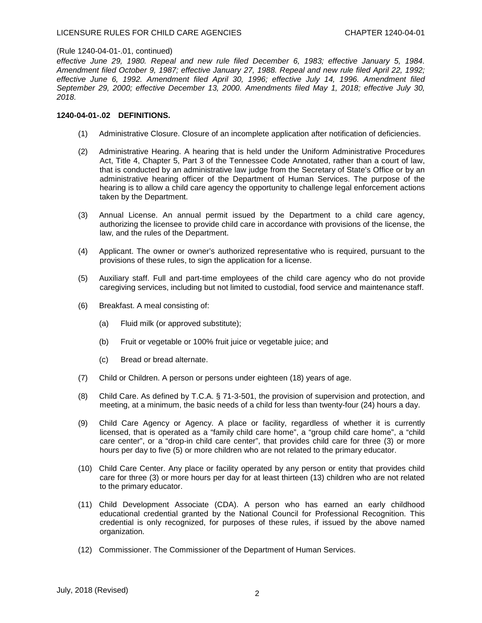*effective June 29, 1980. Repeal and new rule filed December 6, 1983; effective January 5, 1984. Amendment filed October 9, 1987; effective January 27, 1988. Repeal and new rule filed April 22, 1992; effective June 6, 1992. Amendment filed April 30, 1996; effective July 14, 1996. Amendment filed September 29, 2000; effective December 13, 2000. Amendments filed May 1, 2018; effective July 30, 2018.*

# **1240-04-01-.02 DEFINITIONS.**

- (1) Administrative Closure. Closure of an incomplete application after notification of deficiencies.
- (2) Administrative Hearing. A hearing that is held under the Uniform Administrative Procedures Act, Title 4, Chapter 5, Part 3 of the Tennessee Code Annotated, rather than a court of law, that is conducted by an administrative law judge from the Secretary of State's Office or by an administrative hearing officer of the Department of Human Services. The purpose of the hearing is to allow a child care agency the opportunity to challenge legal enforcement actions taken by the Department.
- (3) Annual License. An annual permit issued by the Department to a child care agency, authorizing the licensee to provide child care in accordance with provisions of the license, the law, and the rules of the Department.
- (4) Applicant. The owner or owner's authorized representative who is required, pursuant to the provisions of these rules, to sign the application for a license.
- (5) Auxiliary staff. Full and part-time employees of the child care agency who do not provide caregiving services, including but not limited to custodial, food service and maintenance staff.
- (6) Breakfast. A meal consisting of:
	- (a) Fluid milk (or approved substitute);
	- (b) Fruit or vegetable or 100% fruit juice or vegetable juice; and
	- (c) Bread or bread alternate.
- (7) Child or Children. A person or persons under eighteen (18) years of age.
- (8) Child Care. As defined by T.C.A. § 71-3-501, the provision of supervision and protection, and meeting, at a minimum, the basic needs of a child for less than twenty-four (24) hours a day.
- (9) Child Care Agency or Agency. A place or facility, regardless of whether it is currently licensed, that is operated as a "family child care home", a "group child care home", a "child care center", or a "drop-in child care center", that provides child care for three (3) or more hours per day to five (5) or more children who are not related to the primary educator.
- (10) Child Care Center. Any place or facility operated by any person or entity that provides child care for three (3) or more hours per day for at least thirteen (13) children who are not related to the primary educator.
- (11) Child Development Associate (CDA). A person who has earned an early childhood educational credential granted by the National Council for Professional Recognition. This credential is only recognized, for purposes of these rules, if issued by the above named organization.
- (12) Commissioner. The Commissioner of the Department of Human Services.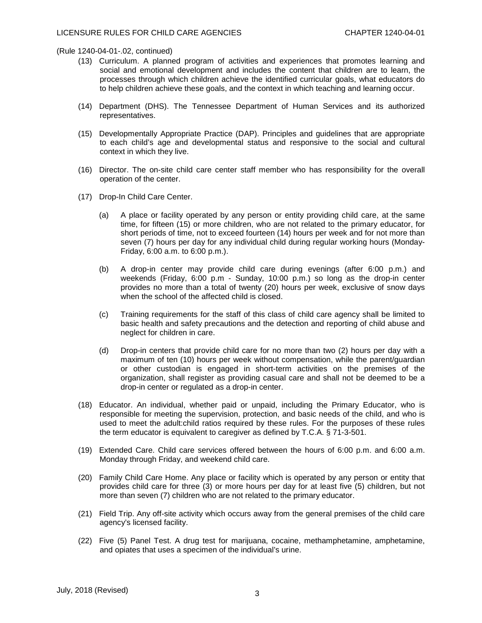- (13) Curriculum. A planned program of activities and experiences that promotes learning and social and emotional development and includes the content that children are to learn, the processes through which children achieve the identified curricular goals, what educators do to help children achieve these goals, and the context in which teaching and learning occur.
- (14) Department (DHS). The Tennessee Department of Human Services and its authorized representatives.
- (15) Developmentally Appropriate Practice (DAP). Principles and guidelines that are appropriate to each child's age and developmental status and responsive to the social and cultural context in which they live.
- (16) Director. The on-site child care center staff member who has responsibility for the overall operation of the center.
- (17) Drop-In Child Care Center.
	- (a) A place or facility operated by any person or entity providing child care, at the same time, for fifteen (15) or more children, who are not related to the primary educator, for short periods of time, not to exceed fourteen (14) hours per week and for not more than seven (7) hours per day for any individual child during regular working hours (Monday-Friday, 6:00 a.m. to 6:00 p.m.).
	- (b) A drop-in center may provide child care during evenings (after 6:00 p.m.) and weekends (Friday, 6:00 p.m - Sunday, 10:00 p.m.) so long as the drop-in center provides no more than a total of twenty (20) hours per week, exclusive of snow days when the school of the affected child is closed.
	- (c) Training requirements for the staff of this class of child care agency shall be limited to basic health and safety precautions and the detection and reporting of child abuse and neglect for children in care.
	- (d) Drop-in centers that provide child care for no more than two (2) hours per day with a maximum of ten (10) hours per week without compensation, while the parent/guardian or other custodian is engaged in short-term activities on the premises of the organization, shall register as providing casual care and shall not be deemed to be a drop-in center or regulated as a drop-in center.
- (18) Educator. An individual, whether paid or unpaid, including the Primary Educator, who is responsible for meeting the supervision, protection, and basic needs of the child, and who is used to meet the adult:child ratios required by these rules. For the purposes of these rules the term educator is equivalent to caregiver as defined by T.C.A. § 71-3-501.
- (19) Extended Care. Child care services offered between the hours of 6:00 p.m. and 6:00 a.m. Monday through Friday, and weekend child care.
- (20) Family Child Care Home. Any place or facility which is operated by any person or entity that provides child care for three (3) or more hours per day for at least five (5) children, but not more than seven (7) children who are not related to the primary educator.
- (21) Field Trip. Any off-site activity which occurs away from the general premises of the child care agency's licensed facility.
- (22) Five (5) Panel Test. A drug test for marijuana, cocaine, methamphetamine, amphetamine, and opiates that uses a specimen of the individual's urine.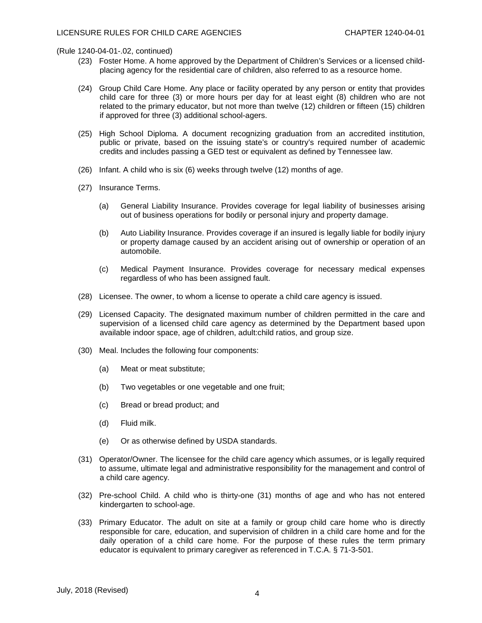- (23) Foster Home. A home approved by the Department of Children's Services or a licensed childplacing agency for the residential care of children, also referred to as a resource home.
- (24) Group Child Care Home. Any place or facility operated by any person or entity that provides child care for three (3) or more hours per day for at least eight (8) children who are not related to the primary educator, but not more than twelve (12) children or fifteen (15) children if approved for three (3) additional school-agers.
- (25) High School Diploma. A document recognizing graduation from an accredited institution, public or private, based on the issuing state's or country's required number of academic credits and includes passing a GED test or equivalent as defined by Tennessee law.
- (26) Infant. A child who is six (6) weeks through twelve (12) months of age.
- (27) Insurance Terms.
	- (a) General Liability Insurance. Provides coverage for legal liability of businesses arising out of business operations for bodily or personal injury and property damage.
	- (b) Auto Liability Insurance. Provides coverage if an insured is legally liable for bodily injury or property damage caused by an accident arising out of ownership or operation of an automobile.
	- (c) Medical Payment Insurance. Provides coverage for necessary medical expenses regardless of who has been assigned fault.
- (28) Licensee. The owner, to whom a license to operate a child care agency is issued.
- (29) Licensed Capacity. The designated maximum number of children permitted in the care and supervision of a licensed child care agency as determined by the Department based upon available indoor space, age of children, adult:child ratios, and group size.
- (30) Meal. Includes the following four components:
	- (a) Meat or meat substitute;
	- (b) Two vegetables or one vegetable and one fruit;
	- (c) Bread or bread product; and
	- (d) Fluid milk.
	- (e) Or as otherwise defined by USDA standards.
- (31) Operator/Owner. The licensee for the child care agency which assumes, or is legally required to assume, ultimate legal and administrative responsibility for the management and control of a child care agency.
- (32) Pre-school Child. A child who is thirty-one (31) months of age and who has not entered kindergarten to school-age.
- (33) Primary Educator. The adult on site at a family or group child care home who is directly responsible for care, education, and supervision of children in a child care home and for the daily operation of a child care home. For the purpose of these rules the term primary educator is equivalent to primary caregiver as referenced in T.C.A. § 71-3-501.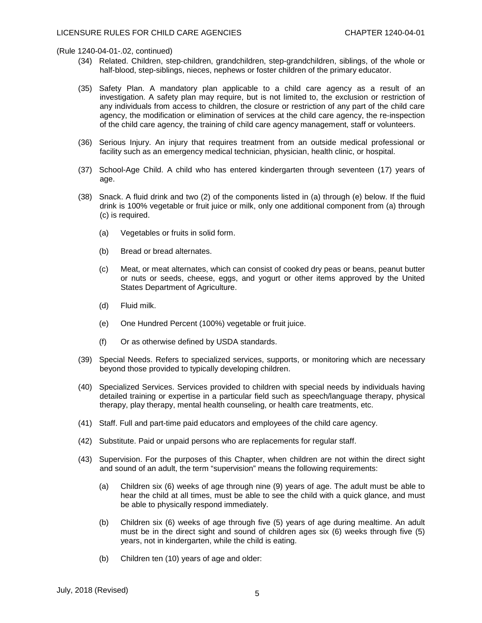- (34) Related. Children, step-children, grandchildren, step-grandchildren, siblings, of the whole or half-blood, step-siblings, nieces, nephews or foster children of the primary educator.
- (35) Safety Plan. A mandatory plan applicable to a child care agency as a result of an investigation. A safety plan may require, but is not limited to, the exclusion or restriction of any individuals from access to children, the closure or restriction of any part of the child care agency, the modification or elimination of services at the child care agency, the re-inspection of the child care agency, the training of child care agency management, staff or volunteers.
- (36) Serious Injury. An injury that requires treatment from an outside medical professional or facility such as an emergency medical technician, physician, health clinic, or hospital.
- (37) School-Age Child. A child who has entered kindergarten through seventeen (17) years of age.
- (38) Snack. A fluid drink and two (2) of the components listed in (a) through (e) below. If the fluid drink is 100% vegetable or fruit juice or milk, only one additional component from (a) through (c) is required.
	- (a) Vegetables or fruits in solid form.
	- (b) Bread or bread alternates.
	- (c) Meat, or meat alternates, which can consist of cooked dry peas or beans, peanut butter or nuts or seeds, cheese, eggs, and yogurt or other items approved by the United States Department of Agriculture.
	- (d) Fluid milk.
	- (e) One Hundred Percent (100%) vegetable or fruit juice.
	- (f) Or as otherwise defined by USDA standards.
- (39) Special Needs. Refers to specialized services, supports, or monitoring which are necessary beyond those provided to typically developing children.
- (40) Specialized Services. Services provided to children with special needs by individuals having detailed training or expertise in a particular field such as speech/language therapy, physical therapy, play therapy, mental health counseling, or health care treatments, etc.
- (41) Staff. Full and part-time paid educators and employees of the child care agency.
- (42) Substitute. Paid or unpaid persons who are replacements for regular staff.
- (43) Supervision. For the purposes of this Chapter, when children are not within the direct sight and sound of an adult, the term "supervision" means the following requirements:
	- (a) Children six (6) weeks of age through nine (9) years of age. The adult must be able to hear the child at all times, must be able to see the child with a quick glance, and must be able to physically respond immediately.
	- (b) Children six (6) weeks of age through five (5) years of age during mealtime. An adult must be in the direct sight and sound of children ages six (6) weeks through five (5) years, not in kindergarten, while the child is eating.
	- (b) Children ten (10) years of age and older: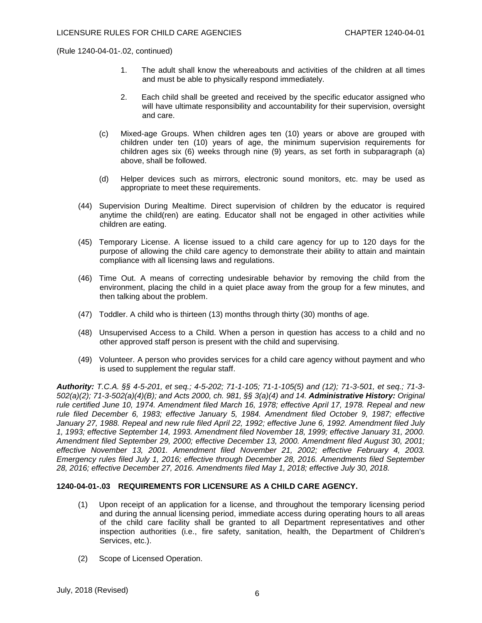- 1. The adult shall know the whereabouts and activities of the children at all times and must be able to physically respond immediately.
- 2. Each child shall be greeted and received by the specific educator assigned who will have ultimate responsibility and accountability for their supervision, oversight and care.
- (c) Mixed-age Groups. When children ages ten (10) years or above are grouped with children under ten (10) years of age, the minimum supervision requirements for children ages six (6) weeks through nine (9) years, as set forth in subparagraph (a) above, shall be followed.
- (d) Helper devices such as mirrors, electronic sound monitors, etc. may be used as appropriate to meet these requirements.
- (44) Supervision During Mealtime. Direct supervision of children by the educator is required anytime the child(ren) are eating. Educator shall not be engaged in other activities while children are eating.
- (45) Temporary License. A license issued to a child care agency for up to 120 days for the purpose of allowing the child care agency to demonstrate their ability to attain and maintain compliance with all licensing laws and regulations.
- (46) Time Out. A means of correcting undesirable behavior by removing the child from the environment, placing the child in a quiet place away from the group for a few minutes, and then talking about the problem.
- (47) Toddler. A child who is thirteen (13) months through thirty (30) months of age.
- (48) Unsupervised Access to a Child. When a person in question has access to a child and no other approved staff person is present with the child and supervising.
- (49) Volunteer. A person who provides services for a child care agency without payment and who is used to supplement the regular staff.

*Authority: T.C.A. §§ 4-5-201, et seq.; 4-5-202; 71-1-105; 71-1-105(5) and (12); 71-3-501, et seq.; 71-3- 502(a)(2); 71-3-502(a)(4)(B); and Acts 2000, ch. 981, §§ 3(a)(4) and 14. Administrative History: Original rule certified June 10, 1974. Amendment filed March 16, 1978; effective April 17, 1978. Repeal and new rule filed December 6, 1983; effective January 5, 1984. Amendment filed October 9, 1987; effective January 27, 1988. Repeal and new rule filed April 22, 1992; effective June 6, 1992. Amendment filed July 1, 1993; effective September 14, 1993. Amendment filed November 18, 1999; effective January 31, 2000. Amendment filed September 29, 2000; effective December 13, 2000. Amendment filed August 30, 2001; effective November 13, 2001. Amendment filed November 21, 2002; effective February 4, 2003. Emergency rules filed July 1, 2016; effective through December 28, 2016. Amendments filed September 28, 2016; effective December 27, 2016. Amendments filed May 1, 2018; effective July 30, 2018.*

# **1240-04-01-.03 REQUIREMENTS FOR LICENSURE AS A CHILD CARE AGENCY.**

- (1) Upon receipt of an application for a license, and throughout the temporary licensing period and during the annual licensing period, immediate access during operating hours to all areas of the child care facility shall be granted to all Department representatives and other inspection authorities (i.e., fire safety, sanitation, health, the Department of Children's Services, etc.).
- (2) Scope of Licensed Operation.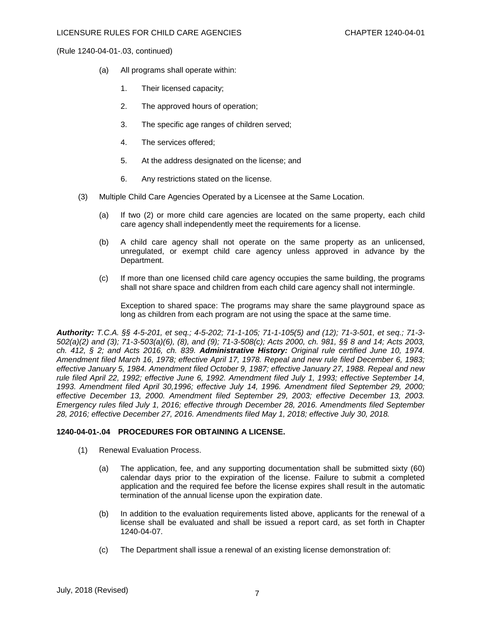- (a) All programs shall operate within:
	- 1. Their licensed capacity;
	- 2. The approved hours of operation;
	- 3. The specific age ranges of children served;
	- 4. The services offered;
	- 5. At the address designated on the license; and
	- 6. Any restrictions stated on the license.
- (3) Multiple Child Care Agencies Operated by a Licensee at the Same Location.
	- (a) If two (2) or more child care agencies are located on the same property, each child care agency shall independently meet the requirements for a license.
	- (b) A child care agency shall not operate on the same property as an unlicensed, unregulated, or exempt child care agency unless approved in advance by the Department.
	- (c) If more than one licensed child care agency occupies the same building, the programs shall not share space and children from each child care agency shall not intermingle.

Exception to shared space: The programs may share the same playground space as long as children from each program are not using the space at the same time.

*Authority: T.C.A. §§ 4-5-201, et seq.; 4-5-202; 71-1-105; 71-1-105(5) and (12); 71-3-501, et seq.; 71-3- 502(a)(2) and (3); 71-3-503(a)(6), (8), and (9); 71-3-508(c); Acts 2000, ch. 981, §§ 8 and 14; Acts 2003, ch. 412, § 2; and Acts 2016, ch. 839. Administrative History: Original rule certified June 10, 1974. Amendment filed March 16, 1978; effective April 17, 1978. Repeal and new rule filed December 6, 1983; effective January 5, 1984. Amendment filed October 9, 1987; effective January 27, 1988. Repeal and new rule filed April 22, 1992; effective June 6, 1992. Amendment filed July 1, 1993; effective September 14, 1993. Amendment filed April 30,1996; effective July 14, 1996. Amendment filed September 29, 2000; effective December 13, 2000. Amendment filed September 29, 2003; effective December 13, 2003. Emergency rules filed July 1, 2016; effective through December 28, 2016. Amendments filed September 28, 2016; effective December 27, 2016. Amendments filed May 1, 2018; effective July 30, 2018.*

# **1240-04-01-.04 PROCEDURES FOR OBTAINING A LICENSE.**

- (1) Renewal Evaluation Process.
	- (a) The application, fee, and any supporting documentation shall be submitted sixty (60) calendar days prior to the expiration of the license. Failure to submit a completed application and the required fee before the license expires shall result in the automatic termination of the annual license upon the expiration date.
	- (b) In addition to the evaluation requirements listed above, applicants for the renewal of a license shall be evaluated and shall be issued a report card, as set forth in Chapter 1240-04-07.
	- (c) The Department shall issue a renewal of an existing license demonstration of: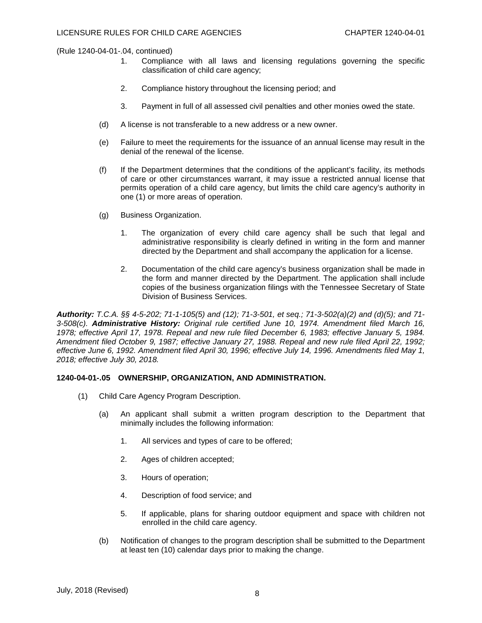- 1. Compliance with all laws and licensing regulations governing the specific classification of child care agency;
- 2. Compliance history throughout the licensing period; and
- 3. Payment in full of all assessed civil penalties and other monies owed the state.
- (d) A license is not transferable to a new address or a new owner.
- (e) Failure to meet the requirements for the issuance of an annual license may result in the denial of the renewal of the license.
- (f) If the Department determines that the conditions of the applicant's facility, its methods of care or other circumstances warrant, it may issue a restricted annual license that permits operation of a child care agency, but limits the child care agency's authority in one (1) or more areas of operation.
- (g) Business Organization.
	- 1. The organization of every child care agency shall be such that legal and administrative responsibility is clearly defined in writing in the form and manner directed by the Department and shall accompany the application for a license.
	- 2. Documentation of the child care agency's business organization shall be made in the form and manner directed by the Department. The application shall include copies of the business organization filings with the Tennessee Secretary of State Division of Business Services.

*Authority: T.C.A. §§ 4-5-202; 71-1-105(5) and (12); 71-3-501, et seq.; 71-3-502(a)(2) and (d)(5); and 71- 3-508(c). Administrative History: Original rule certified June 10, 1974. Amendment filed March 16, 1978; effective April 17, 1978. Repeal and new rule filed December 6, 1983; effective January 5, 1984. Amendment filed October 9, 1987; effective January 27, 1988. Repeal and new rule filed April 22, 1992; effective June 6, 1992. Amendment filed April 30, 1996; effective July 14, 1996. Amendments filed May 1, 2018; effective July 30, 2018.*

# **1240-04-01-.05 OWNERSHIP, ORGANIZATION, AND ADMINISTRATION.**

- (1) Child Care Agency Program Description.
	- (a) An applicant shall submit a written program description to the Department that minimally includes the following information:
		- 1. All services and types of care to be offered;
		- 2. Ages of children accepted;
		- 3. Hours of operation;
		- 4. Description of food service; and
		- 5. If applicable, plans for sharing outdoor equipment and space with children not enrolled in the child care agency.
	- (b) Notification of changes to the program description shall be submitted to the Department at least ten (10) calendar days prior to making the change.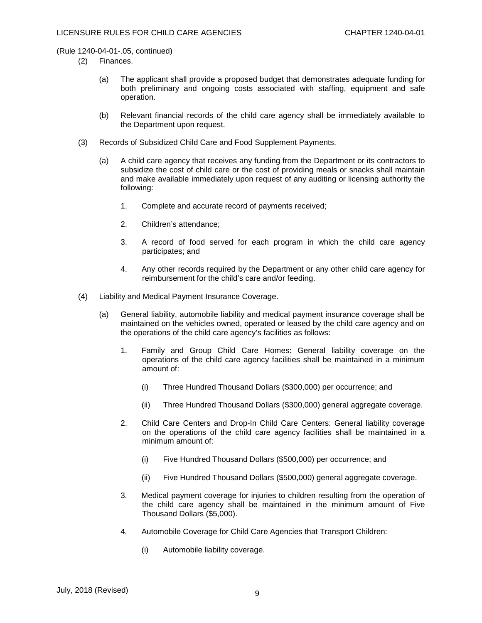- (2) Finances.
	- (a) The applicant shall provide a proposed budget that demonstrates adequate funding for both preliminary and ongoing costs associated with staffing, equipment and safe operation.
	- (b) Relevant financial records of the child care agency shall be immediately available to the Department upon request.
- (3) Records of Subsidized Child Care and Food Supplement Payments.
	- (a) A child care agency that receives any funding from the Department or its contractors to subsidize the cost of child care or the cost of providing meals or snacks shall maintain and make available immediately upon request of any auditing or licensing authority the following:
		- 1. Complete and accurate record of payments received;
		- 2. Children's attendance;
		- 3. A record of food served for each program in which the child care agency participates; and
		- 4. Any other records required by the Department or any other child care agency for reimbursement for the child's care and/or feeding.
- (4) Liability and Medical Payment Insurance Coverage.
	- (a) General liability, automobile liability and medical payment insurance coverage shall be maintained on the vehicles owned, operated or leased by the child care agency and on the operations of the child care agency's facilities as follows:
		- 1. Family and Group Child Care Homes: General liability coverage on the operations of the child care agency facilities shall be maintained in a minimum amount of:
			- (i) Three Hundred Thousand Dollars (\$300,000) per occurrence; and
			- (ii) Three Hundred Thousand Dollars (\$300,000) general aggregate coverage.
		- 2. Child Care Centers and Drop-In Child Care Centers: General liability coverage on the operations of the child care agency facilities shall be maintained in a minimum amount of:
			- (i) Five Hundred Thousand Dollars (\$500,000) per occurrence; and
			- (ii) Five Hundred Thousand Dollars (\$500,000) general aggregate coverage.
		- 3. Medical payment coverage for injuries to children resulting from the operation of the child care agency shall be maintained in the minimum amount of Five Thousand Dollars (\$5,000).
		- 4. Automobile Coverage for Child Care Agencies that Transport Children:
			- (i) Automobile liability coverage.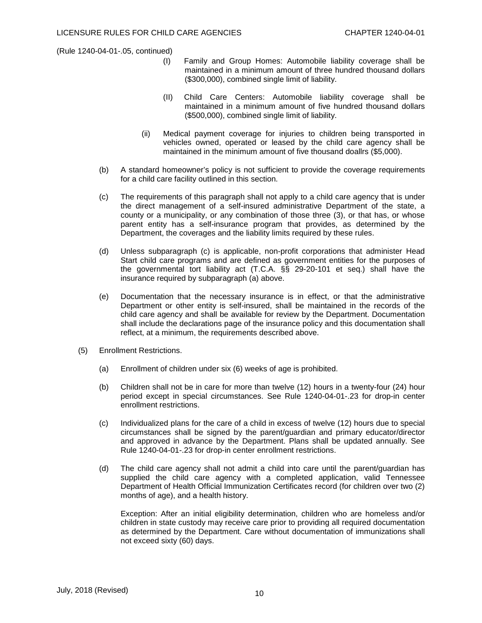- (I) Family and Group Homes: Automobile liability coverage shall be maintained in a minimum amount of three hundred thousand dollars (\$300,000), combined single limit of liability.
- (II) Child Care Centers: Automobile liability coverage shall be maintained in a minimum amount of five hundred thousand dollars (\$500,000), combined single limit of liability.
- (ii) Medical payment coverage for injuries to children being transported in vehicles owned, operated or leased by the child care agency shall be maintained in the minimum amount of five thousand doallrs (\$5,000).
- (b) A standard homeowner's policy is not sufficient to provide the coverage requirements for a child care facility outlined in this section.
- (c) The requirements of this paragraph shall not apply to a child care agency that is under the direct management of a self-insured administrative Department of the state, a county or a municipality, or any combination of those three (3), or that has, or whose parent entity has a self-insurance program that provides, as determined by the Department, the coverages and the liability limits required by these rules.
- (d) Unless subparagraph (c) is applicable, non-profit corporations that administer Head Start child care programs and are defined as government entities for the purposes of the governmental tort liability act (T.C.A. §§ 29-20-101 et seq.) shall have the insurance required by subparagraph (a) above.
- (e) Documentation that the necessary insurance is in effect, or that the administrative Department or other entity is self-insured, shall be maintained in the records of the child care agency and shall be available for review by the Department. Documentation shall include the declarations page of the insurance policy and this documentation shall reflect, at a minimum, the requirements described above.
- (5) Enrollment Restrictions.
	- (a) Enrollment of children under six (6) weeks of age is prohibited.
	- (b) Children shall not be in care for more than twelve (12) hours in a twenty-four (24) hour period except in special circumstances. See Rule 1240-04-01-.23 for drop-in center enrollment restrictions.
	- (c) Individualized plans for the care of a child in excess of twelve (12) hours due to special circumstances shall be signed by the parent/guardian and primary educator/director and approved in advance by the Department. Plans shall be updated annually. See Rule 1240-04-01-.23 for drop-in center enrollment restrictions.
	- (d) The child care agency shall not admit a child into care until the parent/guardian has supplied the child care agency with a completed application, valid Tennessee Department of Health Official Immunization Certificates record (for children over two (2) months of age), and a health history.

Exception: After an initial eligibility determination, children who are homeless and/or children in state custody may receive care prior to providing all required documentation as determined by the Department. Care without documentation of immunizations shall not exceed sixty (60) days.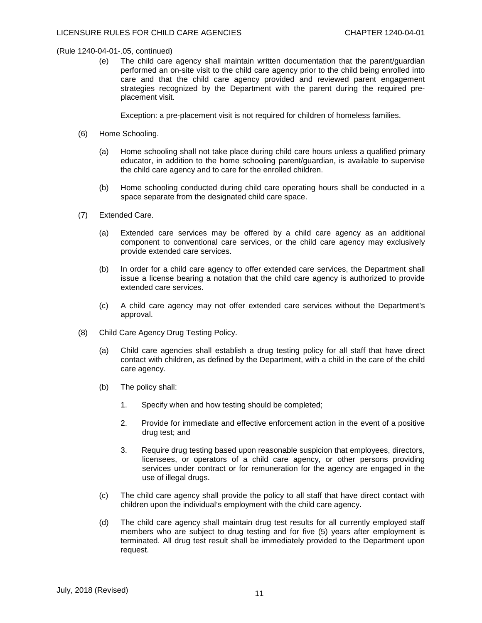(e) The child care agency shall maintain written documentation that the parent/guardian performed an on-site visit to the child care agency prior to the child being enrolled into care and that the child care agency provided and reviewed parent engagement strategies recognized by the Department with the parent during the required preplacement visit.

Exception: a pre-placement visit is not required for children of homeless families.

- (6) Home Schooling.
	- (a) Home schooling shall not take place during child care hours unless a qualified primary educator, in addition to the home schooling parent/guardian, is available to supervise the child care agency and to care for the enrolled children.
	- (b) Home schooling conducted during child care operating hours shall be conducted in a space separate from the designated child care space.
- (7) Extended Care.
	- (a) Extended care services may be offered by a child care agency as an additional component to conventional care services, or the child care agency may exclusively provide extended care services.
	- (b) In order for a child care agency to offer extended care services, the Department shall issue a license bearing a notation that the child care agency is authorized to provide extended care services.
	- (c) A child care agency may not offer extended care services without the Department's approval.
- (8) Child Care Agency Drug Testing Policy.
	- (a) Child care agencies shall establish a drug testing policy for all staff that have direct contact with children, as defined by the Department, with a child in the care of the child care agency.
	- (b) The policy shall:
		- 1. Specify when and how testing should be completed;
		- 2. Provide for immediate and effective enforcement action in the event of a positive drug test; and
		- 3. Require drug testing based upon reasonable suspicion that employees, directors, licensees, or operators of a child care agency, or other persons providing services under contract or for remuneration for the agency are engaged in the use of illegal drugs.
	- (c) The child care agency shall provide the policy to all staff that have direct contact with children upon the individual's employment with the child care agency.
	- (d) The child care agency shall maintain drug test results for all currently employed staff members who are subject to drug testing and for five (5) years after employment is terminated. All drug test result shall be immediately provided to the Department upon request.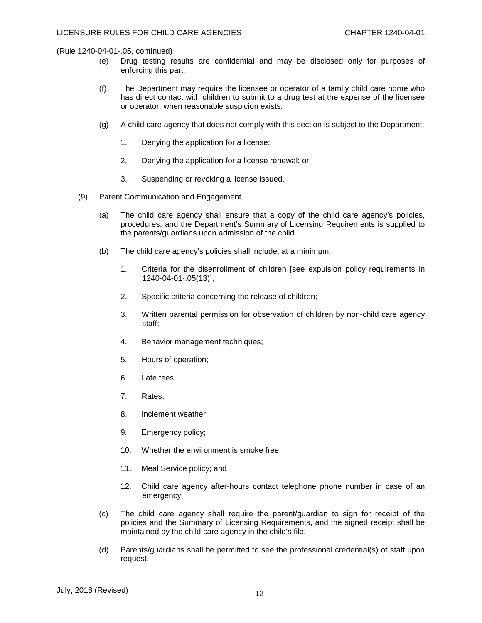- (e) Drug testing results are confidential and may be disclosed only for purposes of enforcing this part.
- (f) The Department may require the licensee or operator of a family child care home who has direct contact with children to submit to a drug test at the expense of the licensee or operator, when reasonable suspicion exists.
- (g) A child care agency that does not comply with this section is subject to the Department:
	- 1. Denying the application for a license;
	- 2. Denying the application for a license renewal; or
	- 3. Suspending or revoking a license issued.
- (9) Parent Communication and Engagement.
	- (a) The child care agency shall ensure that a copy of the child care agency's policies, procedures, and the Department's Summary of Licensing Requirements is supplied to the parents/guardians upon admission of the child.
	- (b) The child care agency's policies shall include, at a minimum:
		- 1. Criteria for the disenrollment of children [see expulsion policy requirements in 1240-04-01-.05(13)];
		- 2. Specific criteria concerning the release of children;
		- 3. Written parental permission for observation of children by non-child care agency staff;
		- 4. Behavior management techniques;
		- 5. Hours of operation;
		- 6. Late fees;
		- 7. Rates;
		- 8. Inclement weather;
		- 9. Emergency policy;
		- 10. Whether the environment is smoke free;
		- 11. Meal Service policy; and
		- 12. Child care agency after-hours contact telephone phone number in case of an emergency.
	- (c) The child care agency shall require the parent/guardian to sign for receipt of the policies and the Summary of Licensing Requirements, and the signed receipt shall be maintained by the child care agency in the child's file.
	- (d) Parents/guardians shall be permitted to see the professional credential(s) of staff upon request.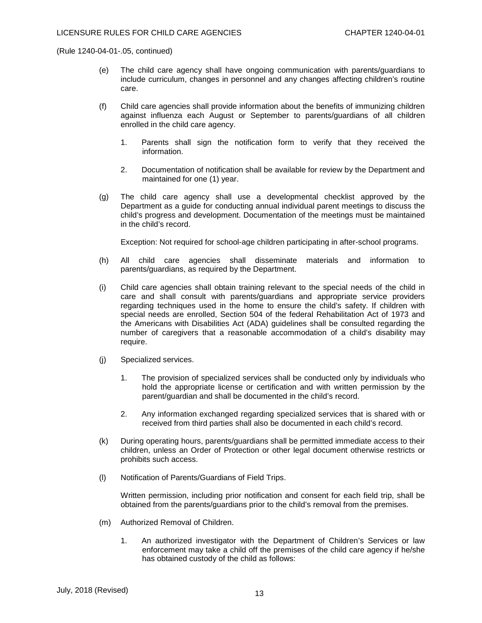- (e) The child care agency shall have ongoing communication with parents/guardians to include curriculum, changes in personnel and any changes affecting children's routine care.
- (f) Child care agencies shall provide information about the benefits of immunizing children against influenza each August or September to parents/guardians of all children enrolled in the child care agency.
	- 1. Parents shall sign the notification form to verify that they received the information.
	- 2. Documentation of notification shall be available for review by the Department and maintained for one (1) year.
- (g) The child care agency shall use a developmental checklist approved by the Department as a guide for conducting annual individual parent meetings to discuss the child's progress and development. Documentation of the meetings must be maintained in the child's record.

Exception: Not required for school-age children participating in after-school programs.

- (h) All child care agencies shall disseminate materials and information to parents/guardians, as required by the Department.
- (i) Child care agencies shall obtain training relevant to the special needs of the child in care and shall consult with parents/guardians and appropriate service providers regarding techniques used in the home to ensure the child's safety. If children with special needs are enrolled, Section 504 of the federal Rehabilitation Act of 1973 and the Americans with Disabilities Act (ADA) guidelines shall be consulted regarding the number of caregivers that a reasonable accommodation of a child's disability may require.
- (j) Specialized services.
	- 1. The provision of specialized services shall be conducted only by individuals who hold the appropriate license or certification and with written permission by the parent/guardian and shall be documented in the child's record.
	- 2. Any information exchanged regarding specialized services that is shared with or received from third parties shall also be documented in each child's record.
- (k) During operating hours, parents/guardians shall be permitted immediate access to their children, unless an Order of Protection or other legal document otherwise restricts or prohibits such access.
- (l) Notification of Parents/Guardians of Field Trips.

Written permission, including prior notification and consent for each field trip, shall be obtained from the parents/guardians prior to the child's removal from the premises.

- (m) Authorized Removal of Children.
	- 1. An authorized investigator with the Department of Children's Services or law enforcement may take a child off the premises of the child care agency if he/she has obtained custody of the child as follows: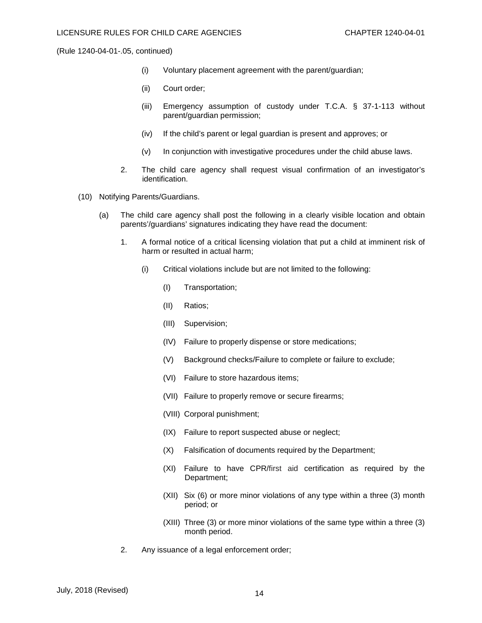- (i) Voluntary placement agreement with the parent/guardian;
- (ii) Court order;
- (iii) Emergency assumption of custody under T.C.A. § 37-1-113 without parent/guardian permission;
- (iv) If the child's parent or legal guardian is present and approves; or
- (v) In conjunction with investigative procedures under the child abuse laws.
- 2. The child care agency shall request visual confirmation of an investigator's identification.
- (10) Notifying Parents/Guardians.
	- (a) The child care agency shall post the following in a clearly visible location and obtain parents'/guardians' signatures indicating they have read the document:
		- 1. A formal notice of a critical licensing violation that put a child at imminent risk of harm or resulted in actual harm;
			- (i) Critical violations include but are not limited to the following:
				- (I) Transportation;
				- (II) Ratios;
				- (III) Supervision;
				- (IV) Failure to properly dispense or store medications;
				- (V) Background checks/Failure to complete or failure to exclude;
				- (VI) Failure to store hazardous items;
				- (VII) Failure to properly remove or secure firearms;
				- (VIII) Corporal punishment;
				- (IX) Failure to report suspected abuse or neglect;
				- (X) Falsification of documents required by the Department;
				- (XI) Failure to have CPR/first aid certification as required by the Department;
				- (XII) Six (6) or more minor violations of any type within a three (3) month period; or
				- (XIII) Three (3) or more minor violations of the same type within a three (3) month period.
		- 2. Any issuance of a legal enforcement order;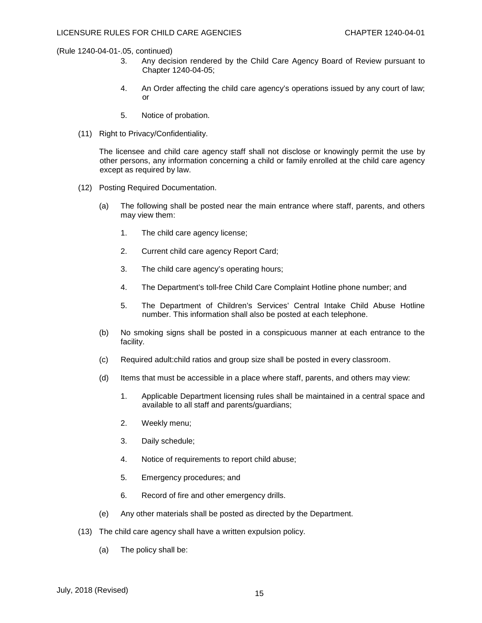- 3. Any decision rendered by the Child Care Agency Board of Review pursuant to Chapter 1240-04-05;
- 4. An Order affecting the child care agency's operations issued by any court of law; or
- 5. Notice of probation.
- (11) Right to Privacy/Confidentiality.

The licensee and child care agency staff shall not disclose or knowingly permit the use by other persons, any information concerning a child or family enrolled at the child care agency except as required by law.

- (12) Posting Required Documentation.
	- (a) The following shall be posted near the main entrance where staff, parents, and others may view them:
		- 1. The child care agency license;
		- 2. Current child care agency Report Card;
		- 3. The child care agency's operating hours;
		- 4. The Department's toll-free Child Care Complaint Hotline phone number; and
		- 5. The Department of Children's Services' Central Intake Child Abuse Hotline number. This information shall also be posted at each telephone.
	- (b) No smoking signs shall be posted in a conspicuous manner at each entrance to the facility.
	- (c) Required adult:child ratios and group size shall be posted in every classroom.
	- (d) Items that must be accessible in a place where staff, parents, and others may view:
		- 1. Applicable Department licensing rules shall be maintained in a central space and available to all staff and parents/guardians;
		- 2. Weekly menu;
		- 3. Daily schedule;
		- 4. Notice of requirements to report child abuse;
		- 5. Emergency procedures; and
		- 6. Record of fire and other emergency drills.
	- (e) Any other materials shall be posted as directed by the Department.
- (13) The child care agency shall have a written expulsion policy.
	- (a) The policy shall be: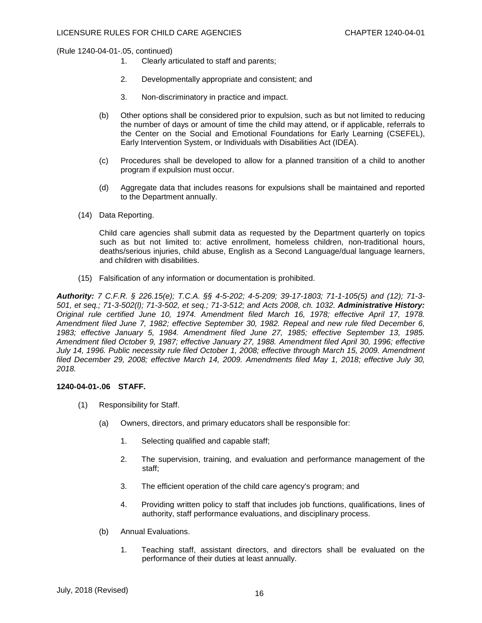- 1. Clearly articulated to staff and parents;
- 2. Developmentally appropriate and consistent; and
- 3. Non-discriminatory in practice and impact.
- (b) Other options shall be considered prior to expulsion, such as but not limited to reducing the number of days or amount of time the child may attend, or if applicable, referrals to the Center on the Social and Emotional Foundations for Early Learning (CSEFEL), Early Intervention System, or Individuals with Disabilities Act (IDEA).
- (c) Procedures shall be developed to allow for a planned transition of a child to another program if expulsion must occur.
- (d) Aggregate data that includes reasons for expulsions shall be maintained and reported to the Department annually.
- (14) Data Reporting.

Child care agencies shall submit data as requested by the Department quarterly on topics such as but not limited to: active enrollment, homeless children, non-traditional hours, deaths/serious injuries, child abuse, English as a Second Language/dual language learners, and children with disabilities.

(15) Falsification of any information or documentation is prohibited.

*Authority: 7 C.F.R. § 226.15(e); T.C.A. §§ 4-5-202; 4-5-209; 39-17-1803; 71-1-105(5) and (12); 71-3- 501, et seq.; 71-3-502(l); 71-3-502, et seq.; 71-3-512; and Acts 2008, ch. 1032. Administrative History: Original rule certified June 10, 1974. Amendment filed March 16, 1978; effective April 17, 1978. Amendment filed June 7, 1982; effective September 30, 1982. Repeal and new rule filed December 6, 1983; effective January 5, 1984. Amendment filed June 27, 1985; effective September 13, 1985. Amendment filed October 9, 1987; effective January 27, 1988. Amendment filed April 30, 1996; effective July 14, 1996. Public necessity rule filed October 1, 2008; effective through March 15, 2009. Amendment filed December 29, 2008; effective March 14, 2009. Amendments filed May 1, 2018; effective July 30, 2018.*

#### **1240-04-01-.06 STAFF.**

- (1) Responsibility for Staff.
	- (a) Owners, directors, and primary educators shall be responsible for:
		- 1. Selecting qualified and capable staff;
		- 2. The supervision, training, and evaluation and performance management of the staff;
		- 3. The efficient operation of the child care agency's program; and
		- 4. Providing written policy to staff that includes job functions, qualifications, lines of authority, staff performance evaluations, and disciplinary process.
	- (b) Annual Evaluations.
		- 1. Teaching staff, assistant directors, and directors shall be evaluated on the performance of their duties at least annually.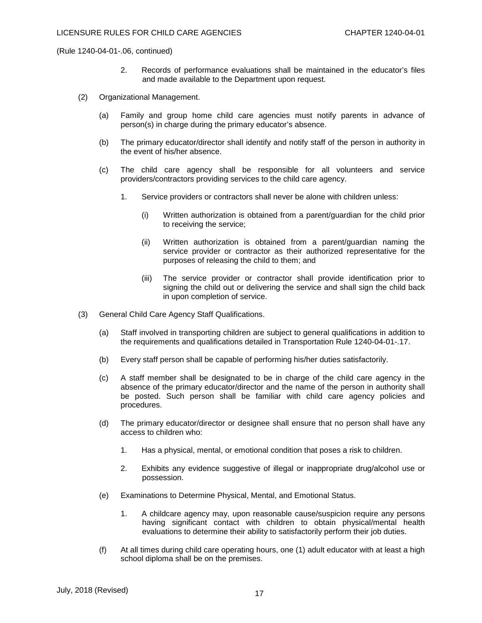- 2. Records of performance evaluations shall be maintained in the educator's files and made available to the Department upon request.
- (2) Organizational Management.
	- (a) Family and group home child care agencies must notify parents in advance of person(s) in charge during the primary educator's absence.
	- (b) The primary educator/director shall identify and notify staff of the person in authority in the event of his/her absence.
	- (c) The child care agency shall be responsible for all volunteers and service providers/contractors providing services to the child care agency.
		- 1. Service providers or contractors shall never be alone with children unless:
			- (i) Written authorization is obtained from a parent/guardian for the child prior to receiving the service;
			- (ii) Written authorization is obtained from a parent/guardian naming the service provider or contractor as their authorized representative for the purposes of releasing the child to them; and
			- (iii) The service provider or contractor shall provide identification prior to signing the child out or delivering the service and shall sign the child back in upon completion of service.
- (3) General Child Care Agency Staff Qualifications.
	- (a) Staff involved in transporting children are subject to general qualifications in addition to the requirements and qualifications detailed in Transportation Rule 1240-04-01-.17.
	- (b) Every staff person shall be capable of performing his/her duties satisfactorily.
	- (c) A staff member shall be designated to be in charge of the child care agency in the absence of the primary educator/director and the name of the person in authority shall be posted. Such person shall be familiar with child care agency policies and procedures.
	- (d) The primary educator/director or designee shall ensure that no person shall have any access to children who:
		- 1. Has a physical, mental, or emotional condition that poses a risk to children.
		- 2. Exhibits any evidence suggestive of illegal or inappropriate drug/alcohol use or possession.
	- (e) Examinations to Determine Physical, Mental, and Emotional Status.
		- 1. A childcare agency may, upon reasonable cause/suspicion require any persons having significant contact with children to obtain physical/mental health evaluations to determine their ability to satisfactorily perform their job duties.
	- (f) At all times during child care operating hours, one (1) adult educator with at least a high school diploma shall be on the premises.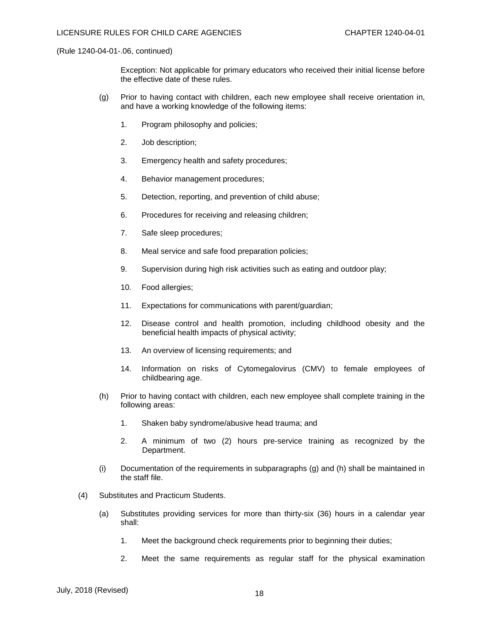Exception: Not applicable for primary educators who received their initial license before the effective date of these rules.

- (g) Prior to having contact with children, each new employee shall receive orientation in, and have a working knowledge of the following items:
	- 1. Program philosophy and policies;
	- 2. Job description;
	- 3. Emergency health and safety procedures;
	- 4. Behavior management procedures;
	- 5. Detection, reporting, and prevention of child abuse;
	- 6. Procedures for receiving and releasing children;
	- 7. Safe sleep procedures;
	- 8. Meal service and safe food preparation policies;
	- 9. Supervision during high risk activities such as eating and outdoor play;
	- 10. Food allergies;
	- 11. Expectations for communications with parent/guardian;
	- 12. Disease control and health promotion, including childhood obesity and the beneficial health impacts of physical activity;
	- 13. An overview of licensing requirements; and
	- 14. Information on risks of Cytomegalovirus (CMV) to female employees of childbearing age.
- (h) Prior to having contact with children, each new employee shall complete training in the following areas:
	- 1. Shaken baby syndrome/abusive head trauma; and
	- 2. A minimum of two (2) hours pre-service training as recognized by the Department.
- (i) Documentation of the requirements in subparagraphs (g) and (h) shall be maintained in the staff file.
- (4) Substitutes and Practicum Students.
	- (a) Substitutes providing services for more than thirty-six (36) hours in a calendar year shall:
		- 1. Meet the background check requirements prior to beginning their duties;
		- 2. Meet the same requirements as regular staff for the physical examination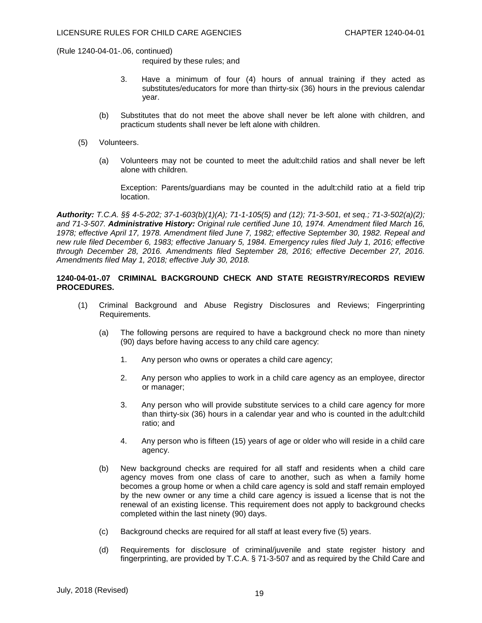required by these rules; and

- 3. Have a minimum of four (4) hours of annual training if they acted as substitutes/educators for more than thirty-six (36) hours in the previous calendar year.
- (b) Substitutes that do not meet the above shall never be left alone with children, and practicum students shall never be left alone with children.
- (5) Volunteers.
	- (a) Volunteers may not be counted to meet the adult:child ratios and shall never be left alone with children.

Exception: Parents/guardians may be counted in the adult:child ratio at a field trip location.

*Authority: T.C.A. §§ 4-5-202; 37-1-603(b)(1)(A); 71-1-105(5) and (12); 71-3-501, et seq.; 71-3-502(a)(2); and 71-3-507. Administrative History: Original rule certified June 10, 1974. Amendment filed March 16, 1978; effective April 17, 1978. Amendment filed June 7, 1982; effective September 30, 1982. Repeal and new rule filed December 6, 1983; effective January 5, 1984. Emergency rules filed July 1, 2016; effective through December 28, 2016. Amendments filed September 28, 2016; effective December 27, 2016. Amendments filed May 1, 2018; effective July 30, 2018.*

# **1240-04-01-.07 CRIMINAL BACKGROUND CHECK AND STATE REGISTRY/RECORDS REVIEW PROCEDURES.**

- (1) Criminal Background and Abuse Registry Disclosures and Reviews; Fingerprinting Requirements.
	- (a) The following persons are required to have a background check no more than ninety (90) days before having access to any child care agency:
		- 1. Any person who owns or operates a child care agency;
		- 2. Any person who applies to work in a child care agency as an employee, director or manager;
		- 3. Any person who will provide substitute services to a child care agency for more than thirty-six (36) hours in a calendar year and who is counted in the adult:child ratio; and
		- 4. Any person who is fifteen (15) years of age or older who will reside in a child care agency.
	- (b) New background checks are required for all staff and residents when a child care agency moves from one class of care to another, such as when a family home becomes a group home or when a child care agency is sold and staff remain employed by the new owner or any time a child care agency is issued a license that is not the renewal of an existing license. This requirement does not apply to background checks completed within the last ninety (90) days.
	- (c) Background checks are required for all staff at least every five (5) years.
	- (d) Requirements for disclosure of criminal/juvenile and state register history and fingerprinting, are provided by T.C.A. § 71-3-507 and as required by the Child Care and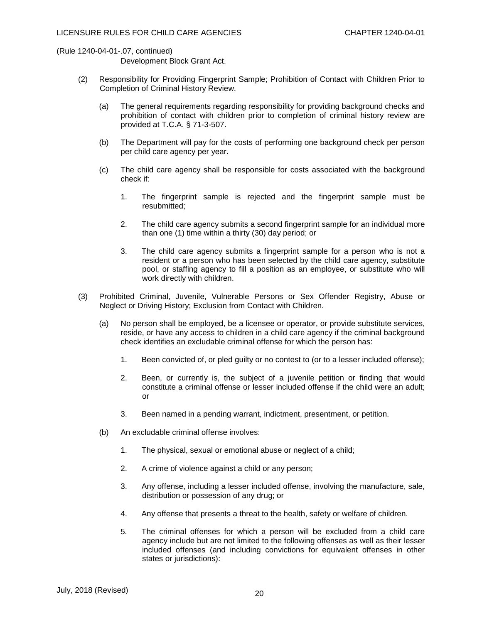Development Block Grant Act.

- (2) Responsibility for Providing Fingerprint Sample; Prohibition of Contact with Children Prior to Completion of Criminal History Review.
	- (a) The general requirements regarding responsibility for providing background checks and prohibition of contact with children prior to completion of criminal history review are provided at T.C.A. § 71-3-507.
	- (b) The Department will pay for the costs of performing one background check per person per child care agency per year.
	- (c) The child care agency shall be responsible for costs associated with the background check if:
		- 1. The fingerprint sample is rejected and the fingerprint sample must be resubmitted;
		- 2. The child care agency submits a second fingerprint sample for an individual more than one (1) time within a thirty (30) day period; or
		- 3. The child care agency submits a fingerprint sample for a person who is not a resident or a person who has been selected by the child care agency, substitute pool, or staffing agency to fill a position as an employee, or substitute who will work directly with children.
- (3) Prohibited Criminal, Juvenile, Vulnerable Persons or Sex Offender Registry, Abuse or Neglect or Driving History; Exclusion from Contact with Children.
	- (a) No person shall be employed, be a licensee or operator, or provide substitute services, reside, or have any access to children in a child care agency if the criminal background check identifies an excludable criminal offense for which the person has:
		- 1. Been convicted of, or pled guilty or no contest to (or to a lesser included offense);
		- 2. Been, or currently is, the subject of a juvenile petition or finding that would constitute a criminal offense or lesser included offense if the child were an adult; or
		- 3. Been named in a pending warrant, indictment, presentment, or petition.
	- (b) An excludable criminal offense involves:
		- 1. The physical, sexual or emotional abuse or neglect of a child;
		- 2. A crime of violence against a child or any person;
		- 3. Any offense, including a lesser included offense, involving the manufacture, sale, distribution or possession of any drug; or
		- 4. Any offense that presents a threat to the health, safety or welfare of children.
		- 5. The criminal offenses for which a person will be excluded from a child care agency include but are not limited to the following offenses as well as their lesser included offenses (and including convictions for equivalent offenses in other states or jurisdictions):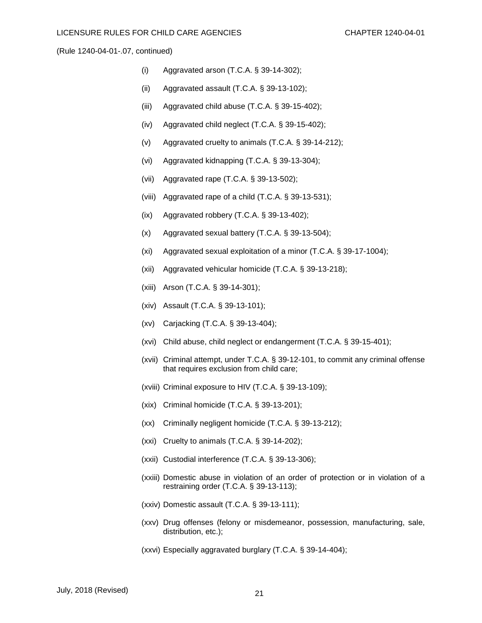- (i) Aggravated arson (T.C.A. § 39-14-302);
- (ii) Aggravated assault (T.C.A. § 39-13-102);
- (iii) Aggravated child abuse (T.C.A. § 39-15-402);
- (iv) Aggravated child neglect (T.C.A. § 39-15-402);
- (v) Aggravated cruelty to animals (T.C.A. § 39-14-212);
- (vi) Aggravated kidnapping (T.C.A. § 39-13-304);
- (vii) Aggravated rape (T.C.A. § 39-13-502);
- (viii) Aggravated rape of a child (T.C.A. § 39-13-531);
- (ix) Aggravated robbery (T.C.A. § 39-13-402);
- (x) Aggravated sexual battery (T.C.A. § 39-13-504);
- (xi) Aggravated sexual exploitation of a minor (T.C.A. § 39-17-1004);
- (xii) Aggravated vehicular homicide (T.C.A. § 39-13-218);
- (xiii) Arson (T.C.A. § 39-14-301);
- (xiv) Assault (T.C.A. § 39-13-101);
- (xv) Carjacking (T.C.A. § 39-13-404);
- (xvi) Child abuse, child neglect or endangerment (T.C.A. § 39-15-401);
- (xvii) Criminal attempt, under T.C.A. § 39-12-101, to commit any criminal offense that requires exclusion from child care;
- (xviii) Criminal exposure to HIV (T.C.A. § 39-13-109);
- (xix) Criminal homicide (T.C.A. § 39-13-201);
- (xx) Criminally negligent homicide (T.C.A. § 39-13-212);
- (xxi) Cruelty to animals (T.C.A. § 39-14-202);
- (xxii) Custodial interference (T.C.A. § 39-13-306);
- (xxiii) Domestic abuse in violation of an order of protection or in violation of a restraining order (T.C.A. § 39-13-113);
- (xxiv) Domestic assault (T.C.A. § 39-13-111);
- (xxv) Drug offenses (felony or misdemeanor, possession, manufacturing, sale, distribution, etc.);
- (xxvi) Especially aggravated burglary (T.C.A. § 39-14-404);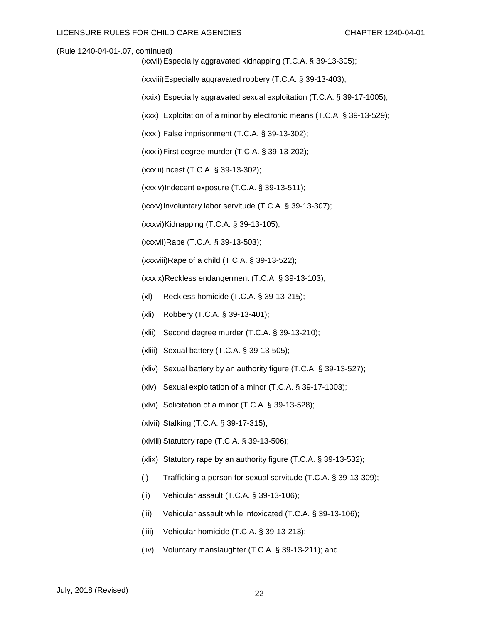(xxvii)Especially aggravated kidnapping (T.C.A. § 39-13-305);

(xxviii)Especially aggravated robbery (T.C.A. § 39-13-403);

(xxix) Especially aggravated sexual exploitation (T.C.A. § 39-17-1005);

(xxx) Exploitation of a minor by electronic means (T.C.A. § 39-13-529);

(xxxi) False imprisonment (T.C.A. § 39-13-302);

(xxxii)First degree murder (T.C.A. § 39-13-202);

(xxxiii)Incest (T.C.A. § 39-13-302);

(xxxiv)Indecent exposure (T.C.A. § 39-13-511);

(xxxv)Involuntary labor servitude (T.C.A. § 39-13-307);

(xxxvi)Kidnapping (T.C.A. § 39-13-105);

(xxxvii)Rape (T.C.A. § 39-13-503);

(xxxviii)Rape of a child (T.C.A. § 39-13-522);

(xxxix)Reckless endangerment (T.C.A. § 39-13-103);

- (xl) Reckless homicide (T.C.A. § 39-13-215);
- (xli) Robbery (T.C.A. § 39-13-401);
- (xlii) Second degree murder (T.C.A. § 39-13-210);
- (xliii) Sexual battery (T.C.A. § 39-13-505);
- (xliv) Sexual battery by an authority figure (T.C.A. § 39-13-527);
- (xlv) Sexual exploitation of a minor (T.C.A. § 39-17-1003);
- (xlvi) Solicitation of a minor (T.C.A. § 39-13-528);
- (xlvii) Stalking (T.C.A. § 39-17-315);
- (xlviii) Statutory rape (T.C.A. § 39-13-506);
- (xlix) Statutory rape by an authority figure (T.C.A. § 39-13-532);
- (l) Trafficking a person for sexual servitude (T.C.A. § 39-13-309);
- (li) Vehicular assault (T.C.A. § 39-13-106);
- (lii) Vehicular assault while intoxicated (T.C.A. § 39-13-106);
- (liii) Vehicular homicide (T.C.A. § 39-13-213);
- (liv) Voluntary manslaughter (T.C.A. § 39-13-211); and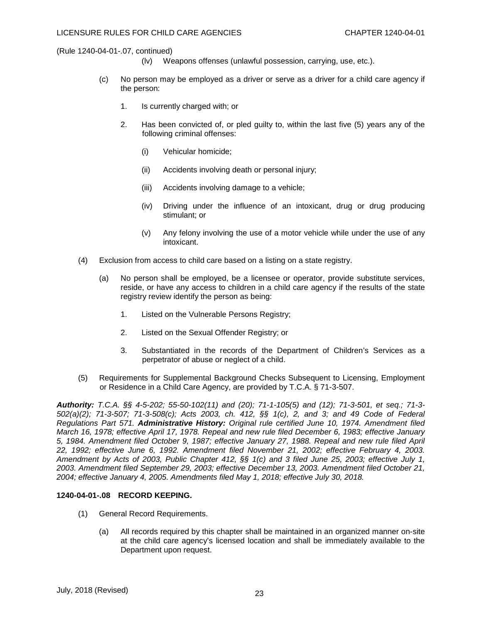- (lv) Weapons offenses (unlawful possession, carrying, use, etc.).
- (c) No person may be employed as a driver or serve as a driver for a child care agency if the person:
	- 1. Is currently charged with; or
	- 2. Has been convicted of, or pled guilty to, within the last five (5) years any of the following criminal offenses:
		- (i) Vehicular homicide;
		- (ii) Accidents involving death or personal injury;
		- (iii) Accidents involving damage to a vehicle;
		- (iv) Driving under the influence of an intoxicant, drug or drug producing stimulant; or
		- (v) Any felony involving the use of a motor vehicle while under the use of any intoxicant.
- (4) Exclusion from access to child care based on a listing on a state registry.
	- (a) No person shall be employed, be a licensee or operator, provide substitute services, reside, or have any access to children in a child care agency if the results of the state registry review identify the person as being:
		- 1. Listed on the Vulnerable Persons Registry;
		- 2. Listed on the Sexual Offender Registry; or
		- 3. Substantiated in the records of the Department of Children's Services as a perpetrator of abuse or neglect of a child.
- (5) Requirements for Supplemental Background Checks Subsequent to Licensing, Employment or Residence in a Child Care Agency, are provided by T.C.A. § 71-3-507.

*Authority: T.C.A. §§ 4-5-202; 55-50-102(11) and (20); 71-1-105(5) and (12); 71-3-501, et seq.; 71-3- 502(a)(2); 71-3-507; 71-3-508(c); Acts 2003, ch. 412, §§ 1(c), 2, and 3; and 49 Code of Federal Regulations Part 571. Administrative History: Original rule certified June 10, 1974. Amendment filed March 16, 1978; effective April 17, 1978. Repeal and new rule filed December 6, 1983; effective January 5, 1984. Amendment filed October 9, 1987; effective January 27, 1988. Repeal and new rule filed April 22, 1992; effective June 6, 1992. Amendment filed November 21, 2002; effective February 4, 2003. Amendment by Acts of 2003, Public Chapter 412, §§ 1(c) and 3 filed June 25, 2003; effective July 1, 2003. Amendment filed September 29, 2003; effective December 13, 2003. Amendment filed October 21, 2004; effective January 4, 2005. Amendments filed May 1, 2018; effective July 30, 2018.*

#### **1240-04-01-.08 RECORD KEEPING.**

- (1) General Record Requirements.
	- (a) All records required by this chapter shall be maintained in an organized manner on-site at the child care agency's licensed location and shall be immediately available to the Department upon request.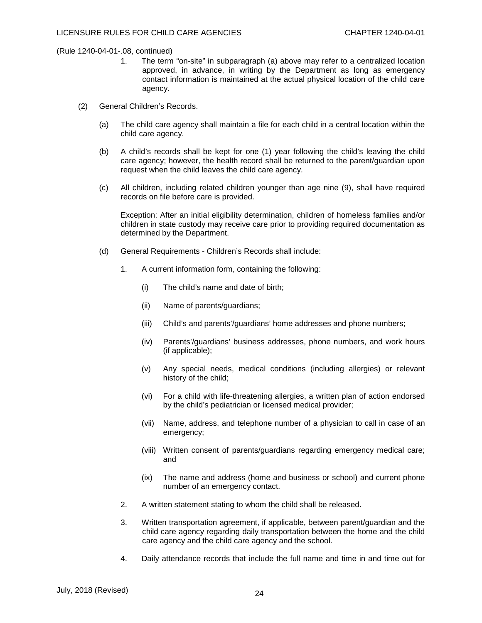- 1. The term "on-site" in subparagraph (a) above may refer to a centralized location approved, in advance, in writing by the Department as long as emergency contact information is maintained at the actual physical location of the child care agency.
- (2) General Children's Records.
	- (a) The child care agency shall maintain a file for each child in a central location within the child care agency.
	- (b) A child's records shall be kept for one (1) year following the child's leaving the child care agency; however, the health record shall be returned to the parent/guardian upon request when the child leaves the child care agency.
	- (c) All children, including related children younger than age nine (9), shall have required records on file before care is provided.

Exception: After an initial eligibility determination, children of homeless families and/or children in state custody may receive care prior to providing required documentation as determined by the Department.

- (d) General Requirements Children's Records shall include:
	- 1. A current information form, containing the following:
		- (i) The child's name and date of birth;
		- (ii) Name of parents/guardians;
		- (iii) Child's and parents'/guardians' home addresses and phone numbers;
		- (iv) Parents'/guardians' business addresses, phone numbers, and work hours (if applicable);
		- (v) Any special needs, medical conditions (including allergies) or relevant history of the child;
		- (vi) For a child with life-threatening allergies, a written plan of action endorsed by the child's pediatrician or licensed medical provider;
		- (vii) Name, address, and telephone number of a physician to call in case of an emergency;
		- (viii) Written consent of parents/guardians regarding emergency medical care; and
		- (ix) The name and address (home and business or school) and current phone number of an emergency contact.
	- 2. A written statement stating to whom the child shall be released.
	- 3. Written transportation agreement, if applicable, between parent/guardian and the child care agency regarding daily transportation between the home and the child care agency and the child care agency and the school.
	- 4. Daily attendance records that include the full name and time in and time out for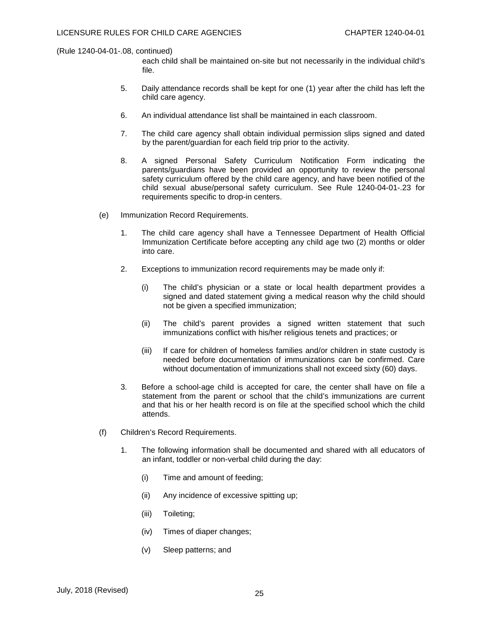each child shall be maintained on-site but not necessarily in the individual child's file.

- 5. Daily attendance records shall be kept for one (1) year after the child has left the child care agency.
- 6. An individual attendance list shall be maintained in each classroom.
- 7. The child care agency shall obtain individual permission slips signed and dated by the parent/guardian for each field trip prior to the activity.
- 8. A signed Personal Safety Curriculum Notification Form indicating the parents/guardians have been provided an opportunity to review the personal safety curriculum offered by the child care agency, and have been notified of the child sexual abuse/personal safety curriculum. See Rule 1240-04-01-.23 for requirements specific to drop-in centers.
- (e) Immunization Record Requirements.
	- 1. The child care agency shall have a Tennessee Department of Health Official Immunization Certificate before accepting any child age two (2) months or older into care.
	- 2. Exceptions to immunization record requirements may be made only if:
		- (i) The child's physician or a state or local health department provides a signed and dated statement giving a medical reason why the child should not be given a specified immunization;
		- (ii) The child's parent provides a signed written statement that such immunizations conflict with his/her religious tenets and practices; or
		- (iii) If care for children of homeless families and/or children in state custody is needed before documentation of immunizations can be confirmed. Care without documentation of immunizations shall not exceed sixty (60) days.
	- 3. Before a school-age child is accepted for care, the center shall have on file a statement from the parent or school that the child's immunizations are current and that his or her health record is on file at the specified school which the child attends.
- (f) Children's Record Requirements.
	- 1. The following information shall be documented and shared with all educators of an infant, toddler or non-verbal child during the day:
		- (i) Time and amount of feeding;
		- (ii) Any incidence of excessive spitting up;
		- (iii) Toileting;
		- (iv) Times of diaper changes;
		- (v) Sleep patterns; and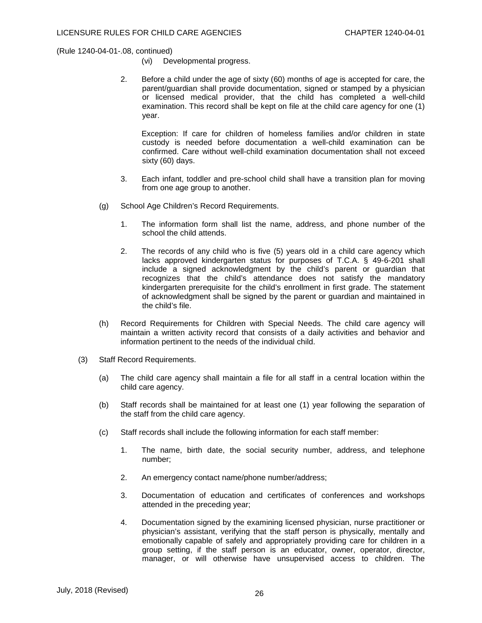- (vi) Developmental progress.
- 2. Before a child under the age of sixty (60) months of age is accepted for care, the parent/guardian shall provide documentation, signed or stamped by a physician or licensed medical provider, that the child has completed a well-child examination. This record shall be kept on file at the child care agency for one (1) year.

Exception: If care for children of homeless families and/or children in state custody is needed before documentation a well-child examination can be confirmed. Care without well-child examination documentation shall not exceed sixty (60) days.

- 3. Each infant, toddler and pre-school child shall have a transition plan for moving from one age group to another.
- (g) School Age Children's Record Requirements.
	- 1. The information form shall list the name, address, and phone number of the school the child attends.
	- 2. The records of any child who is five (5) years old in a child care agency which lacks approved kindergarten status for purposes of T.C.A. § 49-6-201 shall include a signed acknowledgment by the child's parent or guardian that recognizes that the child's attendance does not satisfy the mandatory kindergarten prerequisite for the child's enrollment in first grade. The statement of acknowledgment shall be signed by the parent or guardian and maintained in the child's file.
- (h) Record Requirements for Children with Special Needs. The child care agency will maintain a written activity record that consists of a daily activities and behavior and information pertinent to the needs of the individual child.
- (3) Staff Record Requirements.
	- (a) The child care agency shall maintain a file for all staff in a central location within the child care agency.
	- (b) Staff records shall be maintained for at least one (1) year following the separation of the staff from the child care agency.
	- (c) Staff records shall include the following information for each staff member:
		- 1. The name, birth date, the social security number, address, and telephone number;
		- 2. An emergency contact name/phone number/address;
		- 3. Documentation of education and certificates of conferences and workshops attended in the preceding year;
		- 4. Documentation signed by the examining licensed physician, nurse practitioner or physician's assistant, verifying that the staff person is physically, mentally and emotionally capable of safely and appropriately providing care for children in a group setting, if the staff person is an educator, owner, operator, director, manager, or will otherwise have unsupervised access to children. The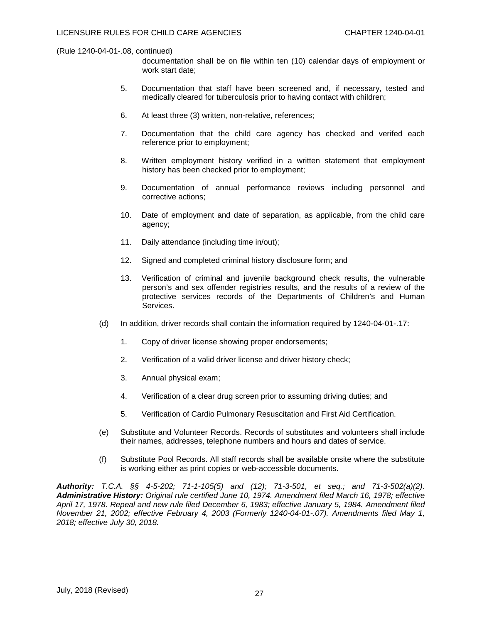documentation shall be on file within ten (10) calendar days of employment or work start date;

- 5. Documentation that staff have been screened and, if necessary, tested and medically cleared for tuberculosis prior to having contact with children;
- 6. At least three (3) written, non-relative, references;
- 7. Documentation that the child care agency has checked and verifed each reference prior to employment;
- 8. Written employment history verified in a written statement that employment history has been checked prior to employment;
- 9. Documentation of annual performance reviews including personnel and corrective actions;
- 10. Date of employment and date of separation, as applicable, from the child care agency;
- 11. Daily attendance (including time in/out);
- 12. Signed and completed criminal history disclosure form; and
- 13. Verification of criminal and juvenile background check results, the vulnerable person's and sex offender registries results, and the results of a review of the protective services records of the Departments of Children's and Human Services.
- (d) In addition, driver records shall contain the information required by 1240-04-01-.17:
	- 1. Copy of driver license showing proper endorsements;
	- 2. Verification of a valid driver license and driver history check;
	- 3. Annual physical exam;
	- 4. Verification of a clear drug screen prior to assuming driving duties; and
	- 5. Verification of Cardio Pulmonary Resuscitation and First Aid Certification.
- (e) Substitute and Volunteer Records. Records of substitutes and volunteers shall include their names, addresses, telephone numbers and hours and dates of service.
- (f) Substitute Pool Records. All staff records shall be available onsite where the substitute is working either as print copies or web-accessible documents.

*Authority: T.C.A. §§ 4-5-202; 71-1-105(5) and (12); 71-3-501, et seq.; and 71-3-502(a)(2). Administrative History: Original rule certified June 10, 1974. Amendment filed March 16, 1978; effective April 17, 1978. Repeal and new rule filed December 6, 1983; effective January 5, 1984. Amendment filed November 21, 2002; effective February 4, 2003 (Formerly 1240-04-01-.07). Amendments filed May 1, 2018; effective July 30, 2018.*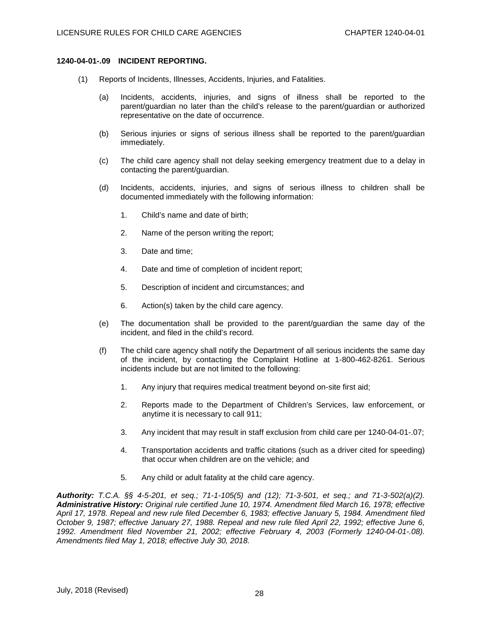# **1240-04-01-.09 INCIDENT REPORTING.**

- (1) Reports of Incidents, Illnesses, Accidents, Injuries, and Fatalities.
	- (a) Incidents, accidents, injuries, and signs of illness shall be reported to the parent/guardian no later than the child's release to the parent/guardian or authorized representative on the date of occurrence.
	- (b) Serious injuries or signs of serious illness shall be reported to the parent/guardian immediately.
	- (c) The child care agency shall not delay seeking emergency treatment due to a delay in contacting the parent/guardian.
	- (d) Incidents, accidents, injuries, and signs of serious illness to children shall be documented immediately with the following information:
		- 1. Child's name and date of birth;
		- 2. Name of the person writing the report;
		- 3. Date and time;
		- 4. Date and time of completion of incident report;
		- 5. Description of incident and circumstances; and
		- 6. Action(s) taken by the child care agency.
	- (e) The documentation shall be provided to the parent/guardian the same day of the incident, and filed in the child's record.
	- (f) The child care agency shall notify the Department of all serious incidents the same day of the incident, by contacting the Complaint Hotline at 1-800-462-8261. Serious incidents include but are not limited to the following:
		- 1. Any injury that requires medical treatment beyond on-site first aid;
		- 2. Reports made to the Department of Children's Services, law enforcement, or anytime it is necessary to call 911;
		- 3. Any incident that may result in staff exclusion from child care per 1240-04-01-.07;
		- 4. Transportation accidents and traffic citations (such as a driver cited for speeding) that occur when children are on the vehicle; and
		- 5. Any child or adult fatality at the child care agency.

*Authority: T.C.A. §§ 4-5-201, et seq.; 71-1-105(5) and (12); 71-3-501, et seq.; and 71-3-502(a)(2). Administrative History: Original rule certified June 10, 1974. Amendment filed March 16, 1978; effective April 17, 1978. Repeal and new rule filed December 6, 1983; effective January 5, 1984. Amendment filed October 9, 1987; effective January 27, 1988. Repeal and new rule filed April 22, 1992; effective June 6, 1992. Amendment filed November 21, 2002; effective February 4, 2003 (Formerly 1240-04-01-.08). Amendments filed May 1, 2018; effective July 30, 2018.*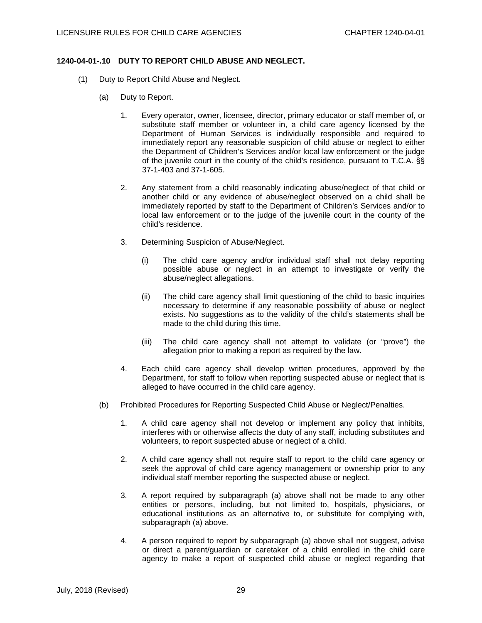# **1240-04-01-.10 DUTY TO REPORT CHILD ABUSE AND NEGLECT.**

- (1) Duty to Report Child Abuse and Neglect.
	- (a) Duty to Report.
		- 1. Every operator, owner, licensee, director, primary educator or staff member of, or substitute staff member or volunteer in, a child care agency licensed by the Department of Human Services is individually responsible and required to immediately report any reasonable suspicion of child abuse or neglect to either the Department of Children's Services and/or local law enforcement or the judge of the juvenile court in the county of the child's residence, pursuant to T.C.A. §§ 37-1-403 and 37-1-605.
		- 2. Any statement from a child reasonably indicating abuse/neglect of that child or another child or any evidence of abuse/neglect observed on a child shall be immediately reported by staff to the Department of Children's Services and/or to local law enforcement or to the judge of the juvenile court in the county of the child's residence.
		- 3. Determining Suspicion of Abuse/Neglect.
			- (i) The child care agency and/or individual staff shall not delay reporting possible abuse or neglect in an attempt to investigate or verify the abuse/neglect allegations.
			- (ii) The child care agency shall limit questioning of the child to basic inquiries necessary to determine if any reasonable possibility of abuse or neglect exists. No suggestions as to the validity of the child's statements shall be made to the child during this time.
			- (iii) The child care agency shall not attempt to validate (or "prove") the allegation prior to making a report as required by the law.
		- 4. Each child care agency shall develop written procedures, approved by the Department, for staff to follow when reporting suspected abuse or neglect that is alleged to have occurred in the child care agency.
	- (b) Prohibited Procedures for Reporting Suspected Child Abuse or Neglect/Penalties.
		- 1. A child care agency shall not develop or implement any policy that inhibits, interferes with or otherwise affects the duty of any staff, including substitutes and volunteers, to report suspected abuse or neglect of a child.
		- 2. A child care agency shall not require staff to report to the child care agency or seek the approval of child care agency management or ownership prior to any individual staff member reporting the suspected abuse or neglect.
		- 3. A report required by subparagraph (a) above shall not be made to any other entities or persons, including, but not limited to, hospitals, physicians, or educational institutions as an alternative to, or substitute for complying with, subparagraph (a) above.
		- 4. A person required to report by subparagraph (a) above shall not suggest, advise or direct a parent/guardian or caretaker of a child enrolled in the child care agency to make a report of suspected child abuse or neglect regarding that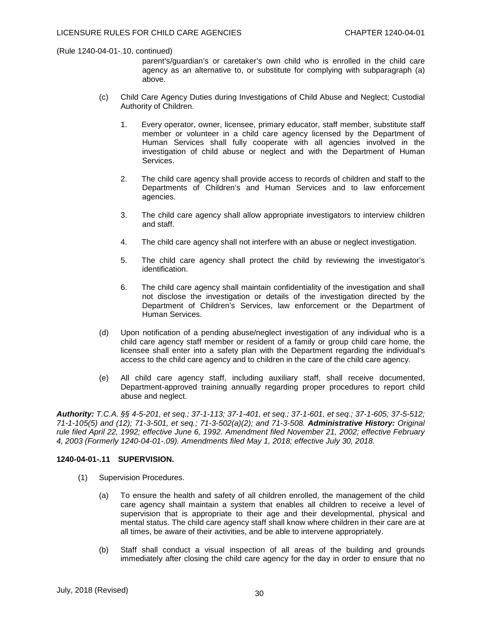parent's/guardian's or caretaker's own child who is enrolled in the child care agency as an alternative to, or substitute for complying with subparagraph (a) above.

- (c) Child Care Agency Duties during Investigations of Child Abuse and Neglect; Custodial Authority of Children.
	- 1. Every operator, owner, licensee, primary educator, staff member, substitute staff member or volunteer in a child care agency licensed by the Department of Human Services shall fully cooperate with all agencies involved in the investigation of child abuse or neglect and with the Department of Human Services.
	- 2. The child care agency shall provide access to records of children and staff to the Departments of Children's and Human Services and to law enforcement agencies.
	- 3. The child care agency shall allow appropriate investigators to interview children and staff.
	- 4. The child care agency shall not interfere with an abuse or neglect investigation.
	- 5. The child care agency shall protect the child by reviewing the investigator's identification.
	- 6. The child care agency shall maintain confidentiality of the investigation and shall not disclose the investigation or details of the investigation directed by the Department of Children's Services, law enforcement or the Department of Human Services.
- (d) Upon notification of a pending abuse/neglect investigation of any individual who is a child care agency staff member or resident of a family or group child care home, the licensee shall enter into a safety plan with the Department regarding the individual's access to the child care agency and to children in the care of the child care agency.
- (e) All child care agency staff, including auxiliary staff, shall receive documented, Department-approved training annually regarding proper procedures to report child abuse and neglect.

*Authority: T.C.A. §§ 4-5-201, et seq.; 37-1-113; 37-1-401, et seq.; 37-1-601, et seq.; 37-1-605; 37-5-512; 71-1-105(5) and (12); 71-3-501, et seq.; 71-3-502(a)(2); and 71-3-508. Administrative History: Original rule filed April 22, 1992; effective June 6, 1992. Amendment filed November 21, 2002; effective February 4, 2003 (Formerly 1240-04-01-.09). Amendments filed May 1, 2018; effective July 30, 2018.*

# **1240-04-01-.11 SUPERVISION.**

- (1) Supervision Procedures.
	- (a) To ensure the health and safety of all children enrolled, the management of the child care agency shall maintain a system that enables all children to receive a level of supervision that is appropriate to their age and their developmental, physical and mental status. The child care agency staff shall know where children in their care are at all times, be aware of their activities, and be able to intervene appropriately.
	- (b) Staff shall conduct a visual inspection of all areas of the building and grounds immediately after closing the child care agency for the day in order to ensure that no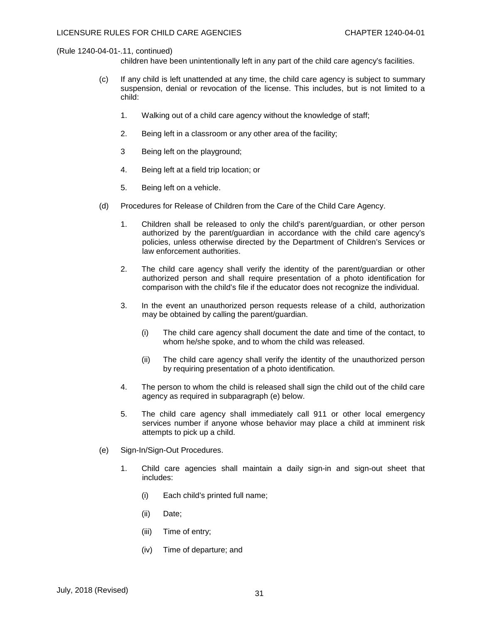children have been unintentionally left in any part of the child care agency's facilities.

- (c) If any child is left unattended at any time, the child care agency is subject to summary suspension, denial or revocation of the license. This includes, but is not limited to a child:
	- 1. Walking out of a child care agency without the knowledge of staff;
	- 2. Being left in a classroom or any other area of the facility;
	- 3 Being left on the playground;
	- 4. Being left at a field trip location; or
	- 5. Being left on a vehicle.
- (d) Procedures for Release of Children from the Care of the Child Care Agency.
	- 1. Children shall be released to only the child's parent/guardian, or other person authorized by the parent/guardian in accordance with the child care agency's policies, unless otherwise directed by the Department of Children's Services or law enforcement authorities.
	- 2. The child care agency shall verify the identity of the parent/guardian or other authorized person and shall require presentation of a photo identification for comparison with the child's file if the educator does not recognize the individual.
	- 3. In the event an unauthorized person requests release of a child, authorization may be obtained by calling the parent/guardian.
		- (i) The child care agency shall document the date and time of the contact, to whom he/she spoke, and to whom the child was released.
		- (ii) The child care agency shall verify the identity of the unauthorized person by requiring presentation of a photo identification.
	- 4. The person to whom the child is released shall sign the child out of the child care agency as required in subparagraph (e) below.
	- 5. The child care agency shall immediately call 911 or other local emergency services number if anyone whose behavior may place a child at imminent risk attempts to pick up a child.
- (e) Sign-In/Sign-Out Procedures.
	- 1. Child care agencies shall maintain a daily sign-in and sign-out sheet that includes:
		- (i) Each child's printed full name;
		- (ii) Date;
		- (iii) Time of entry;
		- (iv) Time of departure; and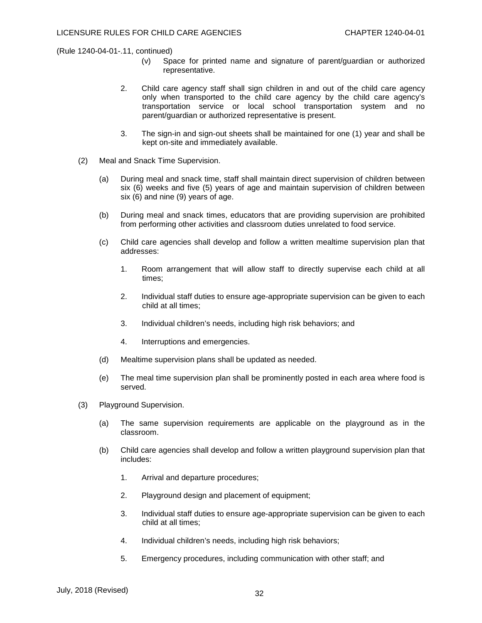- (v) Space for printed name and signature of parent/guardian or authorized representative.
- 2. Child care agency staff shall sign children in and out of the child care agency only when transported to the child care agency by the child care agency's transportation service or local school transportation system and no parent/guardian or authorized representative is present.
- 3. The sign-in and sign-out sheets shall be maintained for one (1) year and shall be kept on-site and immediately available.
- (2) Meal and Snack Time Supervision.
	- (a) During meal and snack time, staff shall maintain direct supervision of children between six (6) weeks and five (5) years of age and maintain supervision of children between six (6) and nine (9) years of age.
	- (b) During meal and snack times, educators that are providing supervision are prohibited from performing other activities and classroom duties unrelated to food service.
	- (c) Child care agencies shall develop and follow a written mealtime supervision plan that addresses:
		- 1. Room arrangement that will allow staff to directly supervise each child at all times;
		- 2. Individual staff duties to ensure age-appropriate supervision can be given to each child at all times;
		- 3. Individual children's needs, including high risk behaviors; and
		- 4. Interruptions and emergencies.
	- (d) Mealtime supervision plans shall be updated as needed.
	- (e) The meal time supervision plan shall be prominently posted in each area where food is served.
- (3) Playground Supervision.
	- (a) The same supervision requirements are applicable on the playground as in the classroom.
	- (b) Child care agencies shall develop and follow a written playground supervision plan that includes:
		- 1. Arrival and departure procedures;
		- 2. Playground design and placement of equipment;
		- 3. Individual staff duties to ensure age-appropriate supervision can be given to each child at all times;
		- 4. Individual children's needs, including high risk behaviors;
		- 5. Emergency procedures, including communication with other staff; and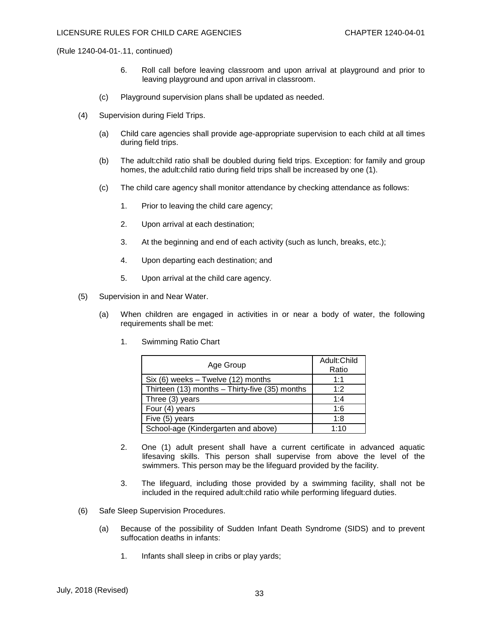- 6. Roll call before leaving classroom and upon arrival at playground and prior to leaving playground and upon arrival in classroom.
- (c) Playground supervision plans shall be updated as needed.
- (4) Supervision during Field Trips.
	- (a) Child care agencies shall provide age-appropriate supervision to each child at all times during field trips.
	- (b) The adult:child ratio shall be doubled during field trips. Exception: for family and group homes, the adult:child ratio during field trips shall be increased by one (1).
	- (c) The child care agency shall monitor attendance by checking attendance as follows:
		- 1. Prior to leaving the child care agency;
		- 2. Upon arrival at each destination;
		- 3. At the beginning and end of each activity (such as lunch, breaks, etc.);
		- 4. Upon departing each destination; and
		- 5. Upon arrival at the child care agency.
- (5) Supervision in and Near Water.
	- (a) When children are engaged in activities in or near a body of water, the following requirements shall be met:
		- 1. Swimming Ratio Chart

| Age Group                                      | Adult: Child<br>Ratio |
|------------------------------------------------|-----------------------|
| $Six (6) weeks - Twelve (12) months$           | 1:1                   |
| Thirteen (13) months - Thirty-five (35) months | 1:2                   |
| Three (3) years                                | 1:4                   |
| Four (4) years                                 | 1:6                   |
| Five (5) years                                 | 1:8                   |
| School-age (Kindergarten and above)            | 1:10                  |

- 2. One (1) adult present shall have a current certificate in advanced aquatic lifesaving skills. This person shall supervise from above the level of the swimmers. This person may be the lifeguard provided by the facility.
- 3. The lifeguard, including those provided by a swimming facility, shall not be included in the required adult:child ratio while performing lifeguard duties.
- (6) Safe Sleep Supervision Procedures.
	- (a) Because of the possibility of Sudden Infant Death Syndrome (SIDS) and to prevent suffocation deaths in infants:
		- 1. Infants shall sleep in cribs or play yards;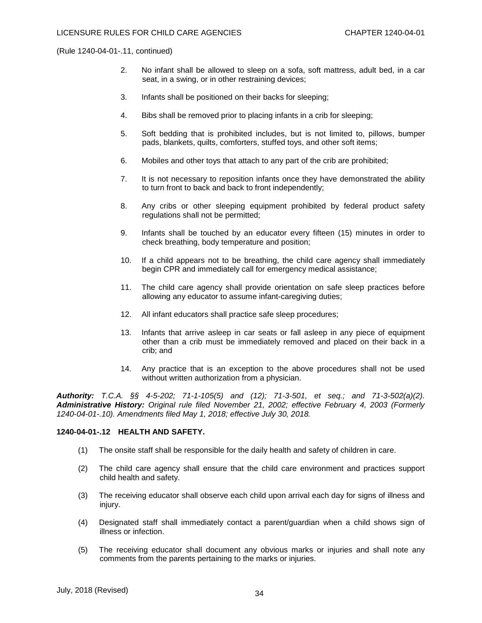- 2. No infant shall be allowed to sleep on a sofa, soft mattress, adult bed, in a car seat, in a swing, or in other restraining devices;
- 3. Infants shall be positioned on their backs for sleeping;
- 4. Bibs shall be removed prior to placing infants in a crib for sleeping;
- 5. Soft bedding that is prohibited includes, but is not limited to, pillows, bumper pads, blankets, quilts, comforters, stuffed toys, and other soft items;
- 6. Mobiles and other toys that attach to any part of the crib are prohibited;
- 7. It is not necessary to reposition infants once they have demonstrated the ability to turn front to back and back to front independently;
- 8. Any cribs or other sleeping equipment prohibited by federal product safety regulations shall not be permitted;
- 9. Infants shall be touched by an educator every fifteen (15) minutes in order to check breathing, body temperature and position;
- 10. If a child appears not to be breathing, the child care agency shall immediately begin CPR and immediately call for emergency medical assistance;
- 11. The child care agency shall provide orientation on safe sleep practices before allowing any educator to assume infant-caregiving duties;
- 12. All infant educators shall practice safe sleep procedures;
- 13. Infants that arrive asleep in car seats or fall asleep in any piece of equipment other than a crib must be immediately removed and placed on their back in a crib; and
- 14. Any practice that is an exception to the above procedures shall not be used without written authorization from a physician.

*Authority: T.C.A. §§ 4-5-202; 71-1-105(5) and (12); 71-3-501, et seq.; and 71-3-502(a)(2). Administrative History: Original rule filed November 21, 2002; effective February 4, 2003 (Formerly 1240-04-01-.10). Amendments filed May 1, 2018; effective July 30, 2018.*

#### **1240-04-01-.12 HEALTH AND SAFETY.**

- (1) The onsite staff shall be responsible for the daily health and safety of children in care.
- (2) The child care agency shall ensure that the child care environment and practices support child health and safety.
- (3) The receiving educator shall observe each child upon arrival each day for signs of illness and injury.
- (4) Designated staff shall immediately contact a parent/guardian when a child shows sign of illness or infection.
- (5) The receiving educator shall document any obvious marks or injuries and shall note any comments from the parents pertaining to the marks or injuries.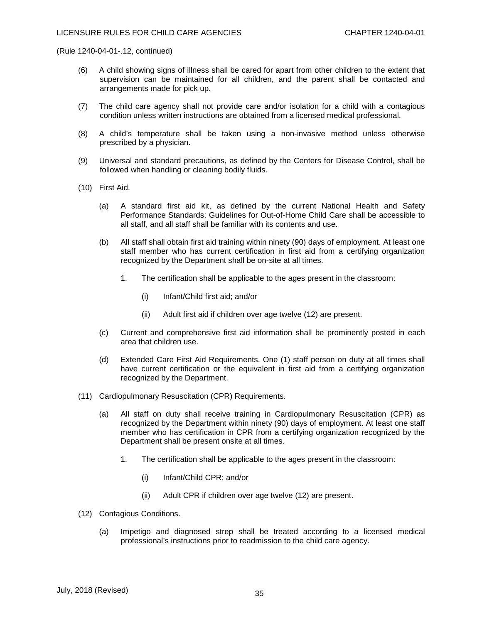- (6) A child showing signs of illness shall be cared for apart from other children to the extent that supervision can be maintained for all children, and the parent shall be contacted and arrangements made for pick up.
- (7) The child care agency shall not provide care and/or isolation for a child with a contagious condition unless written instructions are obtained from a licensed medical professional.
- (8) A child's temperature shall be taken using a non-invasive method unless otherwise prescribed by a physician.
- (9) Universal and standard precautions, as defined by the Centers for Disease Control, shall be followed when handling or cleaning bodily fluids.
- (10) First Aid.
	- (a) A standard first aid kit, as defined by the current National Health and Safety Performance Standards: Guidelines for Out-of-Home Child Care shall be accessible to all staff, and all staff shall be familiar with its contents and use.
	- (b) All staff shall obtain first aid training within ninety (90) days of employment. At least one staff member who has current certification in first aid from a certifying organization recognized by the Department shall be on-site at all times.
		- 1. The certification shall be applicable to the ages present in the classroom:
			- (i) Infant/Child first aid; and/or
			- (ii) Adult first aid if children over age twelve (12) are present.
	- (c) Current and comprehensive first aid information shall be prominently posted in each area that children use.
	- (d) Extended Care First Aid Requirements. One (1) staff person on duty at all times shall have current certification or the equivalent in first aid from a certifying organization recognized by the Department.
- (11) Cardiopulmonary Resuscitation (CPR) Requirements.
	- (a) All staff on duty shall receive training in Cardiopulmonary Resuscitation (CPR) as recognized by the Department within ninety (90) days of employment. At least one staff member who has certification in CPR from a certifying organization recognized by the Department shall be present onsite at all times.
		- 1. The certification shall be applicable to the ages present in the classroom:
			- (i) Infant/Child CPR; and/or
			- (ii) Adult CPR if children over age twelve (12) are present.
- (12) Contagious Conditions.
	- (a) Impetigo and diagnosed strep shall be treated according to a licensed medical professional's instructions prior to readmission to the child care agency.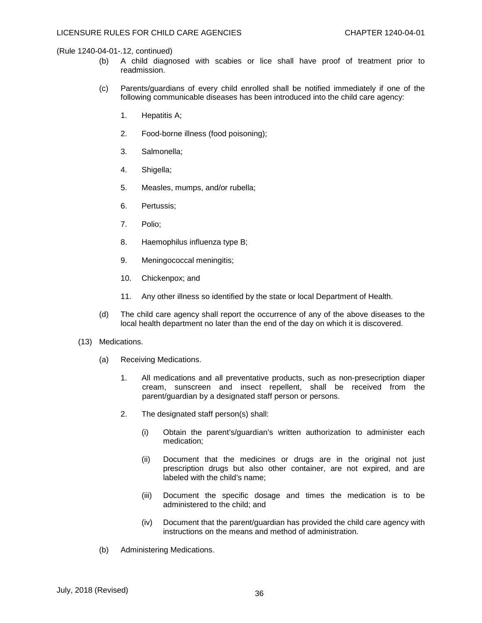- (b) A child diagnosed with scabies or lice shall have proof of treatment prior to readmission.
- (c) Parents/guardians of every child enrolled shall be notified immediately if one of the following communicable diseases has been introduced into the child care agency:
	- 1. Hepatitis A;
	- 2. Food-borne illness (food poisoning);
	- 3. Salmonella;
	- 4. Shigella;
	- 5. Measles, mumps, and/or rubella;
	- 6. Pertussis;
	- 7. Polio;
	- 8. Haemophilus influenza type B;
	- 9. Meningococcal meningitis;
	- 10. Chickenpox; and
	- 11. Any other illness so identified by the state or local Department of Health.
- (d) The child care agency shall report the occurrence of any of the above diseases to the local health department no later than the end of the day on which it is discovered.
- (13) Medications.
	- (a) Receiving Medications.
		- 1. All medications and all preventative products, such as non-presecription diaper cream, sunscreen and insect repellent, shall be received from the parent/guardian by a designated staff person or persons.
		- 2. The designated staff person(s) shall:
			- (i) Obtain the parent's/guardian's written authorization to administer each medication;
			- (ii) Document that the medicines or drugs are in the original not just prescription drugs but also other container, are not expired, and are labeled with the child's name;
			- (iii) Document the specific dosage and times the medication is to be administered to the child; and
			- (iv) Document that the parent/guardian has provided the child care agency with instructions on the means and method of administration.
	- (b) Administering Medications.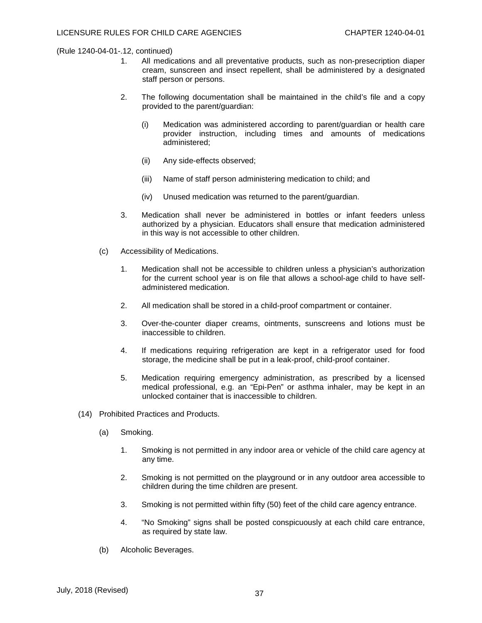- 1. All medications and all preventative products, such as non-presecription diaper cream, sunscreen and insect repellent, shall be administered by a designated staff person or persons.
- 2. The following documentation shall be maintained in the child's file and a copy provided to the parent/guardian:
	- (i) Medication was administered according to parent/guardian or health care provider instruction, including times and amounts of medications administered;
	- (ii) Any side-effects observed;
	- (iii) Name of staff person administering medication to child; and
	- (iv) Unused medication was returned to the parent/guardian.
- 3. Medication shall never be administered in bottles or infant feeders unless authorized by a physician. Educators shall ensure that medication administered in this way is not accessible to other children.
- (c) Accessibility of Medications.
	- 1. Medication shall not be accessible to children unless a physician's authorization for the current school year is on file that allows a school-age child to have selfadministered medication.
	- 2. All medication shall be stored in a child-proof compartment or container.
	- 3. Over-the-counter diaper creams, ointments, sunscreens and lotions must be inaccessible to children.
	- 4. If medications requiring refrigeration are kept in a refrigerator used for food storage, the medicine shall be put in a leak-proof, child-proof container.
	- 5. Medication requiring emergency administration, as prescribed by a licensed medical professional, e.g. an "Epi-Pen" or asthma inhaler, may be kept in an unlocked container that is inaccessible to children.
- (14) Prohibited Practices and Products.
	- (a) Smoking.
		- 1. Smoking is not permitted in any indoor area or vehicle of the child care agency at any time.
		- 2. Smoking is not permitted on the playground or in any outdoor area accessible to children during the time children are present.
		- 3. Smoking is not permitted within fifty (50) feet of the child care agency entrance.
		- 4. "No Smoking" signs shall be posted conspicuously at each child care entrance, as required by state law.
	- (b) Alcoholic Beverages.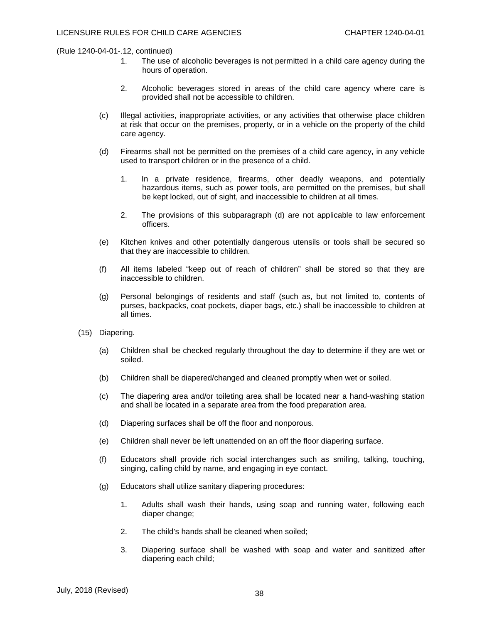- 1. The use of alcoholic beverages is not permitted in a child care agency during the hours of operation.
- 2. Alcoholic beverages stored in areas of the child care agency where care is provided shall not be accessible to children.
- (c) Illegal activities, inappropriate activities, or any activities that otherwise place children at risk that occur on the premises, property, or in a vehicle on the property of the child care agency.
- (d) Firearms shall not be permitted on the premises of a child care agency, in any vehicle used to transport children or in the presence of a child.
	- 1. In a private residence, firearms, other deadly weapons, and potentially hazardous items, such as power tools, are permitted on the premises, but shall be kept locked, out of sight, and inaccessible to children at all times.
	- 2. The provisions of this subparagraph (d) are not applicable to law enforcement officers.
- (e) Kitchen knives and other potentially dangerous utensils or tools shall be secured so that they are inaccessible to children.
- (f) All items labeled "keep out of reach of children" shall be stored so that they are inaccessible to children.
- (g) Personal belongings of residents and staff (such as, but not limited to, contents of purses, backpacks, coat pockets, diaper bags, etc.) shall be inaccessible to children at all times.
- (15) Diapering.
	- (a) Children shall be checked regularly throughout the day to determine if they are wet or soiled.
	- (b) Children shall be diapered/changed and cleaned promptly when wet or soiled.
	- (c) The diapering area and/or toileting area shall be located near a hand-washing station and shall be located in a separate area from the food preparation area.
	- (d) Diapering surfaces shall be off the floor and nonporous.
	- (e) Children shall never be left unattended on an off the floor diapering surface.
	- (f) Educators shall provide rich social interchanges such as smiling, talking, touching, singing, calling child by name, and engaging in eye contact.
	- (g) Educators shall utilize sanitary diapering procedures:
		- 1. Adults shall wash their hands, using soap and running water, following each diaper change;
		- 2. The child's hands shall be cleaned when soiled;
		- 3. Diapering surface shall be washed with soap and water and sanitized after diapering each child;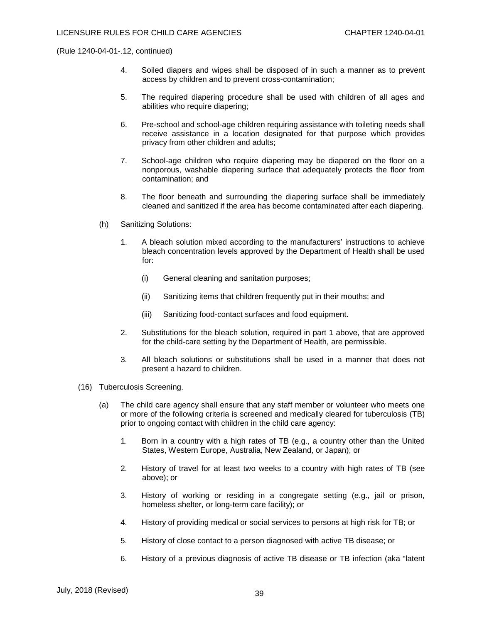- 4. Soiled diapers and wipes shall be disposed of in such a manner as to prevent access by children and to prevent cross-contamination;
- 5. The required diapering procedure shall be used with children of all ages and abilities who require diapering;
- 6. Pre-school and school-age children requiring assistance with toileting needs shall receive assistance in a location designated for that purpose which provides privacy from other children and adults;
- 7. School-age children who require diapering may be diapered on the floor on a nonporous, washable diapering surface that adequately protects the floor from contamination; and
- 8. The floor beneath and surrounding the diapering surface shall be immediately cleaned and sanitized if the area has become contaminated after each diapering.
- (h) Sanitizing Solutions:
	- 1. A bleach solution mixed according to the manufacturers' instructions to achieve bleach concentration levels approved by the Department of Health shall be used for:
		- (i) General cleaning and sanitation purposes;
		- (ii) Sanitizing items that children frequently put in their mouths; and
		- (iii) Sanitizing food-contact surfaces and food equipment.
	- 2. Substitutions for the bleach solution, required in part 1 above, that are approved for the child-care setting by the Department of Health, are permissible.
	- 3. All bleach solutions or substitutions shall be used in a manner that does not present a hazard to children.
- (16) Tuberculosis Screening.
	- (a) The child care agency shall ensure that any staff member or volunteer who meets one or more of the following criteria is screened and medically cleared for tuberculosis (TB) prior to ongoing contact with children in the child care agency:
		- 1. Born in a country with a high rates of TB (e.g., a country other than the United States, Western Europe, Australia, New Zealand, or Japan); or
		- 2. History of travel for at least two weeks to a country with high rates of TB (see above); or
		- 3. History of working or residing in a congregate setting (e.g., jail or prison, homeless shelter, or long-term care facility); or
		- 4. History of providing medical or social services to persons at high risk for TB; or
		- 5. History of close contact to a person diagnosed with active TB disease; or
		- 6. History of a previous diagnosis of active TB disease or TB infection (aka "latent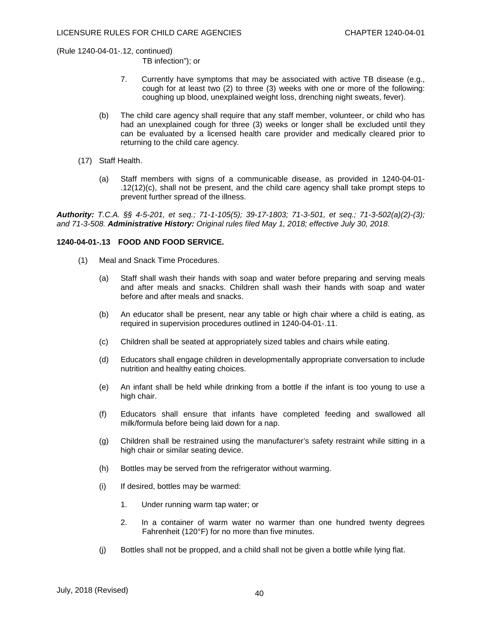TB infection"); or

- 7. Currently have symptoms that may be associated with active TB disease (e.g., cough for at least two (2) to three (3) weeks with one or more of the following: coughing up blood, unexplained weight loss, drenching night sweats, fever).
- (b) The child care agency shall require that any staff member, volunteer, or child who has had an unexplained cough for three (3) weeks or longer shall be excluded until they can be evaluated by a licensed health care provider and medically cleared prior to returning to the child care agency.
- (17) Staff Health.
	- (a) Staff members with signs of a communicable disease, as provided in 1240-04-01- .12(12)(c), shall not be present, and the child care agency shall take prompt steps to prevent further spread of the illness.

*Authority: T.C.A. §§ 4-5-201, et seq.; 71-1-105(5); 39-17-1803; 71-3-501, et seq.; 71-3-502(a)(2)-(3); and 71-3-508. Administrative History: Original rules filed May 1, 2018; effective July 30, 2018.*

# **1240-04-01-.13 FOOD AND FOOD SERVICE.**

- (1) Meal and Snack Time Procedures.
	- (a) Staff shall wash their hands with soap and water before preparing and serving meals and after meals and snacks. Children shall wash their hands with soap and water before and after meals and snacks.
	- (b) An educator shall be present, near any table or high chair where a child is eating, as required in supervision procedures outlined in 1240-04-01-.11.
	- (c) Children shall be seated at appropriately sized tables and chairs while eating.
	- (d) Educators shall engage children in developmentally appropriate conversation to include nutrition and healthy eating choices.
	- (e) An infant shall be held while drinking from a bottle if the infant is too young to use a high chair.
	- (f) Educators shall ensure that infants have completed feeding and swallowed all milk/formula before being laid down for a nap.
	- (g) Children shall be restrained using the manufacturer's safety restraint while sitting in a high chair or similar seating device.
	- (h) Bottles may be served from the refrigerator without warming.
	- (i) If desired, bottles may be warmed:
		- 1. Under running warm tap water; or
		- 2. In a container of warm water no warmer than one hundred twenty degrees Fahrenheit (120°F) for no more than five minutes.
	- (j) Bottles shall not be propped, and a child shall not be given a bottle while lying flat.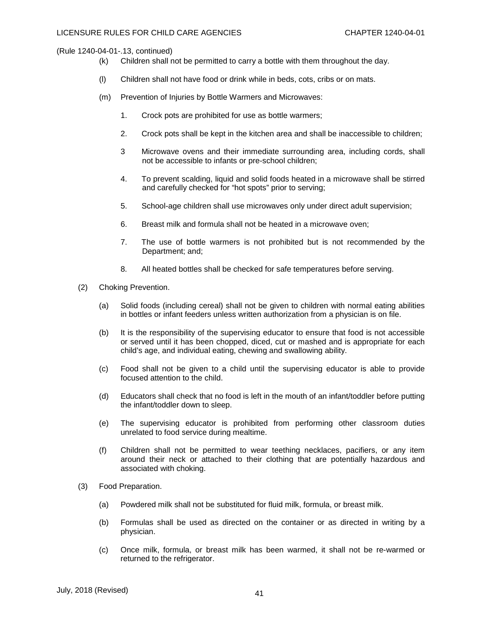- (k) Children shall not be permitted to carry a bottle with them throughout the day.
- (l) Children shall not have food or drink while in beds, cots, cribs or on mats.
- (m) Prevention of Injuries by Bottle Warmers and Microwaves:
	- 1. Crock pots are prohibited for use as bottle warmers;
	- 2. Crock pots shall be kept in the kitchen area and shall be inaccessible to children;
	- 3 Microwave ovens and their immediate surrounding area, including cords, shall not be accessible to infants or pre-school children;
	- 4. To prevent scalding, liquid and solid foods heated in a microwave shall be stirred and carefully checked for "hot spots" prior to serving;
	- 5. School-age children shall use microwaves only under direct adult supervision;
	- 6. Breast milk and formula shall not be heated in a microwave oven;
	- 7. The use of bottle warmers is not prohibited but is not recommended by the Department; and;
	- 8. All heated bottles shall be checked for safe temperatures before serving.
- (2) Choking Prevention.
	- (a) Solid foods (including cereal) shall not be given to children with normal eating abilities in bottles or infant feeders unless written authorization from a physician is on file.
	- (b) It is the responsibility of the supervising educator to ensure that food is not accessible or served until it has been chopped, diced, cut or mashed and is appropriate for each child's age, and individual eating, chewing and swallowing ability.
	- (c) Food shall not be given to a child until the supervising educator is able to provide focused attention to the child.
	- (d) Educators shall check that no food is left in the mouth of an infant/toddler before putting the infant/toddler down to sleep.
	- (e) The supervising educator is prohibited from performing other classroom duties unrelated to food service during mealtime.
	- (f) Children shall not be permitted to wear teething necklaces, pacifiers, or any item around their neck or attached to their clothing that are potentially hazardous and associated with choking.
- (3) Food Preparation.
	- (a) Powdered milk shall not be substituted for fluid milk, formula, or breast milk.
	- (b) Formulas shall be used as directed on the container or as directed in writing by a physician.
	- (c) Once milk, formula, or breast milk has been warmed, it shall not be re-warmed or returned to the refrigerator.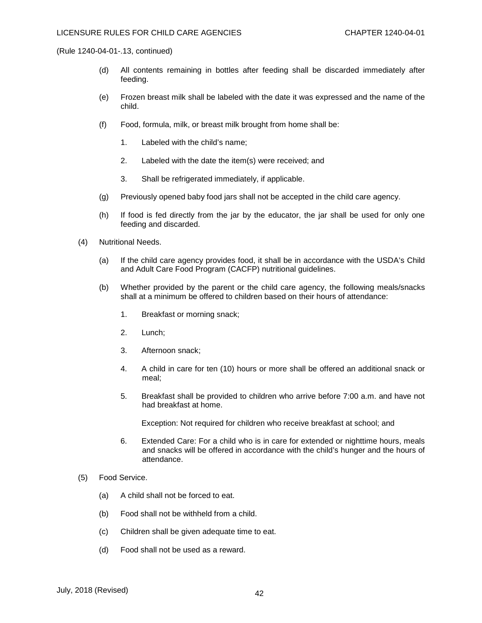- (d) All contents remaining in bottles after feeding shall be discarded immediately after feeding.
- (e) Frozen breast milk shall be labeled with the date it was expressed and the name of the child.
- (f) Food, formula, milk, or breast milk brought from home shall be:
	- 1. Labeled with the child's name;
	- 2. Labeled with the date the item(s) were received; and
	- 3. Shall be refrigerated immediately, if applicable.
- (g) Previously opened baby food jars shall not be accepted in the child care agency.
- (h) If food is fed directly from the jar by the educator, the jar shall be used for only one feeding and discarded.
- (4) Nutritional Needs.
	- (a) If the child care agency provides food, it shall be in accordance with the USDA's Child and Adult Care Food Program (CACFP) nutritional guidelines.
	- (b) Whether provided by the parent or the child care agency, the following meals/snacks shall at a minimum be offered to children based on their hours of attendance:
		- 1. Breakfast or morning snack;
		- 2. Lunch;
		- 3. Afternoon snack;
		- 4. A child in care for ten (10) hours or more shall be offered an additional snack or meal;
		- 5. Breakfast shall be provided to children who arrive before 7:00 a.m. and have not had breakfast at home.

Exception: Not required for children who receive breakfast at school; and

- 6. Extended Care: For a child who is in care for extended or nighttime hours, meals and snacks will be offered in accordance with the child's hunger and the hours of attendance.
- (5) Food Service.
	- (a) A child shall not be forced to eat.
	- (b) Food shall not be withheld from a child.
	- (c) Children shall be given adequate time to eat.
	- (d) Food shall not be used as a reward.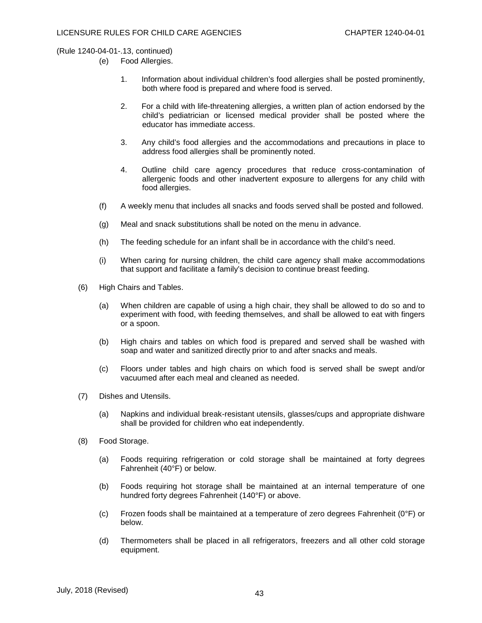- (e) Food Allergies.
	- 1. Information about individual children's food allergies shall be posted prominently, both where food is prepared and where food is served.
	- 2. For a child with life-threatening allergies, a written plan of action endorsed by the child's pediatrician or licensed medical provider shall be posted where the educator has immediate access.
	- 3. Any child's food allergies and the accommodations and precautions in place to address food allergies shall be prominently noted.
	- 4. Outline child care agency procedures that reduce cross-contamination of allergenic foods and other inadvertent exposure to allergens for any child with food allergies.
- (f) A weekly menu that includes all snacks and foods served shall be posted and followed.
- (g) Meal and snack substitutions shall be noted on the menu in advance.
- (h) The feeding schedule for an infant shall be in accordance with the child's need.
- (i) When caring for nursing children, the child care agency shall make accommodations that support and facilitate a family's decision to continue breast feeding.
- (6) High Chairs and Tables.
	- (a) When children are capable of using a high chair, they shall be allowed to do so and to experiment with food, with feeding themselves, and shall be allowed to eat with fingers or a spoon.
	- (b) High chairs and tables on which food is prepared and served shall be washed with soap and water and sanitized directly prior to and after snacks and meals.
	- (c) Floors under tables and high chairs on which food is served shall be swept and/or vacuumed after each meal and cleaned as needed.
- (7) Dishes and Utensils.
	- (a) Napkins and individual break-resistant utensils, glasses/cups and appropriate dishware shall be provided for children who eat independently.
- (8) Food Storage.
	- (a) Foods requiring refrigeration or cold storage shall be maintained at forty degrees Fahrenheit (40°F) or below.
	- (b) Foods requiring hot storage shall be maintained at an internal temperature of one hundred forty degrees Fahrenheit (140°F) or above.
	- (c) Frozen foods shall be maintained at a temperature of zero degrees Fahrenheit (0°F) or below.
	- (d) Thermometers shall be placed in all refrigerators, freezers and all other cold storage equipment.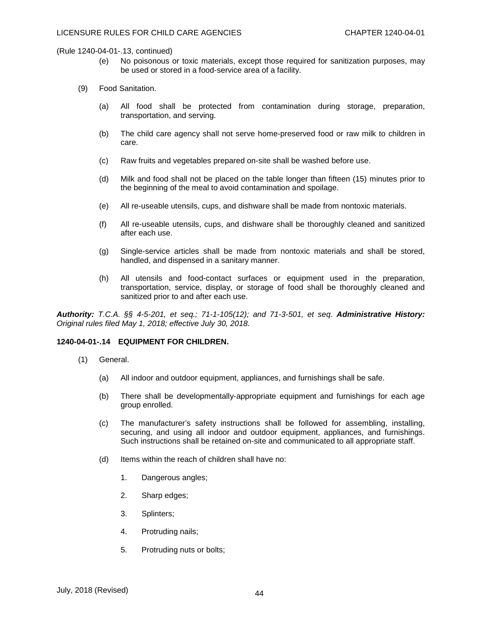- (e) No poisonous or toxic materials, except those required for sanitization purposes, may be used or stored in a food-service area of a facility.
- (9) Food Sanitation.
	- (a) All food shall be protected from contamination during storage, preparation, transportation, and serving.
	- (b) The child care agency shall not serve home-preserved food or raw milk to children in care.
	- (c) Raw fruits and vegetables prepared on-site shall be washed before use.
	- (d) Milk and food shall not be placed on the table longer than fifteen (15) minutes prior to the beginning of the meal to avoid contamination and spoilage.
	- (e) All re-useable utensils, cups, and dishware shall be made from nontoxic materials.
	- (f) All re-useable utensils, cups, and dishware shall be thoroughly cleaned and sanitized after each use.
	- (g) Single-service articles shall be made from nontoxic materials and shall be stored, handled, and dispensed in a sanitary manner.
	- (h) All utensils and food-contact surfaces or equipment used in the preparation, transportation, service, display, or storage of food shall be thoroughly cleaned and sanitized prior to and after each use.

*Authority: T.C.A. §§ 4-5-201, et seq.; 71-1-105(12); and 71-3-501, et seq. Administrative History: Original rules filed May 1, 2018; effective July 30, 2018.*

#### **1240-04-01-.14 EQUIPMENT FOR CHILDREN.**

- (1) General.
	- (a) All indoor and outdoor equipment, appliances, and furnishings shall be safe.
	- (b) There shall be developmentally-appropriate equipment and furnishings for each age group enrolled.
	- (c) The manufacturer's safety instructions shall be followed for assembling, installing, securing, and using all indoor and outdoor equipment, appliances, and furnishings. Such instructions shall be retained on-site and communicated to all appropriate staff.
	- (d) Items within the reach of children shall have no:
		- 1. Dangerous angles;
		- 2. Sharp edges;
		- 3. Splinters;
		- 4. Protruding nails;
		- 5. Protruding nuts or bolts;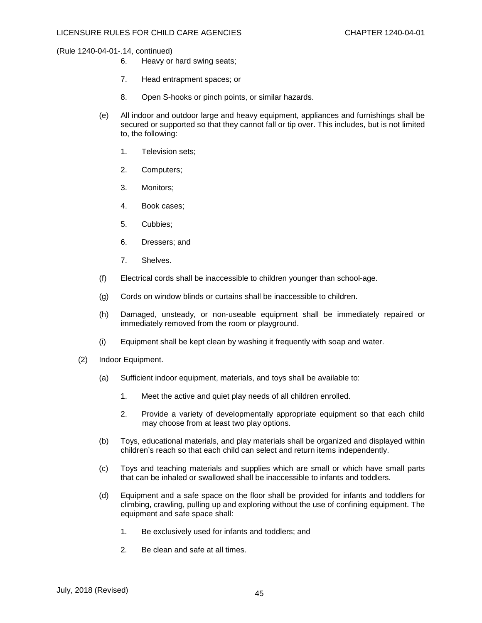- 6. Heavy or hard swing seats;
- 7. Head entrapment spaces; or
- 8. Open S-hooks or pinch points, or similar hazards.
- (e) All indoor and outdoor large and heavy equipment, appliances and furnishings shall be secured or supported so that they cannot fall or tip over. This includes, but is not limited to, the following:
	- 1. Television sets;
	- 2. Computers;
	- 3. Monitors;
	- 4. Book cases;
	- 5. Cubbies;
	- 6. Dressers; and
	- 7. Shelves.
- (f) Electrical cords shall be inaccessible to children younger than school-age.
- (g) Cords on window blinds or curtains shall be inaccessible to children.
- (h) Damaged, unsteady, or non-useable equipment shall be immediately repaired or immediately removed from the room or playground.
- (i) Equipment shall be kept clean by washing it frequently with soap and water.
- (2) Indoor Equipment.
	- (a) Sufficient indoor equipment, materials, and toys shall be available to:
		- 1. Meet the active and quiet play needs of all children enrolled.
		- 2. Provide a variety of developmentally appropriate equipment so that each child may choose from at least two play options.
	- (b) Toys, educational materials, and play materials shall be organized and displayed within children's reach so that each child can select and return items independently.
	- (c) Toys and teaching materials and supplies which are small or which have small parts that can be inhaled or swallowed shall be inaccessible to infants and toddlers.
	- (d) Equipment and a safe space on the floor shall be provided for infants and toddlers for climbing, crawling, pulling up and exploring without the use of confining equipment. The equipment and safe space shall:
		- 1. Be exclusively used for infants and toddlers; and
		- 2. Be clean and safe at all times.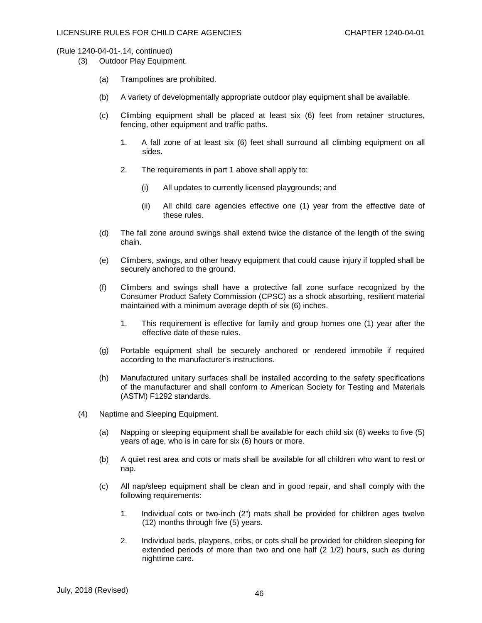- (3) Outdoor Play Equipment.
	- (a) Trampolines are prohibited.
	- (b) A variety of developmentally appropriate outdoor play equipment shall be available.
	- (c) Climbing equipment shall be placed at least six (6) feet from retainer structures, fencing, other equipment and traffic paths.
		- 1. A fall zone of at least six (6) feet shall surround all climbing equipment on all sides.
		- 2. The requirements in part 1 above shall apply to:
			- (i) All updates to currently licensed playgrounds; and
			- (ii) All child care agencies effective one (1) year from the effective date of these rules.
	- (d) The fall zone around swings shall extend twice the distance of the length of the swing chain.
	- (e) Climbers, swings, and other heavy equipment that could cause injury if toppled shall be securely anchored to the ground.
	- (f) Climbers and swings shall have a protective fall zone surface recognized by the Consumer Product Safety Commission (CPSC) as a shock absorbing, resilient material maintained with a minimum average depth of six (6) inches.
		- 1. This requirement is effective for family and group homes one (1) year after the effective date of these rules.
	- (g) Portable equipment shall be securely anchored or rendered immobile if required according to the manufacturer's instructions.
	- (h) Manufactured unitary surfaces shall be installed according to the safety specifications of the manufacturer and shall conform to American Society for Testing and Materials (ASTM) F1292 standards.
- (4) Naptime and Sleeping Equipment.
	- (a) Napping or sleeping equipment shall be available for each child six (6) weeks to five (5) years of age, who is in care for six (6) hours or more.
	- (b) A quiet rest area and cots or mats shall be available for all children who want to rest or nap.
	- (c) All nap/sleep equipment shall be clean and in good repair, and shall comply with the following requirements:
		- 1. Individual cots or two-inch (2") mats shall be provided for children ages twelve (12) months through five (5) years.
		- 2. Individual beds, playpens, cribs, or cots shall be provided for children sleeping for extended periods of more than two and one half (2 1/2) hours, such as during nighttime care.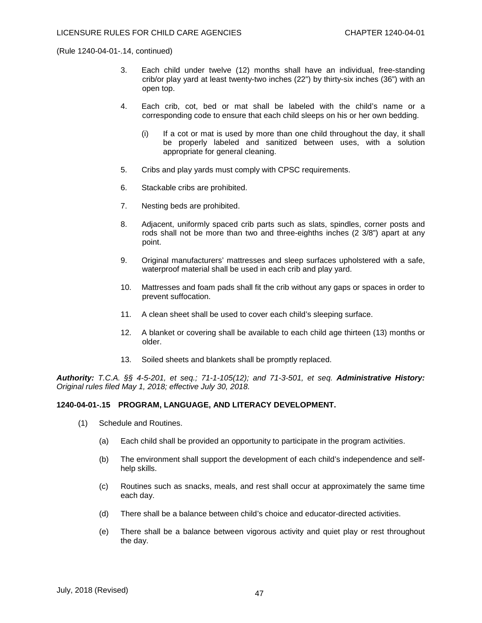- 3. Each child under twelve (12) months shall have an individual, free-standing crib/or play yard at least twenty-two inches (22") by thirty-six inches (36") with an open top.
- 4. Each crib, cot, bed or mat shall be labeled with the child's name or a corresponding code to ensure that each child sleeps on his or her own bedding.
	- (i) If a cot or mat is used by more than one child throughout the day, it shall be properly labeled and sanitized between uses, with a solution appropriate for general cleaning.
- 5. Cribs and play yards must comply with CPSC requirements.
- 6. Stackable cribs are prohibited.
- 7. Nesting beds are prohibited.
- 8. Adjacent, uniformly spaced crib parts such as slats, spindles, corner posts and rods shall not be more than two and three-eighths inches (2 3/8") apart at any point.
- 9. Original manufacturers' mattresses and sleep surfaces upholstered with a safe, waterproof material shall be used in each crib and play yard.
- 10. Mattresses and foam pads shall fit the crib without any gaps or spaces in order to prevent suffocation.
- 11. A clean sheet shall be used to cover each child's sleeping surface.
- 12. A blanket or covering shall be available to each child age thirteen (13) months or older.
- 13. Soiled sheets and blankets shall be promptly replaced.

*Authority: T.C.A. §§ 4-5-201, et seq.; 71-1-105(12); and 71-3-501, et seq. Administrative History: Original rules filed May 1, 2018; effective July 30, 2018.*

## **1240-04-01-.15 PROGRAM, LANGUAGE, AND LITERACY DEVELOPMENT.**

- (1) Schedule and Routines.
	- (a) Each child shall be provided an opportunity to participate in the program activities.
	- (b) The environment shall support the development of each child's independence and selfhelp skills.
	- (c) Routines such as snacks, meals, and rest shall occur at approximately the same time each day.
	- (d) There shall be a balance between child's choice and educator-directed activities.
	- (e) There shall be a balance between vigorous activity and quiet play or rest throughout the day.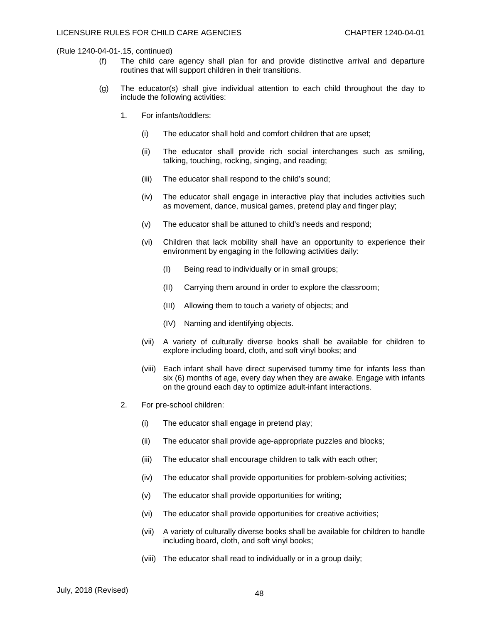- (f) The child care agency shall plan for and provide distinctive arrival and departure routines that will support children in their transitions.
- (g) The educator(s) shall give individual attention to each child throughout the day to include the following activities:
	- 1. For infants/toddlers:
		- (i) The educator shall hold and comfort children that are upset;
		- (ii) The educator shall provide rich social interchanges such as smiling, talking, touching, rocking, singing, and reading;
		- (iii) The educator shall respond to the child's sound;
		- (iv) The educator shall engage in interactive play that includes activities such as movement, dance, musical games, pretend play and finger play;
		- (v) The educator shall be attuned to child's needs and respond;
		- (vi) Children that lack mobility shall have an opportunity to experience their environment by engaging in the following activities daily:
			- (I) Being read to individually or in small groups;
			- (II) Carrying them around in order to explore the classroom;
			- (III) Allowing them to touch a variety of objects; and
			- (IV) Naming and identifying objects.
		- (vii) A variety of culturally diverse books shall be available for children to explore including board, cloth, and soft vinyl books; and
		- (viii) Each infant shall have direct supervised tummy time for infants less than six (6) months of age, every day when they are awake. Engage with infants on the ground each day to optimize adult-infant interactions.
	- 2. For pre-school children:
		- (i) The educator shall engage in pretend play;
		- (ii) The educator shall provide age-appropriate puzzles and blocks;
		- (iii) The educator shall encourage children to talk with each other;
		- (iv) The educator shall provide opportunities for problem-solving activities;
		- (v) The educator shall provide opportunities for writing;
		- (vi) The educator shall provide opportunities for creative activities;
		- (vii) A variety of culturally diverse books shall be available for children to handle including board, cloth, and soft vinyl books;
		- (viii) The educator shall read to individually or in a group daily;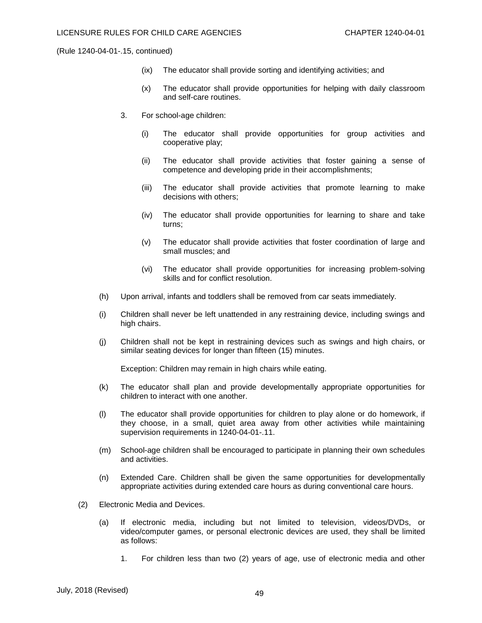- (ix) The educator shall provide sorting and identifying activities; and
- (x) The educator shall provide opportunities for helping with daily classroom and self-care routines.
- 3. For school-age children:
	- (i) The educator shall provide opportunities for group activities and cooperative play;
	- (ii) The educator shall provide activities that foster gaining a sense of competence and developing pride in their accomplishments;
	- (iii) The educator shall provide activities that promote learning to make decisions with others;
	- (iv) The educator shall provide opportunities for learning to share and take turns;
	- (v) The educator shall provide activities that foster coordination of large and small muscles; and
	- (vi) The educator shall provide opportunities for increasing problem-solving skills and for conflict resolution.
- (h) Upon arrival, infants and toddlers shall be removed from car seats immediately.
- (i) Children shall never be left unattended in any restraining device, including swings and high chairs.
- (j) Children shall not be kept in restraining devices such as swings and high chairs, or similar seating devices for longer than fifteen (15) minutes.

Exception: Children may remain in high chairs while eating.

- (k) The educator shall plan and provide developmentally appropriate opportunities for children to interact with one another.
- (l) The educator shall provide opportunities for children to play alone or do homework, if they choose, in a small, quiet area away from other activities while maintaining supervision requirements in 1240-04-01-.11.
- (m) School-age children shall be encouraged to participate in planning their own schedules and activities.
- (n) Extended Care. Children shall be given the same opportunities for developmentally appropriate activities during extended care hours as during conventional care hours.
- (2) Electronic Media and Devices.
	- (a) If electronic media, including but not limited to television, videos/DVDs, or video/computer games, or personal electronic devices are used, they shall be limited as follows:
		- 1. For children less than two (2) years of age, use of electronic media and other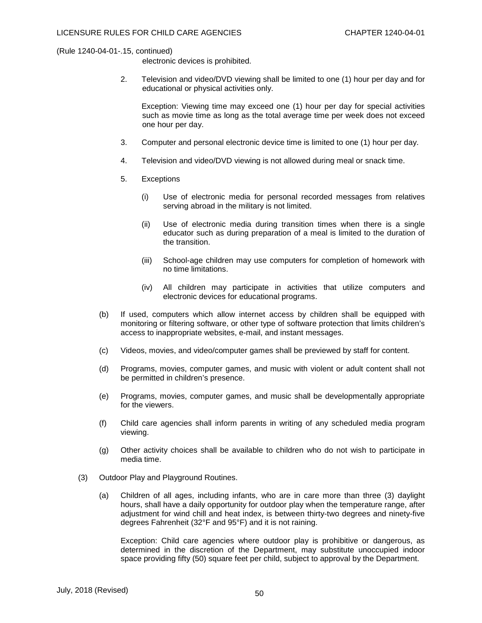electronic devices is prohibited.

2. Television and video/DVD viewing shall be limited to one (1) hour per day and for educational or physical activities only.

Exception: Viewing time may exceed one (1) hour per day for special activities such as movie time as long as the total average time per week does not exceed one hour per day.

- 3. Computer and personal electronic device time is limited to one (1) hour per day.
- 4. Television and video/DVD viewing is not allowed during meal or snack time.
- 5. Exceptions
	- (i) Use of electronic media for personal recorded messages from relatives serving abroad in the military is not limited.
	- (ii) Use of electronic media during transition times when there is a single educator such as during preparation of a meal is limited to the duration of the transition.
	- (iii) School-age children may use computers for completion of homework with no time limitations.
	- (iv) All children may participate in activities that utilize computers and electronic devices for educational programs.
- (b) If used, computers which allow internet access by children shall be equipped with monitoring or filtering software, or other type of software protection that limits children's access to inappropriate websites, e-mail, and instant messages.
- (c) Videos, movies, and video/computer games shall be previewed by staff for content.
- (d) Programs, movies, computer games, and music with violent or adult content shall not be permitted in children's presence.
- (e) Programs, movies, computer games, and music shall be developmentally appropriate for the viewers.
- (f) Child care agencies shall inform parents in writing of any scheduled media program viewing.
- (g) Other activity choices shall be available to children who do not wish to participate in media time.
- (3) Outdoor Play and Playground Routines.
	- (a) Children of all ages, including infants, who are in care more than three (3) daylight hours, shall have a daily opportunity for outdoor play when the temperature range, after adjustment for wind chill and heat index, is between thirty-two degrees and ninety-five degrees Fahrenheit (32°F and 95°F) and it is not raining.

Exception: Child care agencies where outdoor play is prohibitive or dangerous, as determined in the discretion of the Department, may substitute unoccupied indoor space providing fifty (50) square feet per child, subject to approval by the Department.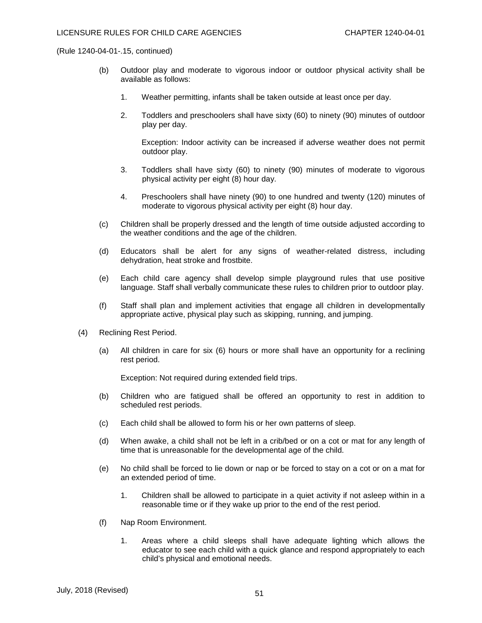- (b) Outdoor play and moderate to vigorous indoor or outdoor physical activity shall be available as follows:
	- 1. Weather permitting, infants shall be taken outside at least once per day.
	- 2. Toddlers and preschoolers shall have sixty (60) to ninety (90) minutes of outdoor play per day.

Exception: Indoor activity can be increased if adverse weather does not permit outdoor play.

- 3. Toddlers shall have sixty (60) to ninety (90) minutes of moderate to vigorous physical activity per eight (8) hour day.
- 4. Preschoolers shall have ninety (90) to one hundred and twenty (120) minutes of moderate to vigorous physical activity per eight (8) hour day.
- (c) Children shall be properly dressed and the length of time outside adjusted according to the weather conditions and the age of the children.
- (d) Educators shall be alert for any signs of weather-related distress, including dehydration, heat stroke and frostbite.
- (e) Each child care agency shall develop simple playground rules that use positive language. Staff shall verbally communicate these rules to children prior to outdoor play.
- (f) Staff shall plan and implement activities that engage all children in developmentally appropriate active, physical play such as skipping, running, and jumping.
- (4) Reclining Rest Period.
	- (a) All children in care for six (6) hours or more shall have an opportunity for a reclining rest period.

Exception: Not required during extended field trips.

- (b) Children who are fatigued shall be offered an opportunity to rest in addition to scheduled rest periods.
- (c) Each child shall be allowed to form his or her own patterns of sleep.
- (d) When awake, a child shall not be left in a crib/bed or on a cot or mat for any length of time that is unreasonable for the developmental age of the child.
- (e) No child shall be forced to lie down or nap or be forced to stay on a cot or on a mat for an extended period of time.
	- 1. Children shall be allowed to participate in a quiet activity if not asleep within in a reasonable time or if they wake up prior to the end of the rest period.
- (f) Nap Room Environment.
	- 1. Areas where a child sleeps shall have adequate lighting which allows the educator to see each child with a quick glance and respond appropriately to each child's physical and emotional needs.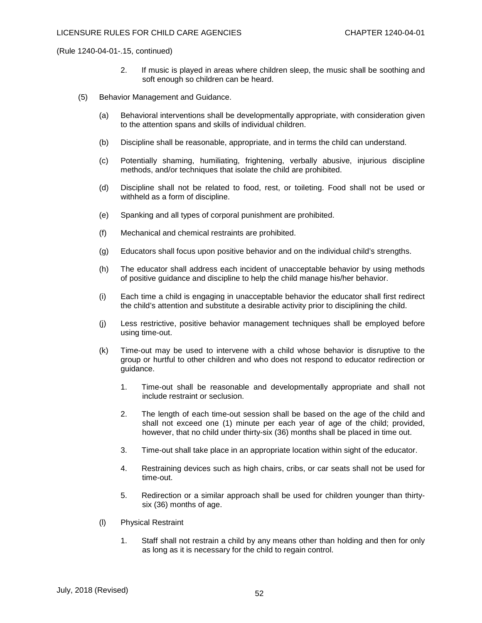- 2. If music is played in areas where children sleep, the music shall be soothing and soft enough so children can be heard.
- (5) Behavior Management and Guidance.
	- (a) Behavioral interventions shall be developmentally appropriate, with consideration given to the attention spans and skills of individual children.
	- (b) Discipline shall be reasonable, appropriate, and in terms the child can understand.
	- (c) Potentially shaming, humiliating, frightening, verbally abusive, injurious discipline methods, and/or techniques that isolate the child are prohibited.
	- (d) Discipline shall not be related to food, rest, or toileting. Food shall not be used or withheld as a form of discipline.
	- (e) Spanking and all types of corporal punishment are prohibited.
	- (f) Mechanical and chemical restraints are prohibited.
	- (g) Educators shall focus upon positive behavior and on the individual child's strengths.
	- (h) The educator shall address each incident of unacceptable behavior by using methods of positive guidance and discipline to help the child manage his/her behavior.
	- (i) Each time a child is engaging in unacceptable behavior the educator shall first redirect the child's attention and substitute a desirable activity prior to disciplining the child.
	- (j) Less restrictive, positive behavior management techniques shall be employed before using time-out.
	- (k) Time-out may be used to intervene with a child whose behavior is disruptive to the group or hurtful to other children and who does not respond to educator redirection or guidance.
		- 1. Time-out shall be reasonable and developmentally appropriate and shall not include restraint or seclusion.
		- 2. The length of each time-out session shall be based on the age of the child and shall not exceed one (1) minute per each year of age of the child; provided, however, that no child under thirty-six (36) months shall be placed in time out.
		- 3. Time-out shall take place in an appropriate location within sight of the educator.
		- 4. Restraining devices such as high chairs, cribs, or car seats shall not be used for time-out.
		- 5. Redirection or a similar approach shall be used for children younger than thirtysix (36) months of age.
	- (l) Physical Restraint
		- 1. Staff shall not restrain a child by any means other than holding and then for only as long as it is necessary for the child to regain control.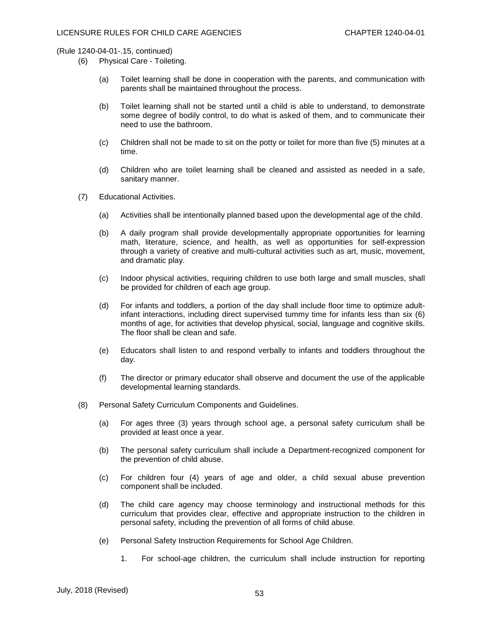- (6) Physical Care Toileting.
	- (a) Toilet learning shall be done in cooperation with the parents, and communication with parents shall be maintained throughout the process.
	- (b) Toilet learning shall not be started until a child is able to understand, to demonstrate some degree of bodily control, to do what is asked of them, and to communicate their need to use the bathroom.
	- (c) Children shall not be made to sit on the potty or toilet for more than five (5) minutes at a time.
	- (d) Children who are toilet learning shall be cleaned and assisted as needed in a safe, sanitary manner.
- (7) Educational Activities.
	- (a) Activities shall be intentionally planned based upon the developmental age of the child.
	- (b) A daily program shall provide developmentally appropriate opportunities for learning math, literature, science, and health, as well as opportunities for self-expression through a variety of creative and multi-cultural activities such as art, music, movement, and dramatic play.
	- (c) Indoor physical activities, requiring children to use both large and small muscles, shall be provided for children of each age group.
	- (d) For infants and toddlers, a portion of the day shall include floor time to optimize adultinfant interactions, including direct supervised tummy time for infants less than six (6) months of age, for activities that develop physical, social, language and cognitive skills. The floor shall be clean and safe.
	- (e) Educators shall listen to and respond verbally to infants and toddlers throughout the day.
	- (f) The director or primary educator shall observe and document the use of the applicable developmental learning standards.
- (8) Personal Safety Curriculum Components and Guidelines.
	- (a) For ages three (3) years through school age, a personal safety curriculum shall be provided at least once a year.
	- (b) The personal safety curriculum shall include a Department-recognized component for the prevention of child abuse.
	- (c) For children four (4) years of age and older, a child sexual abuse prevention component shall be included.
	- (d) The child care agency may choose terminology and instructional methods for this curriculum that provides clear, effective and appropriate instruction to the children in personal safety, including the prevention of all forms of child abuse.
	- (e) Personal Safety Instruction Requirements for School Age Children.
		- 1. For school-age children, the curriculum shall include instruction for reporting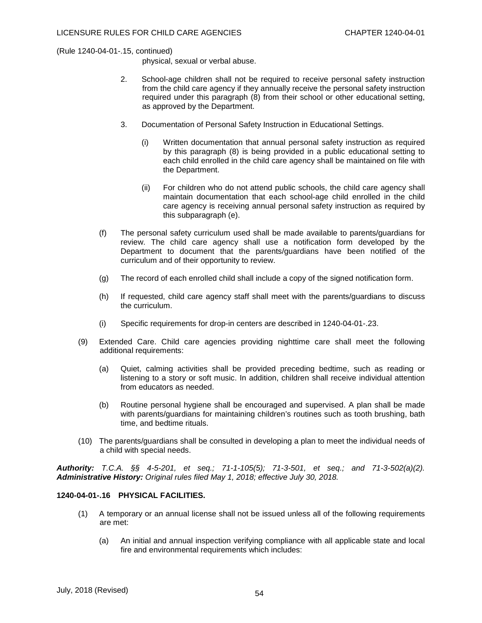physical, sexual or verbal abuse.

- 2. School-age children shall not be required to receive personal safety instruction from the child care agency if they annually receive the personal safety instruction required under this paragraph (8) from their school or other educational setting, as approved by the Department.
- 3. Documentation of Personal Safety Instruction in Educational Settings.
	- (i) Written documentation that annual personal safety instruction as required by this paragraph (8) is being provided in a public educational setting to each child enrolled in the child care agency shall be maintained on file with the Department.
	- (ii) For children who do not attend public schools, the child care agency shall maintain documentation that each school-age child enrolled in the child care agency is receiving annual personal safety instruction as required by this subparagraph (e).
- (f) The personal safety curriculum used shall be made available to parents/guardians for review. The child care agency shall use a notification form developed by the Department to document that the parents/guardians have been notified of the curriculum and of their opportunity to review.
- (g) The record of each enrolled child shall include a copy of the signed notification form.
- (h) If requested, child care agency staff shall meet with the parents/guardians to discuss the curriculum.
- (i) Specific requirements for drop-in centers are described in 1240-04-01-.23.
- (9) Extended Care. Child care agencies providing nighttime care shall meet the following additional requirements:
	- (a) Quiet, calming activities shall be provided preceding bedtime, such as reading or listening to a story or soft music. In addition, children shall receive individual attention from educators as needed.
	- (b) Routine personal hygiene shall be encouraged and supervised. A plan shall be made with parents/guardians for maintaining children's routines such as tooth brushing, bath time, and bedtime rituals.
- (10) The parents/guardians shall be consulted in developing a plan to meet the individual needs of a child with special needs.

*Authority: T.C.A. §§ 4-5-201, et seq.; 71-1-105(5); 71-3-501, et seq.; and 71-3-502(a)(2). Administrative History: Original rules filed May 1, 2018; effective July 30, 2018.*

## **1240-04-01-.16 PHYSICAL FACILITIES.**

- (1) A temporary or an annual license shall not be issued unless all of the following requirements are met:
	- (a) An initial and annual inspection verifying compliance with all applicable state and local fire and environmental requirements which includes: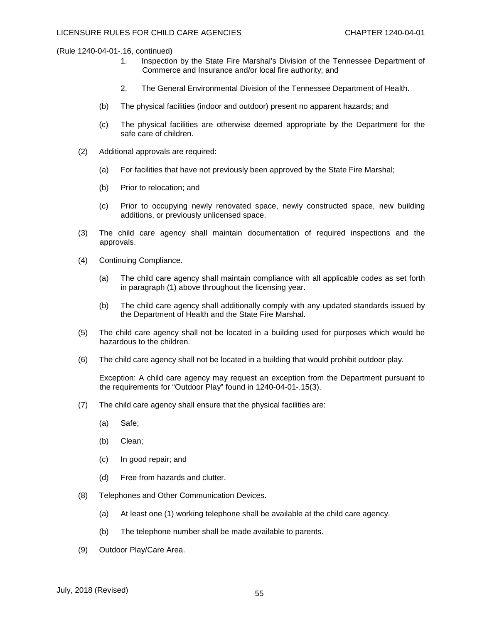- 1. Inspection by the State Fire Marshal's Division of the Tennessee Department of Commerce and Insurance and/or local fire authority; and
- 2. The General Environmental Division of the Tennessee Department of Health.
- (b) The physical facilities (indoor and outdoor) present no apparent hazards; and
- (c) The physical facilities are otherwise deemed appropriate by the Department for the safe care of children.
- (2) Additional approvals are required:
	- (a) For facilities that have not previously been approved by the State Fire Marshal;
	- (b) Prior to relocation; and
	- (c) Prior to occupying newly renovated space, newly constructed space, new building additions, or previously unlicensed space.
- (3) The child care agency shall maintain documentation of required inspections and the approvals.
- (4) Continuing Compliance.
	- (a) The child care agency shall maintain compliance with all applicable codes as set forth in paragraph (1) above throughout the licensing year.
	- (b) The child care agency shall additionally comply with any updated standards issued by the Department of Health and the State Fire Marshal.
- (5) The child care agency shall not be located in a building used for purposes which would be hazardous to the children.
- (6) The child care agency shall not be located in a building that would prohibit outdoor play.

Exception: A child care agency may request an exception from the Department pursuant to the requirements for "Outdoor Play" found in 1240-04-01-.15(3).

- (7) The child care agency shall ensure that the physical facilities are:
	- (a) Safe;
	- (b) Clean;
	- (c) In good repair; and
	- (d) Free from hazards and clutter.
- (8) Telephones and Other Communication Devices.
	- (a) At least one (1) working telephone shall be available at the child care agency.
	- (b) The telephone number shall be made available to parents.
- (9) Outdoor Play/Care Area.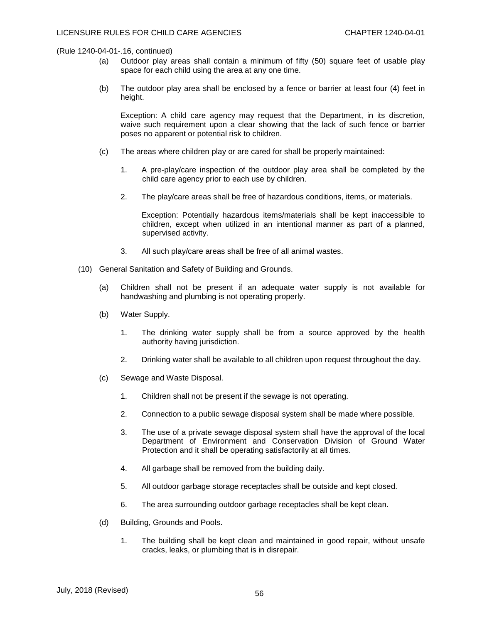- (a) Outdoor play areas shall contain a minimum of fifty (50) square feet of usable play space for each child using the area at any one time.
- (b) The outdoor play area shall be enclosed by a fence or barrier at least four (4) feet in height.

Exception: A child care agency may request that the Department, in its discretion, waive such requirement upon a clear showing that the lack of such fence or barrier poses no apparent or potential risk to children.

- (c) The areas where children play or are cared for shall be properly maintained:
	- 1. A pre-play/care inspection of the outdoor play area shall be completed by the child care agency prior to each use by children.
	- 2. The play/care areas shall be free of hazardous conditions, items, or materials.

Exception: Potentially hazardous items/materials shall be kept inaccessible to children, except when utilized in an intentional manner as part of a planned, supervised activity.

- 3. All such play/care areas shall be free of all animal wastes.
- (10) General Sanitation and Safety of Building and Grounds.
	- (a) Children shall not be present if an adequate water supply is not available for handwashing and plumbing is not operating properly.
	- (b) Water Supply.
		- 1. The drinking water supply shall be from a source approved by the health authority having jurisdiction.
		- 2. Drinking water shall be available to all children upon request throughout the day.
	- (c) Sewage and Waste Disposal.
		- 1. Children shall not be present if the sewage is not operating.
		- 2. Connection to a public sewage disposal system shall be made where possible.
		- 3. The use of a private sewage disposal system shall have the approval of the local Department of Environment and Conservation Division of Ground Water Protection and it shall be operating satisfactorily at all times.
		- 4. All garbage shall be removed from the building daily.
		- 5. All outdoor garbage storage receptacles shall be outside and kept closed.
		- 6. The area surrounding outdoor garbage receptacles shall be kept clean.
	- (d) Building, Grounds and Pools.
		- 1. The building shall be kept clean and maintained in good repair, without unsafe cracks, leaks, or plumbing that is in disrepair.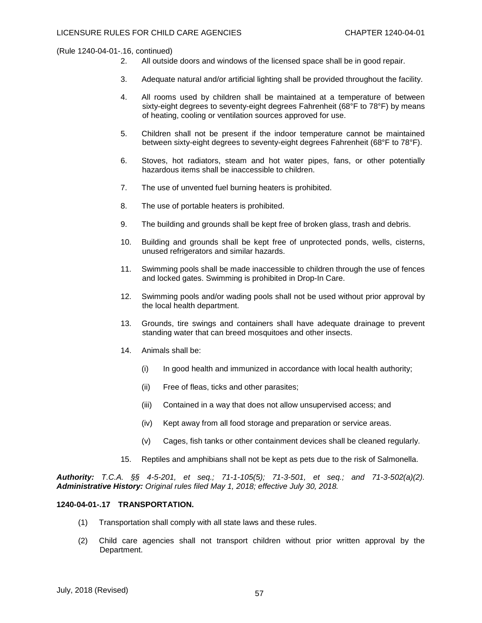- 2. All outside doors and windows of the licensed space shall be in good repair.
- 3. Adequate natural and/or artificial lighting shall be provided throughout the facility.
- 4. All rooms used by children shall be maintained at a temperature of between sixty-eight degrees to seventy-eight degrees Fahrenheit (68°F to 78°F) by means of heating, cooling or ventilation sources approved for use.
- 5. Children shall not be present if the indoor temperature cannot be maintained between sixty-eight degrees to seventy-eight degrees Fahrenheit (68°F to 78°F).
- 6. Stoves, hot radiators, steam and hot water pipes, fans, or other potentially hazardous items shall be inaccessible to children.
- 7. The use of unvented fuel burning heaters is prohibited.
- 8. The use of portable heaters is prohibited.
- 9. The building and grounds shall be kept free of broken glass, trash and debris.
- 10. Building and grounds shall be kept free of unprotected ponds, wells, cisterns, unused refrigerators and similar hazards.
- 11. Swimming pools shall be made inaccessible to children through the use of fences and locked gates. Swimming is prohibited in Drop-In Care.
- 12. Swimming pools and/or wading pools shall not be used without prior approval by the local health department.
- 13. Grounds, tire swings and containers shall have adequate drainage to prevent standing water that can breed mosquitoes and other insects.
- 14. Animals shall be:
	- (i) In good health and immunized in accordance with local health authority;
	- (ii) Free of fleas, ticks and other parasites;
	- (iii) Contained in a way that does not allow unsupervised access; and
	- (iv) Kept away from all food storage and preparation or service areas.
	- (v) Cages, fish tanks or other containment devices shall be cleaned regularly.
- 15. Reptiles and amphibians shall not be kept as pets due to the risk of Salmonella.

*Authority: T.C.A. §§ 4-5-201, et seq.; 71-1-105(5); 71-3-501, et seq.; and 71-3-502(a)(2). Administrative History: Original rules filed May 1, 2018; effective July 30, 2018.*

## **1240-04-01-.17 TRANSPORTATION.**

- (1) Transportation shall comply with all state laws and these rules.
- (2) Child care agencies shall not transport children without prior written approval by the Department.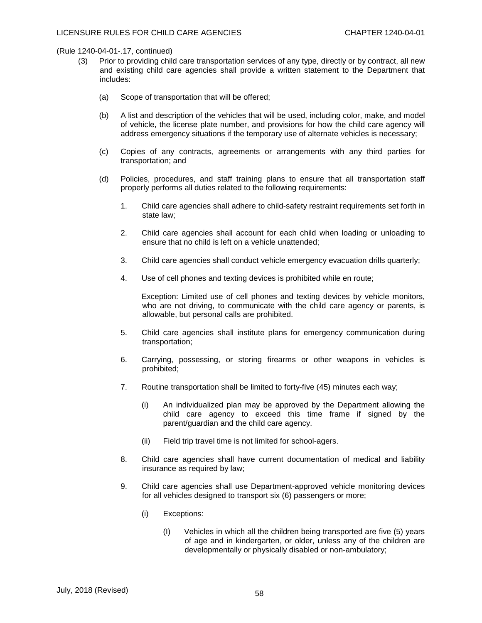- (3) Prior to providing child care transportation services of any type, directly or by contract, all new and existing child care agencies shall provide a written statement to the Department that includes:
	- (a) Scope of transportation that will be offered;
	- (b) A list and description of the vehicles that will be used, including color, make, and model of vehicle, the license plate number, and provisions for how the child care agency will address emergency situations if the temporary use of alternate vehicles is necessary;
	- (c) Copies of any contracts, agreements or arrangements with any third parties for transportation; and
	- (d) Policies, procedures, and staff training plans to ensure that all transportation staff properly performs all duties related to the following requirements:
		- 1. Child care agencies shall adhere to child-safety restraint requirements set forth in state law;
		- 2. Child care agencies shall account for each child when loading or unloading to ensure that no child is left on a vehicle unattended;
		- 3. Child care agencies shall conduct vehicle emergency evacuation drills quarterly;
		- 4. Use of cell phones and texting devices is prohibited while en route;

Exception: Limited use of cell phones and texting devices by vehicle monitors, who are not driving, to communicate with the child care agency or parents, is allowable, but personal calls are prohibited.

- 5. Child care agencies shall institute plans for emergency communication during transportation;
- 6. Carrying, possessing, or storing firearms or other weapons in vehicles is prohibited;
- 7. Routine transportation shall be limited to forty-five (45) minutes each way;
	- (i) An individualized plan may be approved by the Department allowing the child care agency to exceed this time frame if signed by the parent/guardian and the child care agency.
	- (ii) Field trip travel time is not limited for school-agers.
- 8. Child care agencies shall have current documentation of medical and liability insurance as required by law;
- 9. Child care agencies shall use Department-approved vehicle monitoring devices for all vehicles designed to transport six (6) passengers or more;
	- (i) Exceptions:
		- (I) Vehicles in which all the children being transported are five (5) years of age and in kindergarten, or older, unless any of the children are developmentally or physically disabled or non-ambulatory;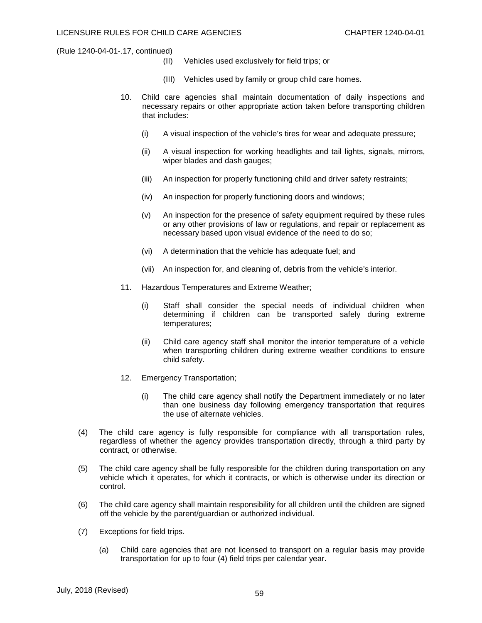- (II) Vehicles used exclusively for field trips; or
- (III) Vehicles used by family or group child care homes.
- 10. Child care agencies shall maintain documentation of daily inspections and necessary repairs or other appropriate action taken before transporting children that includes:
	- (i) A visual inspection of the vehicle's tires for wear and adequate pressure;
	- (ii) A visual inspection for working headlights and tail lights, signals, mirrors, wiper blades and dash gauges;
	- (iii) An inspection for properly functioning child and driver safety restraints;
	- (iv) An inspection for properly functioning doors and windows;
	- (v) An inspection for the presence of safety equipment required by these rules or any other provisions of law or regulations, and repair or replacement as necessary based upon visual evidence of the need to do so;
	- (vi) A determination that the vehicle has adequate fuel; and
	- (vii) An inspection for, and cleaning of, debris from the vehicle's interior.
- 11. Hazardous Temperatures and Extreme Weather;
	- (i) Staff shall consider the special needs of individual children when determining if children can be transported safely during extreme temperatures;
	- (ii) Child care agency staff shall monitor the interior temperature of a vehicle when transporting children during extreme weather conditions to ensure child safety.
- 12. Emergency Transportation;
	- (i) The child care agency shall notify the Department immediately or no later than one business day following emergency transportation that requires the use of alternate vehicles.
- (4) The child care agency is fully responsible for compliance with all transportation rules, regardless of whether the agency provides transportation directly, through a third party by contract, or otherwise.
- (5) The child care agency shall be fully responsible for the children during transportation on any vehicle which it operates, for which it contracts, or which is otherwise under its direction or control.
- (6) The child care agency shall maintain responsibility for all children until the children are signed off the vehicle by the parent/guardian or authorized individual.
- (7) Exceptions for field trips.
	- (a) Child care agencies that are not licensed to transport on a regular basis may provide transportation for up to four (4) field trips per calendar year.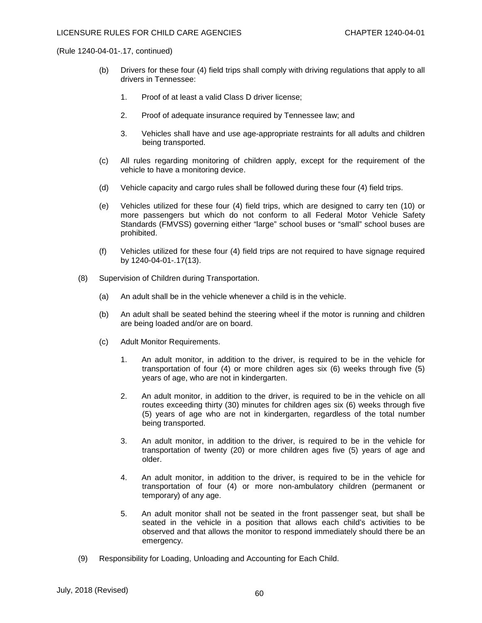- (b) Drivers for these four (4) field trips shall comply with driving regulations that apply to all drivers in Tennessee:
	- 1. Proof of at least a valid Class D driver license;
	- 2. Proof of adequate insurance required by Tennessee law; and
	- 3. Vehicles shall have and use age-appropriate restraints for all adults and children being transported.
- (c) All rules regarding monitoring of children apply, except for the requirement of the vehicle to have a monitoring device.
- (d) Vehicle capacity and cargo rules shall be followed during these four (4) field trips.
- (e) Vehicles utilized for these four (4) field trips, which are designed to carry ten (10) or more passengers but which do not conform to all Federal Motor Vehicle Safety Standards (FMVSS) governing either "large" school buses or "small" school buses are prohibited.
- (f) Vehicles utilized for these four (4) field trips are not required to have signage required by 1240-04-01-.17(13).
- (8) Supervision of Children during Transportation.
	- (a) An adult shall be in the vehicle whenever a child is in the vehicle.
	- (b) An adult shall be seated behind the steering wheel if the motor is running and children are being loaded and/or are on board.
	- (c) Adult Monitor Requirements.
		- 1. An adult monitor, in addition to the driver, is required to be in the vehicle for transportation of four (4) or more children ages six (6) weeks through five (5) years of age, who are not in kindergarten.
		- 2. An adult monitor, in addition to the driver, is required to be in the vehicle on all routes exceeding thirty (30) minutes for children ages six (6) weeks through five (5) years of age who are not in kindergarten, regardless of the total number being transported.
		- 3. An adult monitor, in addition to the driver, is required to be in the vehicle for transportation of twenty (20) or more children ages five (5) years of age and older.
		- 4. An adult monitor, in addition to the driver, is required to be in the vehicle for transportation of four (4) or more non-ambulatory children (permanent or temporary) of any age.
		- 5. An adult monitor shall not be seated in the front passenger seat, but shall be seated in the vehicle in a position that allows each child's activities to be observed and that allows the monitor to respond immediately should there be an emergency.
- (9) Responsibility for Loading, Unloading and Accounting for Each Child.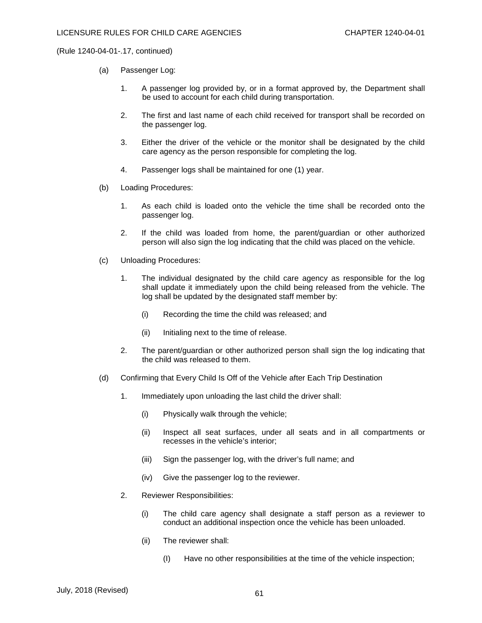- (a) Passenger Log:
	- 1. A passenger log provided by, or in a format approved by, the Department shall be used to account for each child during transportation.
	- 2. The first and last name of each child received for transport shall be recorded on the passenger log.
	- 3. Either the driver of the vehicle or the monitor shall be designated by the child care agency as the person responsible for completing the log.
	- 4. Passenger logs shall be maintained for one (1) year.
- (b) Loading Procedures:
	- 1. As each child is loaded onto the vehicle the time shall be recorded onto the passenger log.
	- 2. If the child was loaded from home, the parent/guardian or other authorized person will also sign the log indicating that the child was placed on the vehicle.
- (c) Unloading Procedures:
	- 1. The individual designated by the child care agency as responsible for the log shall update it immediately upon the child being released from the vehicle. The log shall be updated by the designated staff member by:
		- (i) Recording the time the child was released; and
		- (ii) Initialing next to the time of release.
	- 2. The parent/guardian or other authorized person shall sign the log indicating that the child was released to them.
- (d) Confirming that Every Child Is Off of the Vehicle after Each Trip Destination
	- 1. Immediately upon unloading the last child the driver shall:
		- (i) Physically walk through the vehicle;
		- (ii) Inspect all seat surfaces, under all seats and in all compartments or recesses in the vehicle's interior;
		- (iii) Sign the passenger log, with the driver's full name; and
		- (iv) Give the passenger log to the reviewer.
	- 2. Reviewer Responsibilities:
		- (i) The child care agency shall designate a staff person as a reviewer to conduct an additional inspection once the vehicle has been unloaded.
		- (ii) The reviewer shall:
			- (I) Have no other responsibilities at the time of the vehicle inspection;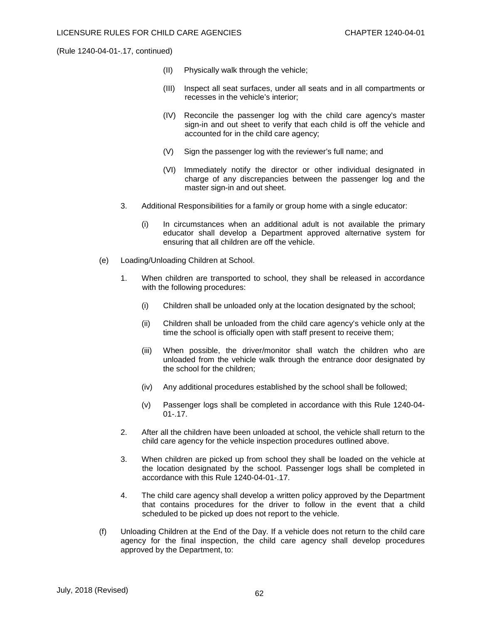- (II) Physically walk through the vehicle;
- (III) Inspect all seat surfaces, under all seats and in all compartments or recesses in the vehicle's interior;
- (IV) Reconcile the passenger log with the child care agency's master sign-in and out sheet to verify that each child is off the vehicle and accounted for in the child care agency;
- (V) Sign the passenger log with the reviewer's full name; and
- (VI) Immediately notify the director or other individual designated in charge of any discrepancies between the passenger log and the master sign-in and out sheet.
- 3. Additional Responsibilities for a family or group home with a single educator:
	- (i) In circumstances when an additional adult is not available the primary educator shall develop a Department approved alternative system for ensuring that all children are off the vehicle.
- (e) Loading/Unloading Children at School.
	- 1. When children are transported to school, they shall be released in accordance with the following procedures:
		- (i) Children shall be unloaded only at the location designated by the school;
		- (ii) Children shall be unloaded from the child care agency's vehicle only at the time the school is officially open with staff present to receive them;
		- (iii) When possible, the driver/monitor shall watch the children who are unloaded from the vehicle walk through the entrance door designated by the school for the children;
		- (iv) Any additional procedures established by the school shall be followed;
		- (v) Passenger logs shall be completed in accordance with this Rule 1240-04- 01-.17.
	- 2. After all the children have been unloaded at school, the vehicle shall return to the child care agency for the vehicle inspection procedures outlined above.
	- 3. When children are picked up from school they shall be loaded on the vehicle at the location designated by the school. Passenger logs shall be completed in accordance with this Rule 1240-04-01-.17.
	- 4. The child care agency shall develop a written policy approved by the Department that contains procedures for the driver to follow in the event that a child scheduled to be picked up does not report to the vehicle.
- (f) Unloading Children at the End of the Day. If a vehicle does not return to the child care agency for the final inspection, the child care agency shall develop procedures approved by the Department, to: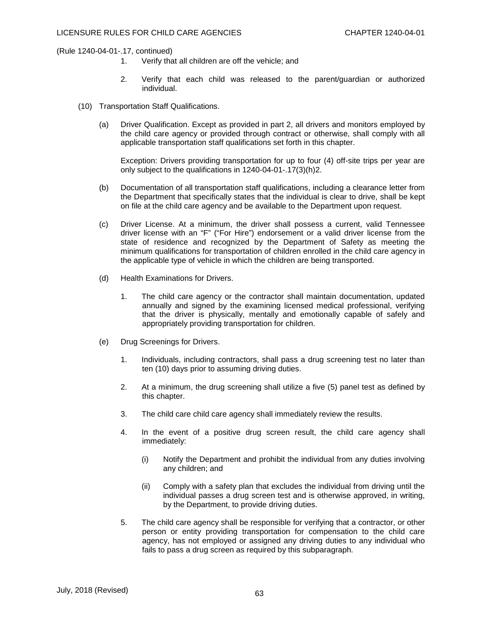- 1. Verify that all children are off the vehicle; and
- 2. Verify that each child was released to the parent/guardian or authorized individual.
- (10) Transportation Staff Qualifications.
	- (a) Driver Qualification. Except as provided in part 2, all drivers and monitors employed by the child care agency or provided through contract or otherwise, shall comply with all applicable transportation staff qualifications set forth in this chapter.

Exception: Drivers providing transportation for up to four (4) off-site trips per year are only subject to the qualifications in 1240-04-01-.17(3)(h)2.

- (b) Documentation of all transportation staff qualifications, including a clearance letter from the Department that specifically states that the individual is clear to drive, shall be kept on file at the child care agency and be available to the Department upon request.
- (c) Driver License. At a minimum, the driver shall possess a current, valid Tennessee driver license with an "F" ("For Hire") endorsement or a valid driver license from the state of residence and recognized by the Department of Safety as meeting the minimum qualifications for transportation of children enrolled in the child care agency in the applicable type of vehicle in which the children are being transported.
- (d) Health Examinations for Drivers.
	- 1. The child care agency or the contractor shall maintain documentation, updated annually and signed by the examining licensed medical professional, verifying that the driver is physically, mentally and emotionally capable of safely and appropriately providing transportation for children.
- (e) Drug Screenings for Drivers.
	- 1. Individuals, including contractors, shall pass a drug screening test no later than ten (10) days prior to assuming driving duties.
	- 2. At a minimum, the drug screening shall utilize a five (5) panel test as defined by this chapter.
	- 3. The child care child care agency shall immediately review the results.
	- 4. In the event of a positive drug screen result, the child care agency shall immediately:
		- (i) Notify the Department and prohibit the individual from any duties involving any children; and
		- (ii) Comply with a safety plan that excludes the individual from driving until the individual passes a drug screen test and is otherwise approved, in writing, by the Department, to provide driving duties.
	- 5. The child care agency shall be responsible for verifying that a contractor, or other person or entity providing transportation for compensation to the child care agency, has not employed or assigned any driving duties to any individual who fails to pass a drug screen as required by this subparagraph.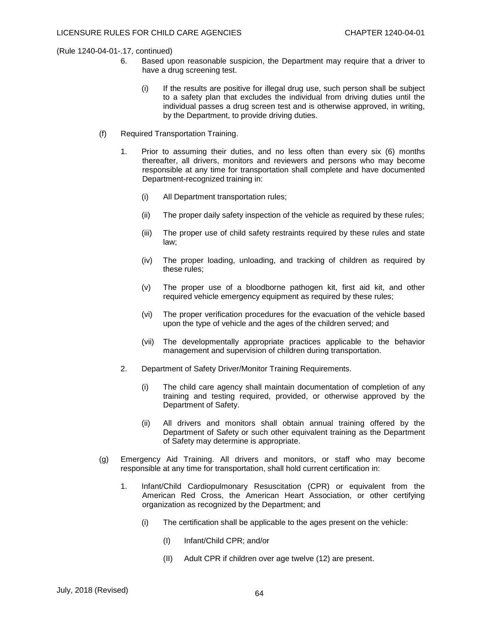- 6. Based upon reasonable suspicion, the Department may require that a driver to have a drug screening test.
	- (i) If the results are positive for illegal drug use, such person shall be subject to a safety plan that excludes the individual from driving duties until the individual passes a drug screen test and is otherwise approved, in writing, by the Department, to provide driving duties.
- (f) Required Transportation Training.
	- 1. Prior to assuming their duties, and no less often than every six (6) months thereafter, all drivers, monitors and reviewers and persons who may become responsible at any time for transportation shall complete and have documented Department-recognized training in:
		- (i) All Department transportation rules;
		- (ii) The proper daily safety inspection of the vehicle as required by these rules;
		- (iii) The proper use of child safety restraints required by these rules and state law;
		- (iv) The proper loading, unloading, and tracking of children as required by these rules;
		- (v) The proper use of a bloodborne pathogen kit, first aid kit, and other required vehicle emergency equipment as required by these rules;
		- (vi) The proper verification procedures for the evacuation of the vehicle based upon the type of vehicle and the ages of the children served; and
		- (vii) The developmentally appropriate practices applicable to the behavior management and supervision of children during transportation.
	- 2. Department of Safety Driver/Monitor Training Requirements.
		- (i) The child care agency shall maintain documentation of completion of any training and testing required, provided, or otherwise approved by the Department of Safety.
		- (ii) All drivers and monitors shall obtain annual training offered by the Department of Safety or such other equivalent training as the Department of Safety may determine is appropriate.
- (g) Emergency Aid Training. All drivers and monitors, or staff who may become responsible at any time for transportation, shall hold current certification in:
	- 1. Infant/Child Cardiopulmonary Resuscitation (CPR) or equivalent from the American Red Cross, the American Heart Association, or other certifying organization as recognized by the Department; and
		- (i) The certification shall be applicable to the ages present on the vehicle:
			- (I) Infant/Child CPR; and/or
			- (II) Adult CPR if children over age twelve (12) are present.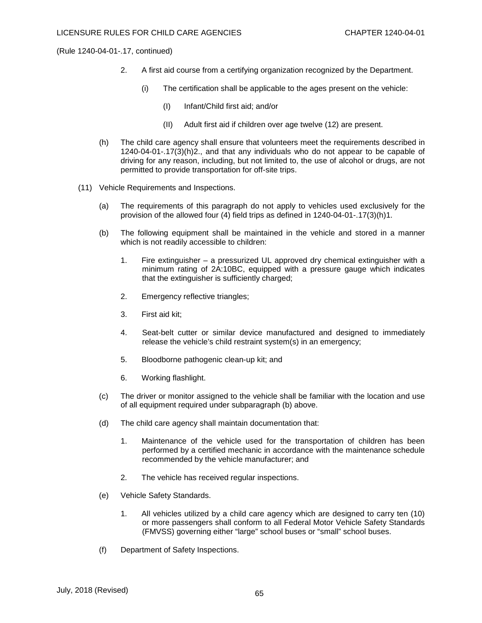- 2. A first aid course from a certifying organization recognized by the Department.
	- (i) The certification shall be applicable to the ages present on the vehicle:
		- (I) Infant/Child first aid; and/or
		- (II) Adult first aid if children over age twelve (12) are present.
- (h) The child care agency shall ensure that volunteers meet the requirements described in 1240-04-01-.17(3)(h)2., and that any individuals who do not appear to be capable of driving for any reason, including, but not limited to, the use of alcohol or drugs, are not permitted to provide transportation for off-site trips.
- (11) Vehicle Requirements and Inspections.
	- (a) The requirements of this paragraph do not apply to vehicles used exclusively for the provision of the allowed four (4) field trips as defined in 1240-04-01-.17(3)(h)1.
	- (b) The following equipment shall be maintained in the vehicle and stored in a manner which is not readily accessible to children:
		- 1. Fire extinguisher a pressurized UL approved dry chemical extinguisher with a minimum rating of 2A:10BC, equipped with a pressure gauge which indicates that the extinguisher is sufficiently charged;
		- 2. Emergency reflective triangles;
		- 3. First aid kit;
		- 4. Seat-belt cutter or similar device manufactured and designed to immediately release the vehicle's child restraint system(s) in an emergency;
		- 5. Bloodborne pathogenic clean-up kit; and
		- 6. Working flashlight.
	- (c) The driver or monitor assigned to the vehicle shall be familiar with the location and use of all equipment required under subparagraph (b) above.
	- (d) The child care agency shall maintain documentation that:
		- 1. Maintenance of the vehicle used for the transportation of children has been performed by a certified mechanic in accordance with the maintenance schedule recommended by the vehicle manufacturer; and
		- 2. The vehicle has received regular inspections.
	- (e) Vehicle Safety Standards.
		- 1. All vehicles utilized by a child care agency which are designed to carry ten (10) or more passengers shall conform to all Federal Motor Vehicle Safety Standards (FMVSS) governing either "large" school buses or "small" school buses.
	- (f) Department of Safety Inspections.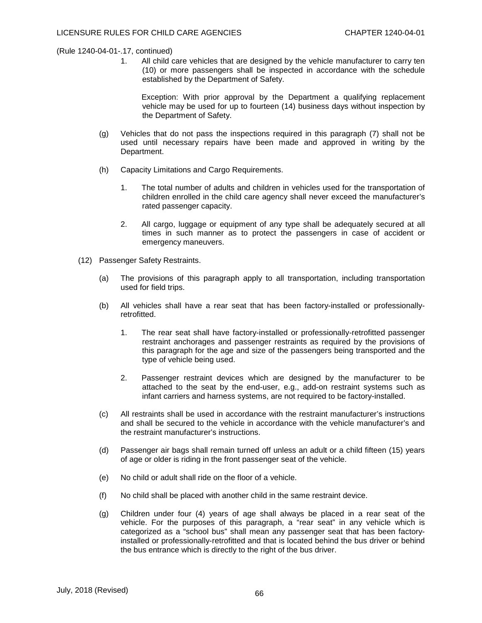1. All child care vehicles that are designed by the vehicle manufacturer to carry ten (10) or more passengers shall be inspected in accordance with the schedule established by the Department of Safety.

Exception: With prior approval by the Department a qualifying replacement vehicle may be used for up to fourteen (14) business days without inspection by the Department of Safety.

- (g) Vehicles that do not pass the inspections required in this paragraph (7) shall not be used until necessary repairs have been made and approved in writing by the Department.
- (h) Capacity Limitations and Cargo Requirements.
	- 1. The total number of adults and children in vehicles used for the transportation of children enrolled in the child care agency shall never exceed the manufacturer's rated passenger capacity.
	- 2. All cargo, luggage or equipment of any type shall be adequately secured at all times in such manner as to protect the passengers in case of accident or emergency maneuvers.
- (12) Passenger Safety Restraints.
	- (a) The provisions of this paragraph apply to all transportation, including transportation used for field trips.
	- (b) All vehicles shall have a rear seat that has been factory-installed or professionallyretrofitted.
		- 1. The rear seat shall have factory-installed or professionally-retrofitted passenger restraint anchorages and passenger restraints as required by the provisions of this paragraph for the age and size of the passengers being transported and the type of vehicle being used.
		- 2. Passenger restraint devices which are designed by the manufacturer to be attached to the seat by the end-user, e.g., add-on restraint systems such as infant carriers and harness systems, are not required to be factory-installed.
	- (c) All restraints shall be used in accordance with the restraint manufacturer's instructions and shall be secured to the vehicle in accordance with the vehicle manufacturer's and the restraint manufacturer's instructions.
	- (d) Passenger air bags shall remain turned off unless an adult or a child fifteen (15) years of age or older is riding in the front passenger seat of the vehicle.
	- (e) No child or adult shall ride on the floor of a vehicle.
	- (f) No child shall be placed with another child in the same restraint device.
	- (g) Children under four (4) years of age shall always be placed in a rear seat of the vehicle. For the purposes of this paragraph, a "rear seat" in any vehicle which is categorized as a "school bus" shall mean any passenger seat that has been factoryinstalled or professionally-retrofitted and that is located behind the bus driver or behind the bus entrance which is directly to the right of the bus driver.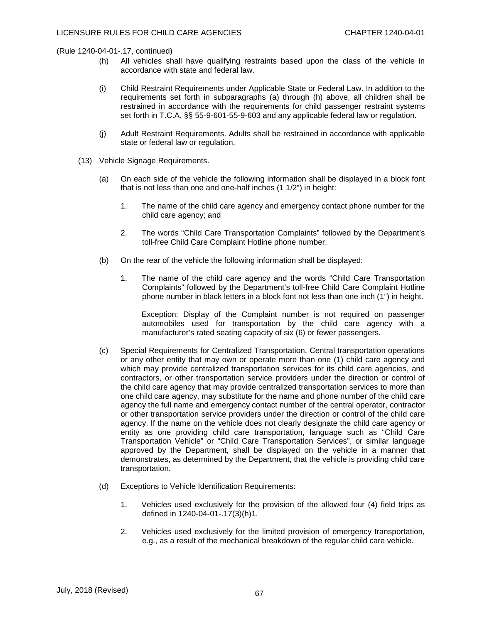- (h) All vehicles shall have qualifying restraints based upon the class of the vehicle in accordance with state and federal law.
- (i) Child Restraint Requirements under Applicable State or Federal Law. In addition to the requirements set forth in subparagraphs (a) through (h) above, all children shall be restrained in accordance with the requirements for child passenger restraint systems set forth in T.C.A. §§ 55-9-601-55-9-603 and any applicable federal law or regulation.
- (j) Adult Restraint Requirements. Adults shall be restrained in accordance with applicable state or federal law or regulation.
- (13) Vehicle Signage Requirements.
	- (a) On each side of the vehicle the following information shall be displayed in a block font that is not less than one and one-half inches (1 1/2") in height:
		- 1. The name of the child care agency and emergency contact phone number for the child care agency; and
		- 2. The words "Child Care Transportation Complaints" followed by the Department's toll-free Child Care Complaint Hotline phone number.
	- (b) On the rear of the vehicle the following information shall be displayed:
		- 1. The name of the child care agency and the words "Child Care Transportation Complaints" followed by the Department's toll-free Child Care Complaint Hotline phone number in black letters in a block font not less than one inch (1") in height.

Exception: Display of the Complaint number is not required on passenger automobiles used for transportation by the child care agency with a manufacturer's rated seating capacity of six (6) or fewer passengers.

- (c) Special Requirements for Centralized Transportation. Central transportation operations or any other entity that may own or operate more than one (1) child care agency and which may provide centralized transportation services for its child care agencies, and contractors, or other transportation service providers under the direction or control of the child care agency that may provide centralized transportation services to more than one child care agency, may substitute for the name and phone number of the child care agency the full name and emergency contact number of the central operator, contractor or other transportation service providers under the direction or control of the child care agency. If the name on the vehicle does not clearly designate the child care agency or entity as one providing child care transportation, language such as "Child Care Transportation Vehicle" or "Child Care Transportation Services", or similar language approved by the Department, shall be displayed on the vehicle in a manner that demonstrates, as determined by the Department, that the vehicle is providing child care transportation.
- (d) Exceptions to Vehicle Identification Requirements:
	- 1. Vehicles used exclusively for the provision of the allowed four (4) field trips as defined in 1240-04-01-.17(3)(h)1.
	- 2. Vehicles used exclusively for the limited provision of emergency transportation, e.g., as a result of the mechanical breakdown of the regular child care vehicle.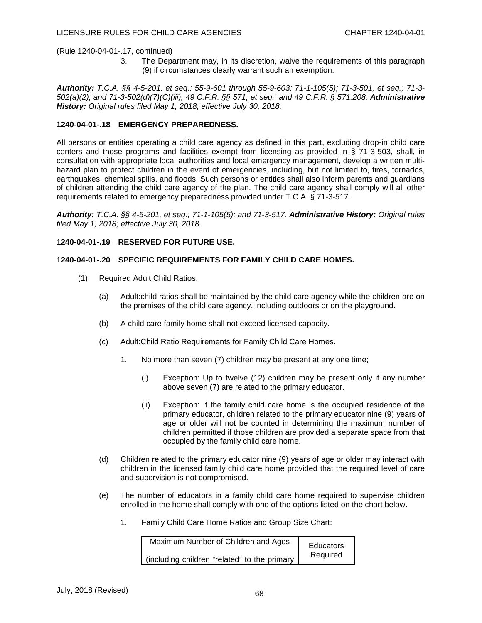3. The Department may, in its discretion, waive the requirements of this paragraph (9) if circumstances clearly warrant such an exemption.

*Authority: T.C.A. §§ 4-5-201, et seq.; 55-9-601 through 55-9-603; 71-1-105(5); 71-3-501, et seq.; 71-3- 502(a)(2); and 71-3-502(d)(7)(C)(iii); 49 C.F.R. §§ 571, et seq.; and 49 C.F.R. § 571.208. Administrative History: Original rules filed May 1, 2018; effective July 30, 2018.*

#### **1240-04-01-.18 EMERGENCY PREPAREDNESS.**

All persons or entities operating a child care agency as defined in this part, excluding drop-in child care centers and those programs and facilities exempt from licensing as provided in § 71-3-503, shall, in consultation with appropriate local authorities and local emergency management, develop a written multihazard plan to protect children in the event of emergencies, including, but not limited to, fires, tornados, earthquakes, chemical spills, and floods. Such persons or entities shall also inform parents and guardians of children attending the child care agency of the plan. The child care agency shall comply will all other requirements related to emergency preparedness provided under T.C.A. § 71-3-517.

*Authority: T.C.A. §§ 4-5-201, et seq.; 71-1-105(5); and 71-3-517. Administrative History: Original rules filed May 1, 2018; effective July 30, 2018.*

**1240-04-01-.19 RESERVED FOR FUTURE USE.** 

## **1240-04-01-.20 SPECIFIC REQUIREMENTS FOR FAMILY CHILD CARE HOMES.**

- (1) Required Adult:Child Ratios.
	- (a) Adult:child ratios shall be maintained by the child care agency while the children are on the premises of the child care agency, including outdoors or on the playground.
	- (b) A child care family home shall not exceed licensed capacity.
	- (c) Adult:Child Ratio Requirements for Family Child Care Homes.
		- 1. No more than seven (7) children may be present at any one time;
			- (i) Exception: Up to twelve (12) children may be present only if any number above seven (7) are related to the primary educator.
			- (ii) Exception: If the family child care home is the occupied residence of the primary educator, children related to the primary educator nine (9) years of age or older will not be counted in determining the maximum number of children permitted if those children are provided a separate space from that occupied by the family child care home.
	- (d) Children related to the primary educator nine (9) years of age or older may interact with children in the licensed family child care home provided that the required level of care and supervision is not compromised.
	- (e) The number of educators in a family child care home required to supervise children enrolled in the home shall comply with one of the options listed on the chart below.
		- 1. Family Child Care Home Ratios and Group Size Chart:

| Maximum Number of Children and Ages          | Educators |
|----------------------------------------------|-----------|
| (including children "related" to the primary | Required  |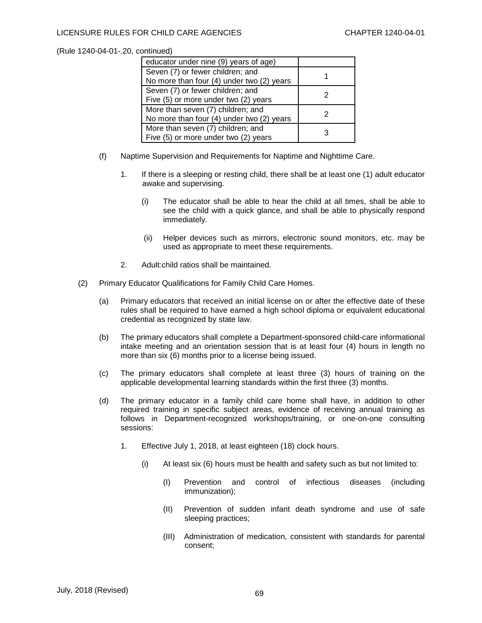## LICENSURE RULES FOR CHILD CARE AGENCIES CHAPTER 1240-04-01

| educator under nine (9) years of age)     |  |
|-------------------------------------------|--|
| Seven (7) or fewer children; and          |  |
| No more than four (4) under two (2) years |  |
| Seven (7) or fewer children; and          |  |
| Five (5) or more under two (2) years      |  |
| More than seven (7) children; and         |  |
| No more than four (4) under two (2) years |  |
| More than seven (7) children; and         |  |
| Five (5) or more under two (2) years      |  |

- (f) Naptime Supervision and Requirements for Naptime and Nighttime Care.
	- 1. If there is a sleeping or resting child, there shall be at least one (1) adult educator awake and supervising.
		- (i) The educator shall be able to hear the child at all times, shall be able to see the child with a quick glance, and shall be able to physically respond immediately.
		- (ii) Helper devices such as mirrors, electronic sound monitors, etc. may be used as appropriate to meet these requirements.
	- 2. Adult:child ratios shall be maintained.
- (2) Primary Educator Qualifications for Family Child Care Homes.
	- (a) Primary educators that received an initial license on or after the effective date of these rules shall be required to have earned a high school diploma or equivalent educational credential as recognized by state law.
	- (b) The primary educators shall complete a Department-sponsored child-care informational intake meeting and an orientation session that is at least four (4) hours in length no more than six (6) months prior to a license being issued.
	- (c) The primary educators shall complete at least three (3) hours of training on the applicable developmental learning standards within the first three (3) months.
	- (d) The primary educator in a family child care home shall have, in addition to other required training in specific subject areas, evidence of receiving annual training as follows in Department-recognized workshops/training, or one-on-one consulting sessions:
		- 1. Effective July 1, 2018, at least eighteen (18) clock hours.
			- (i) At least six (6) hours must be health and safety such as but not limited to:
				- (I) Prevention and control of infectious diseases (including immunization);
				- (II) Prevention of sudden infant death syndrome and use of safe sleeping practices;
				- (III) Administration of medication, consistent with standards for parental consent;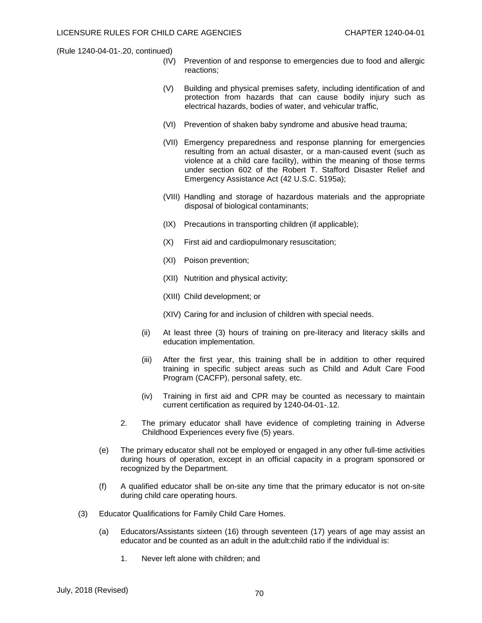- (IV) Prevention of and response to emergencies due to food and allergic reactions;
- (V) Building and physical premises safety, including identification of and protection from hazards that can cause bodily injury such as electrical hazards, bodies of water, and vehicular traffic,
- (VI) Prevention of shaken baby syndrome and abusive head trauma;
- (VII) Emergency preparedness and response planning for emergencies resulting from an actual disaster, or a man-caused event (such as violence at a child care facility), within the meaning of those terms under section 602 of the Robert T. Stafford Disaster Relief and Emergency Assistance Act (42 U.S.C. 5195a);
- (VIII) Handling and storage of hazardous materials and the appropriate disposal of biological contaminants;
- (IX) Precautions in transporting children (if applicable);
- (X) First aid and cardiopulmonary resuscitation;
- (XI) Poison prevention;
- (XII) Nutrition and physical activity;
- (XIII) Child development; or
- (XIV) Caring for and inclusion of children with special needs.
- (ii) At least three (3) hours of training on pre-literacy and literacy skills and education implementation.
- (iii) After the first year, this training shall be in addition to other required training in specific subject areas such as Child and Adult Care Food Program (CACFP), personal safety, etc.
- (iv) Training in first aid and CPR may be counted as necessary to maintain current certification as required by 1240-04-01-.12.
- 2. The primary educator shall have evidence of completing training in Adverse Childhood Experiences every five (5) years.
- (e) The primary educator shall not be employed or engaged in any other full-time activities during hours of operation, except in an official capacity in a program sponsored or recognized by the Department.
- (f) A qualified educator shall be on-site any time that the primary educator is not on-site during child care operating hours.
- (3) Educator Qualifications for Family Child Care Homes.
	- (a) Educators/Assistants sixteen (16) through seventeen (17) years of age may assist an educator and be counted as an adult in the adult:child ratio if the individual is:
		- 1. Never left alone with children; and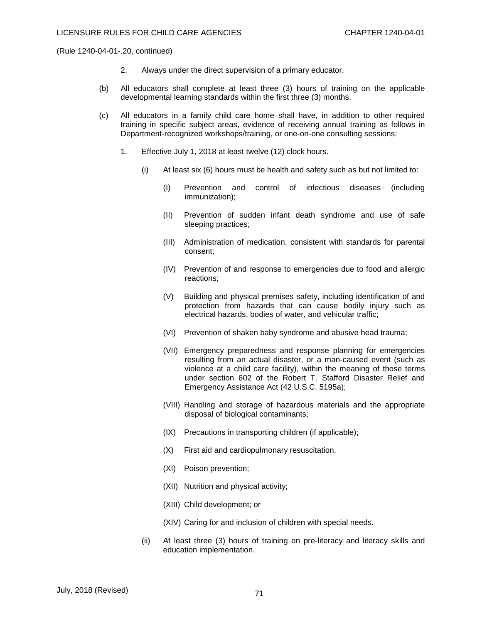- 2. Always under the direct supervision of a primary educator.
- (b) All educators shall complete at least three (3) hours of training on the applicable developmental learning standards within the first three (3) months.
- (c) All educators in a family child care home shall have, in addition to other required training in specific subject areas, evidence of receiving annual training as follows in Department-recognized workshops/training, or one-on-one consulting sessions:
	- 1. Effective July 1, 2018 at least twelve (12) clock hours.
		- (i) At least six (6) hours must be health and safety such as but not limited to:
			- (I) Prevention and control of infectious diseases (including immunization);
			- (II) Prevention of sudden infant death syndrome and use of safe sleeping practices;
			- (III) Administration of medication, consistent with standards for parental consent;
			- (IV) Prevention of and response to emergencies due to food and allergic reactions;
			- (V) Building and physical premises safety, including identification of and protection from hazards that can cause bodily injury such as electrical hazards, bodies of water, and vehicular traffic;
			- (VI) Prevention of shaken baby syndrome and abusive head trauma;
			- (VII) Emergency preparedness and response planning for emergencies resulting from an actual disaster, or a man-caused event (such as violence at a child care facility), within the meaning of those terms under section 602 of the Robert T. Stafford Disaster Relief and Emergency Assistance Act (42 U.S.C. 5195a);
			- (VIII) Handling and storage of hazardous materials and the appropriate disposal of biological contaminants;
			- (IX) Precautions in transporting children (if applicable);
			- (X) First aid and cardiopulmonary resuscitation.
			- (XI) Poison prevention;
			- (XII) Nutrition and physical activity;
			- (XIII) Child development; or
			- (XIV) Caring for and inclusion of children with special needs.
		- (ii) At least three (3) hours of training on pre-literacy and literacy skills and education implementation.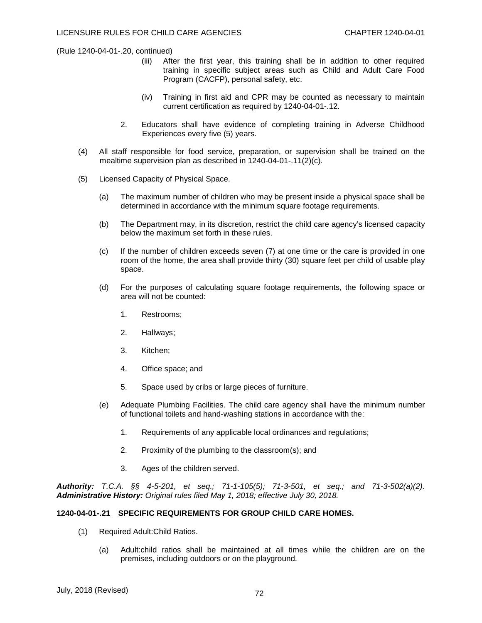- (iii) After the first year, this training shall be in addition to other required training in specific subject areas such as Child and Adult Care Food Program (CACFP), personal safety, etc.
- (iv) Training in first aid and CPR may be counted as necessary to maintain current certification as required by 1240-04-01-.12.
- 2. Educators shall have evidence of completing training in Adverse Childhood Experiences every five (5) years.
- (4) All staff responsible for food service, preparation, or supervision shall be trained on the mealtime supervision plan as described in 1240-04-01-.11(2)(c).
- (5) Licensed Capacity of Physical Space.
	- (a) The maximum number of children who may be present inside a physical space shall be determined in accordance with the minimum square footage requirements.
	- (b) The Department may, in its discretion, restrict the child care agency's licensed capacity below the maximum set forth in these rules.
	- (c) If the number of children exceeds seven (7) at one time or the care is provided in one room of the home, the area shall provide thirty (30) square feet per child of usable play space.
	- (d) For the purposes of calculating square footage requirements, the following space or area will not be counted:
		- 1. Restrooms;
		- 2. Hallways;
		- 3. Kitchen;
		- 4. Office space; and
		- 5. Space used by cribs or large pieces of furniture.
	- (e) Adequate Plumbing Facilities. The child care agency shall have the minimum number of functional toilets and hand-washing stations in accordance with the:
		- 1. Requirements of any applicable local ordinances and regulations;
		- 2. Proximity of the plumbing to the classroom(s); and
		- 3. Ages of the children served.

*Authority: T.C.A. §§ 4-5-201, et seq.; 71-1-105(5); 71-3-501, et seq.; and 71-3-502(a)(2). Administrative History: Original rules filed May 1, 2018; effective July 30, 2018.*

#### **1240-04-01-.21 SPECIFIC REQUIREMENTS FOR GROUP CHILD CARE HOMES.**

- (1) Required Adult:Child Ratios.
	- (a) Adult:child ratios shall be maintained at all times while the children are on the premises, including outdoors or on the playground.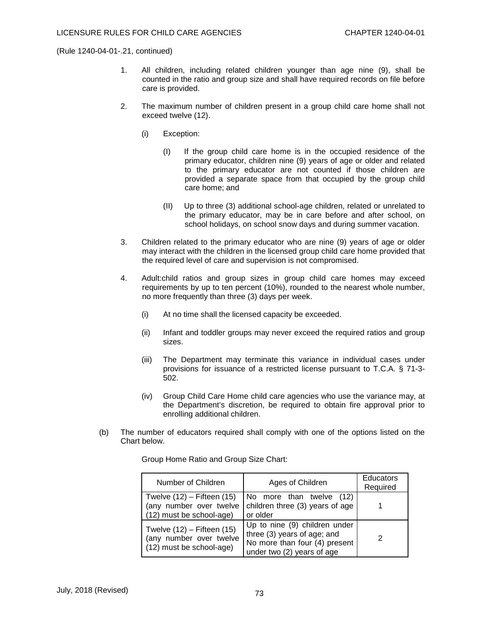- 1. All children, including related children younger than age nine (9), shall be counted in the ratio and group size and shall have required records on file before care is provided.
- 2. The maximum number of children present in a group child care home shall not exceed twelve (12).
	- (i) Exception:
		- (I) If the group child care home is in the occupied residence of the primary educator, children nine (9) years of age or older and related to the primary educator are not counted if those children are provided a separate space from that occupied by the group child care home; and
		- (II) Up to three (3) additional school-age children, related or unrelated to the primary educator, may be in care before and after school, on school holidays, on school snow days and during summer vacation.
- 3. Children related to the primary educator who are nine (9) years of age or older may interact with the children in the licensed group child care home provided that the required level of care and supervision is not compromised.
- 4. Adult:child ratios and group sizes in group child care homes may exceed requirements by up to ten percent (10%), rounded to the nearest whole number, no more frequently than three (3) days per week.
	- (i) At no time shall the licensed capacity be exceeded.
	- (ii) Infant and toddler groups may never exceed the required ratios and group sizes.
	- (iii) The Department may terminate this variance in individual cases under provisions for issuance of a restricted license pursuant to T.C.A. § 71-3- 502.
	- (iv) Group Child Care Home child care agencies who use the variance may, at the Department's discretion, be required to obtain fire approval prior to enrolling additional children.
- (b) The number of educators required shall comply with one of the options listed on the Chart below.

Group Home Ratio and Group Size Chart:

| Number of Children                                                                    | Ages of Children                                                                                                            | <b>Educators</b><br>Required |
|---------------------------------------------------------------------------------------|-----------------------------------------------------------------------------------------------------------------------------|------------------------------|
| Twelve $(12)$ – Fifteen $(15)$<br>(any number over twelve<br>(12) must be school-age) | No more than twelve (12)<br>children three (3) years of age<br>or older                                                     |                              |
| Twelve $(12)$ – Fifteen $(15)$<br>(any number over twelve<br>(12) must be school-age) | Up to nine (9) children under<br>three (3) years of age; and<br>No more than four (4) present<br>under two (2) years of age |                              |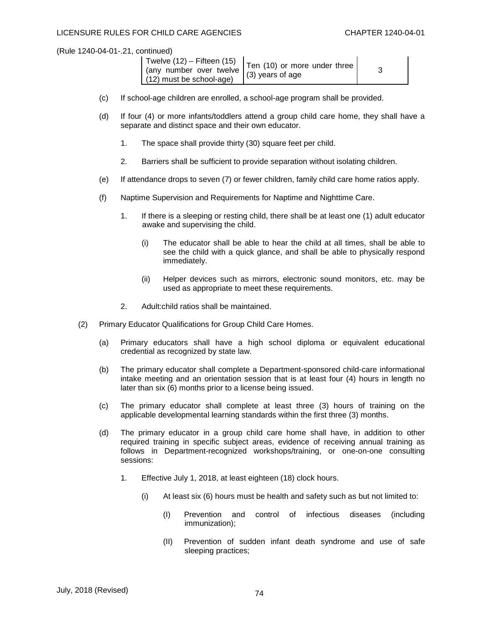| (any number over twelve $(3)$ years of age<br>$(12)$ must be school-age) | Twelve $(12)$ – Fifteen $(15)$ $\vert$ Ten $(10)$ or more under three I |  |
|--------------------------------------------------------------------------|-------------------------------------------------------------------------|--|
|--------------------------------------------------------------------------|-------------------------------------------------------------------------|--|

- (c) If school-age children are enrolled, a school-age program shall be provided.
- (d) If four (4) or more infants/toddlers attend a group child care home, they shall have a separate and distinct space and their own educator.
	- 1. The space shall provide thirty (30) square feet per child.
	- 2. Barriers shall be sufficient to provide separation without isolating children.
- (e) If attendance drops to seven (7) or fewer children, family child care home ratios apply.
- (f) Naptime Supervision and Requirements for Naptime and Nighttime Care.
	- 1. If there is a sleeping or resting child, there shall be at least one (1) adult educator awake and supervising the child.
		- (i) The educator shall be able to hear the child at all times, shall be able to see the child with a quick glance, and shall be able to physically respond immediately.
		- (ii) Helper devices such as mirrors, electronic sound monitors, etc. may be used as appropriate to meet these requirements.
	- 2. Adult:child ratios shall be maintained.
- (2) Primary Educator Qualifications for Group Child Care Homes.
	- (a) Primary educators shall have a high school diploma or equivalent educational credential as recognized by state law.
	- (b) The primary educator shall complete a Department-sponsored child-care informational intake meeting and an orientation session that is at least four (4) hours in length no later than six (6) months prior to a license being issued.
	- (c) The primary educator shall complete at least three (3) hours of training on the applicable developmental learning standards within the first three (3) months.
	- (d) The primary educator in a group child care home shall have, in addition to other required training in specific subject areas, evidence of receiving annual training as follows in Department-recognized workshops/training, or one-on-one consulting sessions:
		- 1. Effective July 1, 2018, at least eighteen (18) clock hours.
			- (i) At least six (6) hours must be health and safety such as but not limited to:
				- (I) Prevention and control of infectious diseases (including immunization);
				- (II) Prevention of sudden infant death syndrome and use of safe sleeping practices;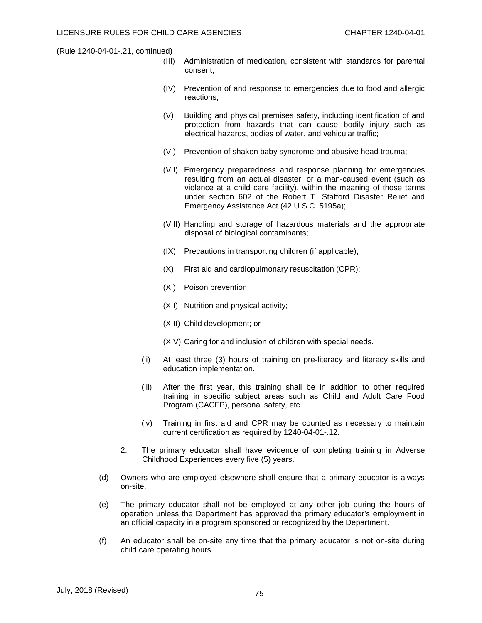- (III) Administration of medication, consistent with standards for parental consent;
- (IV) Prevention of and response to emergencies due to food and allergic reactions;
- (V) Building and physical premises safety, including identification of and protection from hazards that can cause bodily injury such as electrical hazards, bodies of water, and vehicular traffic;
- (VI) Prevention of shaken baby syndrome and abusive head trauma;
- (VII) Emergency preparedness and response planning for emergencies resulting from an actual disaster, or a man-caused event (such as violence at a child care facility), within the meaning of those terms under section 602 of the Robert T. Stafford Disaster Relief and Emergency Assistance Act (42 U.S.C. 5195a);
- (VIII) Handling and storage of hazardous materials and the appropriate disposal of biological contaminants;
- (IX) Precautions in transporting children (if applicable);
- (X) First aid and cardiopulmonary resuscitation (CPR);
- (XI) Poison prevention;
- (XII) Nutrition and physical activity;
- (XIII) Child development; or
- (XIV) Caring for and inclusion of children with special needs.
- (ii) At least three (3) hours of training on pre-literacy and literacy skills and education implementation.
- (iii) After the first year, this training shall be in addition to other required training in specific subject areas such as Child and Adult Care Food Program (CACFP), personal safety, etc.
- (iv) Training in first aid and CPR may be counted as necessary to maintain current certification as required by 1240-04-01-.12.
- 2. The primary educator shall have evidence of completing training in Adverse Childhood Experiences every five (5) years.
- (d) Owners who are employed elsewhere shall ensure that a primary educator is always on-site.
- (e) The primary educator shall not be employed at any other job during the hours of operation unless the Department has approved the primary educator's employment in an official capacity in a program sponsored or recognized by the Department.
- (f) An educator shall be on-site any time that the primary educator is not on-site during child care operating hours.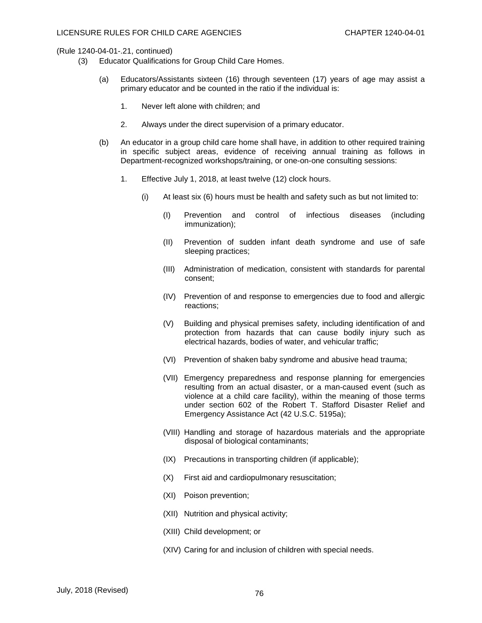- (3) Educator Qualifications for Group Child Care Homes.
	- (a) Educators/Assistants sixteen (16) through seventeen (17) years of age may assist a primary educator and be counted in the ratio if the individual is:
		- 1. Never left alone with children; and
		- 2. Always under the direct supervision of a primary educator.
	- (b) An educator in a group child care home shall have, in addition to other required training in specific subject areas, evidence of receiving annual training as follows in Department-recognized workshops/training, or one-on-one consulting sessions:
		- 1. Effective July 1, 2018, at least twelve (12) clock hours.
			- (i) At least six (6) hours must be health and safety such as but not limited to:
				- (I) Prevention and control of infectious diseases (including immunization);
				- (II) Prevention of sudden infant death syndrome and use of safe sleeping practices;
				- (III) Administration of medication, consistent with standards for parental consent;
				- (IV) Prevention of and response to emergencies due to food and allergic reactions;
				- (V) Building and physical premises safety, including identification of and protection from hazards that can cause bodily injury such as electrical hazards, bodies of water, and vehicular traffic;
				- (VI) Prevention of shaken baby syndrome and abusive head trauma;
				- (VII) Emergency preparedness and response planning for emergencies resulting from an actual disaster, or a man-caused event (such as violence at a child care facility), within the meaning of those terms under section 602 of the Robert T. Stafford Disaster Relief and Emergency Assistance Act (42 U.S.C. 5195a);
				- (VIII) Handling and storage of hazardous materials and the appropriate disposal of biological contaminants;
				- (IX) Precautions in transporting children (if applicable);
				- (X) First aid and cardiopulmonary resuscitation;
				- (XI) Poison prevention;
				- (XII) Nutrition and physical activity;
				- (XIII) Child development; or
				- (XIV) Caring for and inclusion of children with special needs.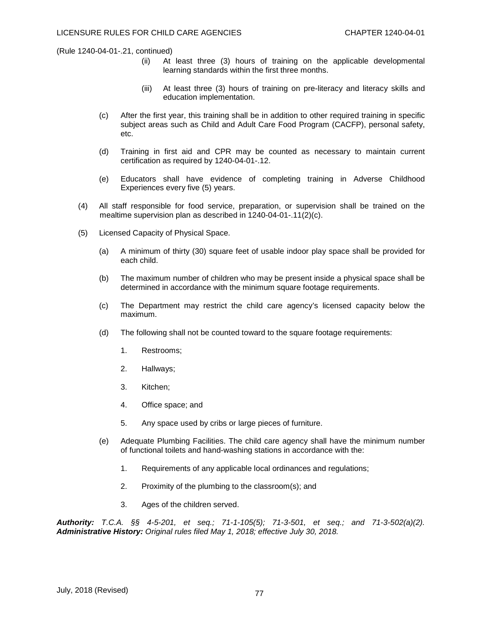- (ii) At least three (3) hours of training on the applicable developmental learning standards within the first three months.
- (iii) At least three (3) hours of training on pre-literacy and literacy skills and education implementation.
- (c) After the first year, this training shall be in addition to other required training in specific subject areas such as Child and Adult Care Food Program (CACFP), personal safety, etc.
- (d) Training in first aid and CPR may be counted as necessary to maintain current certification as required by 1240-04-01-.12.
- (e) Educators shall have evidence of completing training in Adverse Childhood Experiences every five (5) years.
- (4) All staff responsible for food service, preparation, or supervision shall be trained on the mealtime supervision plan as described in 1240-04-01-.11(2)(c).
- (5) Licensed Capacity of Physical Space.
	- (a) A minimum of thirty (30) square feet of usable indoor play space shall be provided for each child.
	- (b) The maximum number of children who may be present inside a physical space shall be determined in accordance with the minimum square footage requirements.
	- (c) The Department may restrict the child care agency's licensed capacity below the maximum.
	- (d) The following shall not be counted toward to the square footage requirements:
		- 1. Restrooms;
		- 2. Hallways;
		- 3. Kitchen;
		- 4. Office space; and
		- 5. Any space used by cribs or large pieces of furniture.
	- (e) Adequate Plumbing Facilities. The child care agency shall have the minimum number of functional toilets and hand-washing stations in accordance with the:
		- 1. Requirements of any applicable local ordinances and regulations;
		- 2. Proximity of the plumbing to the classroom(s); and
		- 3. Ages of the children served.

*Authority: T.C.A. §§ 4-5-201, et seq.; 71-1-105(5); 71-3-501, et seq.; and 71-3-502(a)(2). Administrative History: Original rules filed May 1, 2018; effective July 30, 2018.*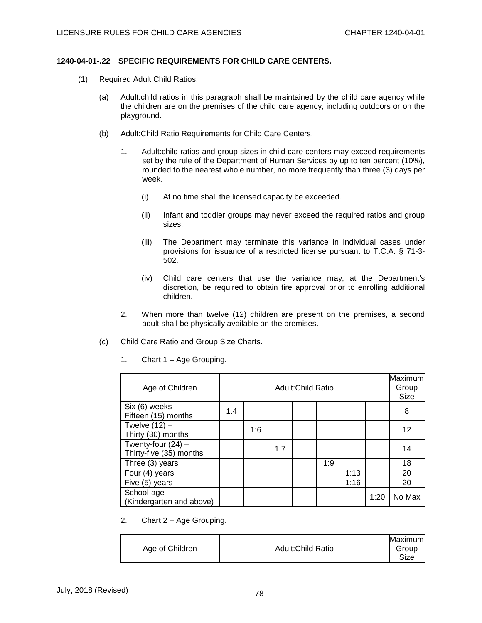## **1240-04-01-.22 SPECIFIC REQUIREMENTS FOR CHILD CARE CENTERS.**

- (1) Required Adult:Child Ratios.
	- (a) Adult:child ratios in this paragraph shall be maintained by the child care agency while the children are on the premises of the child care agency, including outdoors or on the playground.
	- (b) Adult:Child Ratio Requirements for Child Care Centers.
		- 1. Adult:child ratios and group sizes in child care centers may exceed requirements set by the rule of the Department of Human Services by up to ten percent (10%), rounded to the nearest whole number, no more frequently than three (3) days per week.
			- (i) At no time shall the licensed capacity be exceeded.
			- (ii) Infant and toddler groups may never exceed the required ratios and group sizes.
			- (iii) The Department may terminate this variance in individual cases under provisions for issuance of a restricted license pursuant to T.C.A. § 71-3- 502.
			- (iv) Child care centers that use the variance may, at the Department's discretion, be required to obtain fire approval prior to enrolling additional children.
		- 2. When more than twelve (12) children are present on the premises, a second adult shall be physically available on the premises.
	- (c) Child Care Ratio and Group Size Charts.

| Age of Children                                 | Adult: Child Ratio |     |     |  | <b>Maximum</b><br>Group<br>Size |      |      |        |
|-------------------------------------------------|--------------------|-----|-----|--|---------------------------------|------|------|--------|
| $Six (6) weeks -$<br>Fifteen (15) months        | 1:4                |     |     |  |                                 |      |      | 8      |
| Twelve $(12)$ –<br>Thirty (30) months           |                    | 1:6 |     |  |                                 |      |      | 12     |
| Twenty-four $(24)$ –<br>Thirty-five (35) months |                    |     | 1:7 |  |                                 |      |      | 14     |
| Three (3) years                                 |                    |     |     |  | 1:9                             |      |      | 18     |
| Four (4) years                                  |                    |     |     |  |                                 | 1:13 |      | 20     |
| Five (5) years                                  |                    |     |     |  |                                 | 1:16 |      | 20     |
| School-age<br>(Kindergarten and above)          |                    |     |     |  |                                 |      | 1:20 | No Max |

1. Chart 1 – Age Grouping.

2. Chart 2 – Age Grouping.

|                 |                          | Maximuml |
|-----------------|--------------------------|----------|
| Age of Children | <b>Adult:Child Ratio</b> | Group    |
|                 |                          | Size     |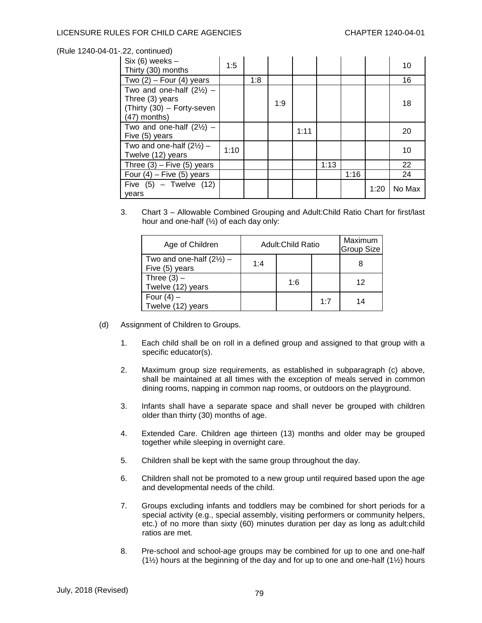| $Six (6) weeks -$<br>Thirty (30) months                                                                | 1:5  |     |     |      |      |      |      | 10     |
|--------------------------------------------------------------------------------------------------------|------|-----|-----|------|------|------|------|--------|
| Two $(2)$ – Four $(4)$ years                                                                           |      | 1:8 |     |      |      |      |      | 16     |
| Two and one-half $(2\frac{1}{2})$ -<br>Three (3) years<br>(Thirty (30) - Forty-seven<br>$(47)$ months) |      |     | 1:9 |      |      |      |      | 18     |
| Two and one-half $(2\frac{1}{2})$ –<br>Five (5) years                                                  |      |     |     | 1:11 |      |      |      | 20     |
| Two and one-half $(2\frac{1}{2})$ -<br>Twelve (12) years                                               | 1:10 |     |     |      |      |      |      | 10     |
| Three $(3)$ – Five $(5)$ years                                                                         |      |     |     |      | 1:13 |      |      | 22     |
| Four $(4)$ – Five $(5)$ years                                                                          |      |     |     |      |      | 1:16 |      | 24     |
| Five $(5)$ – Twelve $(12)$<br>vears                                                                    |      |     |     |      |      |      | 1:20 | No Max |

3. Chart 3 – Allowable Combined Grouping and Adult:Child Ratio Chart for first/last hour and one-half (½) of each day only:

| Age of Children                                       | <b>Adult:Child Ratio</b> |     |     | Maximum<br>Group Size |
|-------------------------------------------------------|--------------------------|-----|-----|-----------------------|
| Two and one-half $(2\frac{1}{2})$ -<br>Five (5) years | 1:4                      |     |     | 8                     |
| Three $(3)$ –<br>Twelve (12) years                    |                          | 1:6 |     | 12                    |
| Four $(4)$ –<br>Twelve (12) years                     |                          |     | 1:7 | 14                    |

- (d) Assignment of Children to Groups.
	- 1. Each child shall be on roll in a defined group and assigned to that group with a specific educator(s).
	- 2. Maximum group size requirements, as established in subparagraph (c) above, shall be maintained at all times with the exception of meals served in common dining rooms, napping in common nap rooms, or outdoors on the playground.
	- 3. Infants shall have a separate space and shall never be grouped with children older than thirty (30) months of age.
	- 4. Extended Care. Children age thirteen (13) months and older may be grouped together while sleeping in overnight care.
	- 5. Children shall be kept with the same group throughout the day.
	- 6. Children shall not be promoted to a new group until required based upon the age and developmental needs of the child.
	- 7. Groups excluding infants and toddlers may be combined for short periods for a special activity (e.g., special assembly, visiting performers or community helpers, etc.) of no more than sixty (60) minutes duration per day as long as adult:child ratios are met.
	- 8. Pre-school and school-age groups may be combined for up to one and one-half (1½) hours at the beginning of the day and for up to one and one-half (1½) hours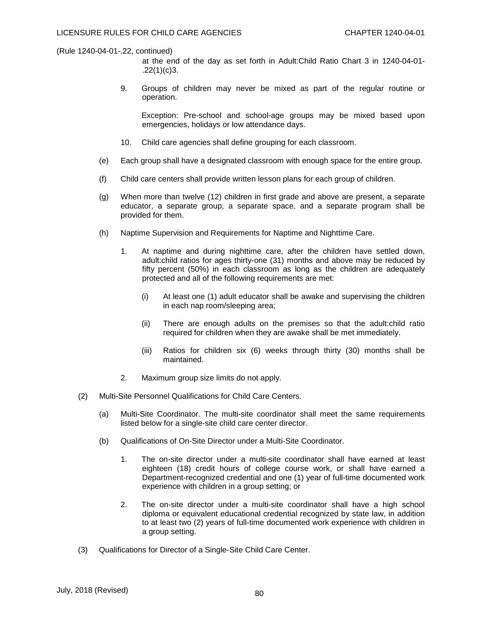- at the end of the day as set forth in Adult:Child Ratio Chart 3 in 1240-04-01-  $.22(1)(c)3.$
- 9. Groups of children may never be mixed as part of the regular routine or operation.

Exception: Pre-school and school-age groups may be mixed based upon emergencies, holidays or low attendance days.

- 10. Child care agencies shall define grouping for each classroom.
- (e) Each group shall have a designated classroom with enough space for the entire group.
- (f) Child care centers shall provide written lesson plans for each group of children.
- (g) When more than twelve (12) children in first grade and above are present, a separate educator, a separate group, a separate space, and a separate program shall be provided for them.
- (h) Naptime Supervision and Requirements for Naptime and Nighttime Care.
	- 1. At naptime and during nighttime care, after the children have settled down, adult:child ratios for ages thirty-one (31) months and above may be reduced by fifty percent (50%) in each classroom as long as the children are adequately protected and all of the following requirements are met:
		- (i) At least one (1) adult educator shall be awake and supervising the children in each nap room/sleeping area;
		- (ii) There are enough adults on the premises so that the adult:child ratio required for children when they are awake shall be met immediately.
		- (iii) Ratios for children six (6) weeks through thirty (30) months shall be maintained.
	- 2. Maximum group size limits do not apply.
- (2) Multi-Site Personnel Qualifications for Child Care Centers.
	- (a) Multi-Site Coordinator. The multi-site coordinator shall meet the same requirements listed below for a single-site child care center director.
	- (b) Qualifications of On-Site Director under a Multi-Site Coordinator.
		- 1. The on-site director under a multi-site coordinator shall have earned at least eighteen (18) credit hours of college course work, or shall have earned a Department-recognized credential and one (1) year of full-time documented work experience with children in a group setting; or
		- 2. The on-site director under a multi-site coordinator shall have a high school diploma or equivalent educational credential recognized by state law, in addition to at least two (2) years of full-time documented work experience with children in a group setting.
- (3) Qualifications for Director of a Single-Site Child Care Center.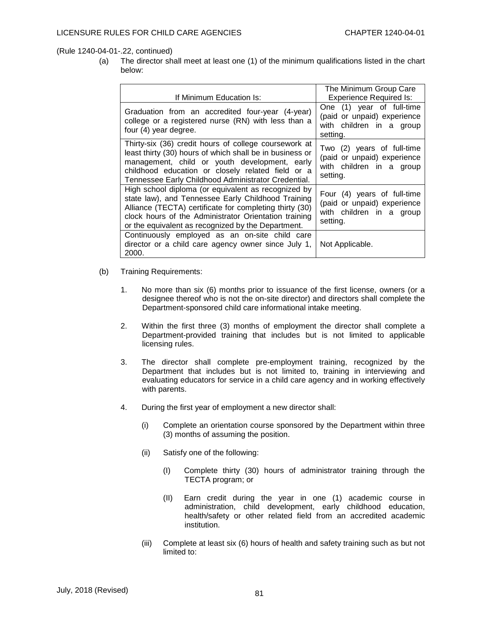(a) The director shall meet at least one (1) of the minimum qualifications listed in the chart below:

| If Minimum Education Is:                                                                                                                                                                                                                                                            | The Minimum Group Care<br><b>Experience Required Is:</b>                                           |
|-------------------------------------------------------------------------------------------------------------------------------------------------------------------------------------------------------------------------------------------------------------------------------------|----------------------------------------------------------------------------------------------------|
| Graduation from an accredited four-year (4-year)<br>college or a registered nurse (RN) with less than a<br>four (4) year degree.                                                                                                                                                    | One (1) year of full-time<br>(paid or unpaid) experience<br>with children in a group<br>setting.   |
| Thirty-six (36) credit hours of college coursework at<br>least thirty (30) hours of which shall be in business or<br>management, child or youth development, early<br>childhood education or closely related field or a<br>Tennessee Early Childhood Administrator Credential.      | Two (2) years of full-time<br>(paid or unpaid) experience<br>with children in a group<br>setting.  |
| High school diploma (or equivalent as recognized by<br>state law), and Tennessee Early Childhood Training<br>Alliance (TECTA) certificate for completing thirty (30)<br>clock hours of the Administrator Orientation training<br>or the equivalent as recognized by the Department. | Four (4) years of full-time<br>(paid or unpaid) experience<br>with children in a group<br>setting. |
| Continuously employed as an on-site child care<br>director or a child care agency owner since July 1,<br>2000.                                                                                                                                                                      | Not Applicable.                                                                                    |

- (b) Training Requirements:
	- 1. No more than six (6) months prior to issuance of the first license, owners (or a designee thereof who is not the on-site director) and directors shall complete the Department-sponsored child care informational intake meeting.
	- 2. Within the first three (3) months of employment the director shall complete a Department-provided training that includes but is not limited to applicable licensing rules.
	- 3. The director shall complete pre-employment training, recognized by the Department that includes but is not limited to, training in interviewing and evaluating educators for service in a child care agency and in working effectively with parents.
	- 4. During the first year of employment a new director shall:
		- (i) Complete an orientation course sponsored by the Department within three (3) months of assuming the position.
		- (ii) Satisfy one of the following:
			- (I) Complete thirty (30) hours of administrator training through the TECTA program; or
			- (II) Earn credit during the year in one (1) academic course in administration, child development, early childhood education, health/safety or other related field from an accredited academic institution.
		- (iii) Complete at least six (6) hours of health and safety training such as but not limited to: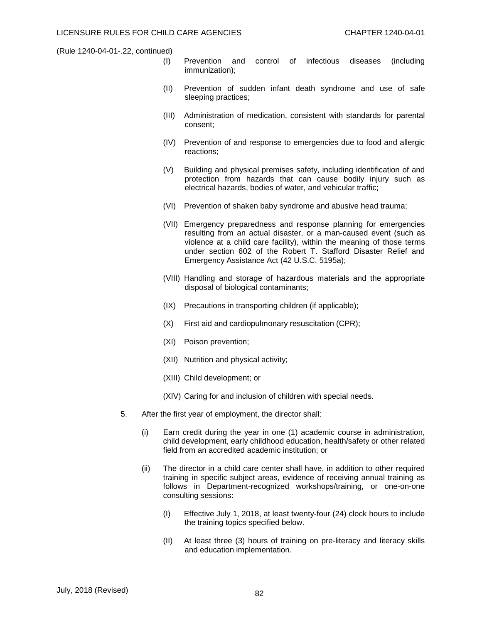- (I) Prevention and control of infectious diseases (including immunization);
- (II) Prevention of sudden infant death syndrome and use of safe sleeping practices;
- (III) Administration of medication, consistent with standards for parental consent;
- (IV) Prevention of and response to emergencies due to food and allergic reactions;
- (V) Building and physical premises safety, including identification of and protection from hazards that can cause bodily injury such as electrical hazards, bodies of water, and vehicular traffic;
- (VI) Prevention of shaken baby syndrome and abusive head trauma;
- (VII) Emergency preparedness and response planning for emergencies resulting from an actual disaster, or a man-caused event (such as violence at a child care facility), within the meaning of those terms under section 602 of the Robert T. Stafford Disaster Relief and Emergency Assistance Act (42 U.S.C. 5195a);
- (VIII) Handling and storage of hazardous materials and the appropriate disposal of biological contaminants;
- (IX) Precautions in transporting children (if applicable);
- (X) First aid and cardiopulmonary resuscitation (CPR);
- (XI) Poison prevention;
- (XII) Nutrition and physical activity;
- (XIII) Child development; or
- (XIV) Caring for and inclusion of children with special needs.
- 5. After the first year of employment, the director shall:
	- (i) Earn credit during the year in one (1) academic course in administration, child development, early childhood education, health/safety or other related field from an accredited academic institution; or
	- (ii) The director in a child care center shall have, in addition to other required training in specific subject areas, evidence of receiving annual training as follows in Department-recognized workshops/training, or one-on-one consulting sessions:
		- (I) Effective July 1, 2018, at least twenty-four (24) clock hours to include the training topics specified below.
		- (II) At least three (3) hours of training on pre-literacy and literacy skills and education implementation.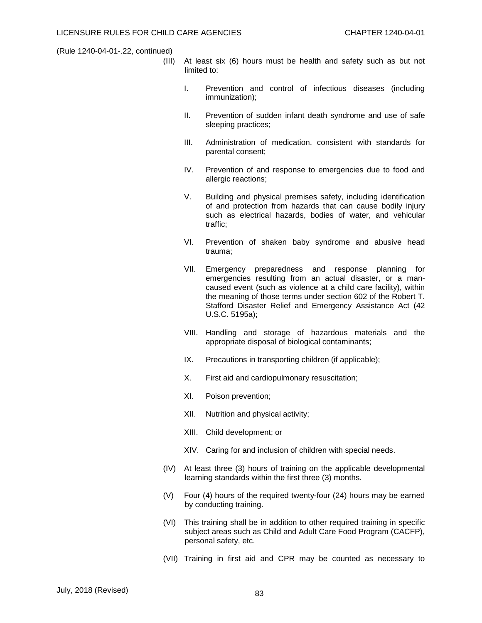- (III) At least six (6) hours must be health and safety such as but not limited to:
	- I. Prevention and control of infectious diseases (including immunization);
	- II. Prevention of sudden infant death syndrome and use of safe sleeping practices;
	- III. Administration of medication, consistent with standards for parental consent;
	- IV. Prevention of and response to emergencies due to food and allergic reactions;
	- V. Building and physical premises safety, including identification of and protection from hazards that can cause bodily injury such as electrical hazards, bodies of water, and vehicular traffic;
	- VI. Prevention of shaken baby syndrome and abusive head trauma;
	- VII. Emergency preparedness and response planning for emergencies resulting from an actual disaster, or a mancaused event (such as violence at a child care facility), within the meaning of those terms under section 602 of the Robert T. Stafford Disaster Relief and Emergency Assistance Act (42 U.S.C. 5195a);
	- VIII. Handling and storage of hazardous materials and the appropriate disposal of biological contaminants;
	- IX. Precautions in transporting children (if applicable);
	- X. First aid and cardiopulmonary resuscitation;
	- XI. Poison prevention;
	- XII. Nutrition and physical activity;
	- XIII. Child development; or
	- XIV. Caring for and inclusion of children with special needs.
- (IV) At least three (3) hours of training on the applicable developmental learning standards within the first three (3) months.
- (V) Four (4) hours of the required twenty-four (24) hours may be earned by conducting training.
- (VI) This training shall be in addition to other required training in specific subject areas such as Child and Adult Care Food Program (CACFP), personal safety, etc.
- (VII) Training in first aid and CPR may be counted as necessary to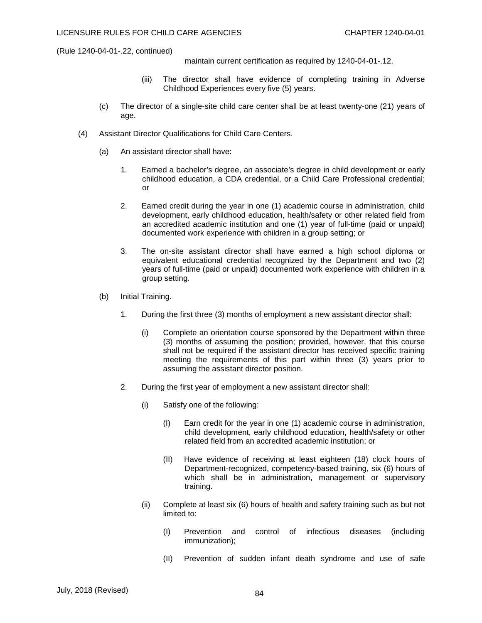maintain current certification as required by 1240-04-01-.12.

- (iii) The director shall have evidence of completing training in Adverse Childhood Experiences every five (5) years.
- (c) The director of a single-site child care center shall be at least twenty-one (21) years of age.
- (4) Assistant Director Qualifications for Child Care Centers.
	- (a) An assistant director shall have:
		- 1. Earned a bachelor's degree, an associate's degree in child development or early childhood education, a CDA credential, or a Child Care Professional credential; or
		- 2. Earned credit during the year in one (1) academic course in administration, child development, early childhood education, health/safety or other related field from an accredited academic institution and one (1) year of full-time (paid or unpaid) documented work experience with children in a group setting; or
		- 3. The on-site assistant director shall have earned a high school diploma or equivalent educational credential recognized by the Department and two (2) years of full-time (paid or unpaid) documented work experience with children in a group setting.
	- (b) Initial Training.
		- 1. During the first three (3) months of employment a new assistant director shall:
			- (i) Complete an orientation course sponsored by the Department within three (3) months of assuming the position; provided, however, that this course shall not be required if the assistant director has received specific training meeting the requirements of this part within three (3) years prior to assuming the assistant director position.
		- 2. During the first year of employment a new assistant director shall:
			- (i) Satisfy one of the following:
				- (I) Earn credit for the year in one (1) academic course in administration, child development, early childhood education, health/safety or other related field from an accredited academic institution; or
				- (II) Have evidence of receiving at least eighteen (18) clock hours of Department-recognized, competency-based training, six (6) hours of which shall be in administration, management or supervisory training.
			- (ii) Complete at least six (6) hours of health and safety training such as but not limited to:
				- (I) Prevention and control of infectious diseases (including immunization);
				- (II) Prevention of sudden infant death syndrome and use of safe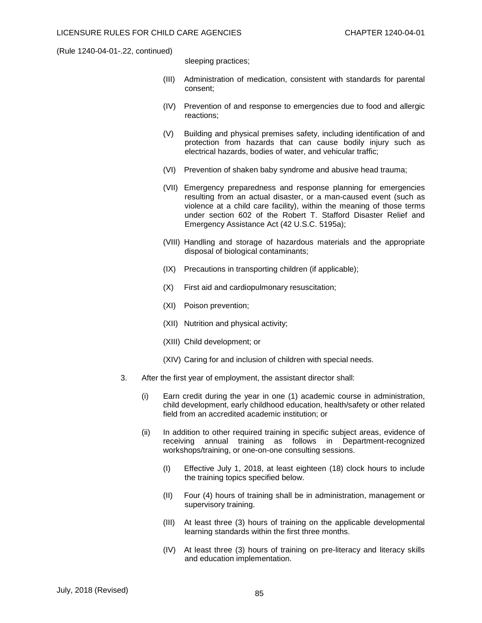sleeping practices;

- (III) Administration of medication, consistent with standards for parental consent;
- (IV) Prevention of and response to emergencies due to food and allergic reactions;
- (V) Building and physical premises safety, including identification of and protection from hazards that can cause bodily injury such as electrical hazards, bodies of water, and vehicular traffic;
- (VI) Prevention of shaken baby syndrome and abusive head trauma;
- (VII) Emergency preparedness and response planning for emergencies resulting from an actual disaster, or a man-caused event (such as violence at a child care facility), within the meaning of those terms under section 602 of the Robert T. Stafford Disaster Relief and Emergency Assistance Act (42 U.S.C. 5195a);
- (VIII) Handling and storage of hazardous materials and the appropriate disposal of biological contaminants;
- (IX) Precautions in transporting children (if applicable);
- (X) First aid and cardiopulmonary resuscitation;
- (XI) Poison prevention;
- (XII) Nutrition and physical activity;
- (XIII) Child development; or
- (XIV) Caring for and inclusion of children with special needs.
- 3. After the first year of employment, the assistant director shall:
	- (i) Earn credit during the year in one (1) academic course in administration, child development, early childhood education, health/safety or other related field from an accredited academic institution; or
	- (ii) In addition to other required training in specific subject areas, evidence of receiving annual training as follows in Department-recognized workshops/training, or one-on-one consulting sessions.
		- (I) Effective July 1, 2018, at least eighteen (18) clock hours to include the training topics specified below.
		- (II) Four (4) hours of training shall be in administration, management or supervisory training.
		- (III) At least three (3) hours of training on the applicable developmental learning standards within the first three months.
		- (IV) At least three (3) hours of training on pre-literacy and literacy skills and education implementation.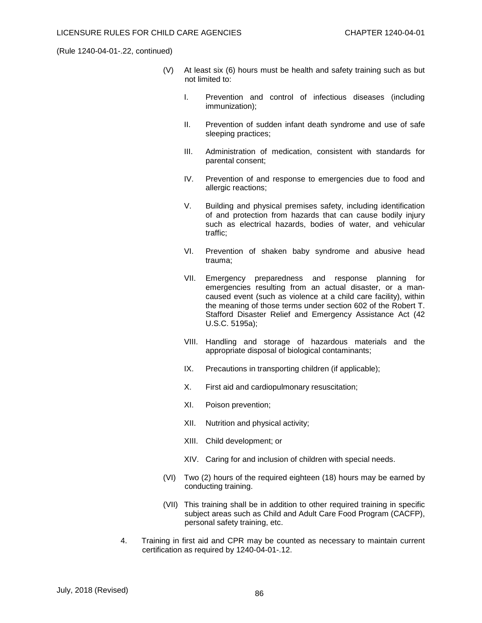- (V) At least six (6) hours must be health and safety training such as but not limited to:
	- I. Prevention and control of infectious diseases (including immunization);
	- II. Prevention of sudden infant death syndrome and use of safe sleeping practices;
	- III. Administration of medication, consistent with standards for parental consent;
	- IV. Prevention of and response to emergencies due to food and allergic reactions;
	- V. Building and physical premises safety, including identification of and protection from hazards that can cause bodily injury such as electrical hazards, bodies of water, and vehicular traffic;
	- VI. Prevention of shaken baby syndrome and abusive head trauma;
	- VII. Emergency preparedness and response planning for emergencies resulting from an actual disaster, or a mancaused event (such as violence at a child care facility), within the meaning of those terms under section 602 of the Robert T. Stafford Disaster Relief and Emergency Assistance Act (42 U.S.C. 5195a);
	- VIII. Handling and storage of hazardous materials and the appropriate disposal of biological contaminants;
	- IX. Precautions in transporting children (if applicable);
	- X. First aid and cardiopulmonary resuscitation;
	- XI. Poison prevention;
	- XII. Nutrition and physical activity;
	- XIII. Child development; or
	- XIV. Caring for and inclusion of children with special needs.
- (VI) Two (2) hours of the required eighteen (18) hours may be earned by conducting training.
- (VII) This training shall be in addition to other required training in specific subject areas such as Child and Adult Care Food Program (CACFP), personal safety training, etc.
- 4. Training in first aid and CPR may be counted as necessary to maintain current certification as required by 1240-04-01-.12.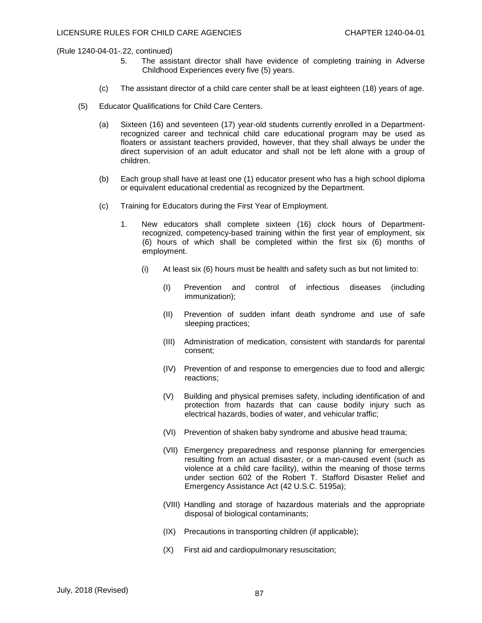- 5. The assistant director shall have evidence of completing training in Adverse Childhood Experiences every five (5) years.
- (c) The assistant director of a child care center shall be at least eighteen (18) years of age.
- (5) Educator Qualifications for Child Care Centers.
	- (a) Sixteen (16) and seventeen (17) year-old students currently enrolled in a Departmentrecognized career and technical child care educational program may be used as floaters or assistant teachers provided, however, that they shall always be under the direct supervision of an adult educator and shall not be left alone with a group of children.
	- (b) Each group shall have at least one (1) educator present who has a high school diploma or equivalent educational credential as recognized by the Department.
	- (c) Training for Educators during the First Year of Employment.
		- 1. New educators shall complete sixteen (16) clock hours of Departmentrecognized, competency-based training within the first year of employment, six (6) hours of which shall be completed within the first six (6) months of employment.
			- (i) At least six (6) hours must be health and safety such as but not limited to:
				- (I) Prevention and control of infectious diseases (including immunization);
				- (II) Prevention of sudden infant death syndrome and use of safe sleeping practices;
				- (III) Administration of medication, consistent with standards for parental consent;
				- (IV) Prevention of and response to emergencies due to food and allergic reactions;
				- (V) Building and physical premises safety, including identification of and protection from hazards that can cause bodily injury such as electrical hazards, bodies of water, and vehicular traffic;
				- (VI) Prevention of shaken baby syndrome and abusive head trauma;
				- (VII) Emergency preparedness and response planning for emergencies resulting from an actual disaster, or a man-caused event (such as violence at a child care facility), within the meaning of those terms under section 602 of the Robert T. Stafford Disaster Relief and Emergency Assistance Act (42 U.S.C. 5195a);
				- (VIII) Handling and storage of hazardous materials and the appropriate disposal of biological contaminants;
				- (IX) Precautions in transporting children (if applicable);
				- (X) First aid and cardiopulmonary resuscitation;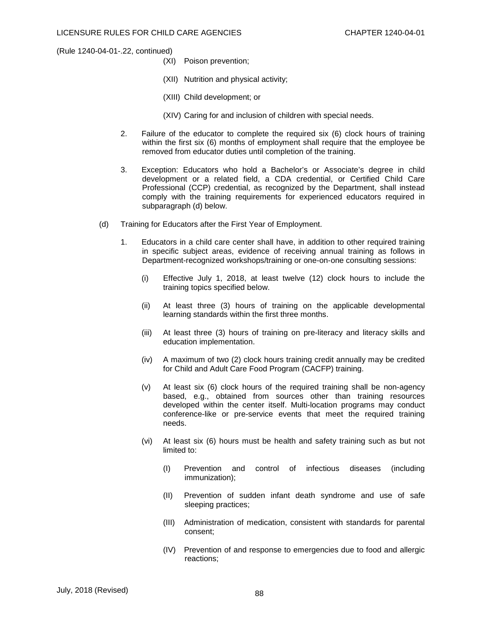- (XI) Poison prevention;
- (XII) Nutrition and physical activity;
- (XIII) Child development; or
- (XIV) Caring for and inclusion of children with special needs.
- 2. Failure of the educator to complete the required six (6) clock hours of training within the first six (6) months of employment shall require that the employee be removed from educator duties until completion of the training.
- 3. Exception: Educators who hold a Bachelor's or Associate's degree in child development or a related field, a CDA credential, or Certified Child Care Professional (CCP) credential, as recognized by the Department, shall instead comply with the training requirements for experienced educators required in subparagraph (d) below.
- (d) Training for Educators after the First Year of Employment.
	- 1. Educators in a child care center shall have, in addition to other required training in specific subject areas, evidence of receiving annual training as follows in Department-recognized workshops/training or one-on-one consulting sessions:
		- (i) Effective July 1, 2018, at least twelve (12) clock hours to include the training topics specified below.
		- (ii) At least three (3) hours of training on the applicable developmental learning standards within the first three months.
		- (iii) At least three (3) hours of training on pre-literacy and literacy skills and education implementation.
		- (iv) A maximum of two (2) clock hours training credit annually may be credited for Child and Adult Care Food Program (CACFP) training.
		- (v) At least six (6) clock hours of the required training shall be non-agency based, e.g., obtained from sources other than training resources developed within the center itself. Multi-location programs may conduct conference-like or pre-service events that meet the required training needs.
		- (vi) At least six (6) hours must be health and safety training such as but not limited to:
			- (I) Prevention and control of infectious diseases (including immunization);
			- (II) Prevention of sudden infant death syndrome and use of safe sleeping practices;
			- (III) Administration of medication, consistent with standards for parental consent;
			- (IV) Prevention of and response to emergencies due to food and allergic reactions;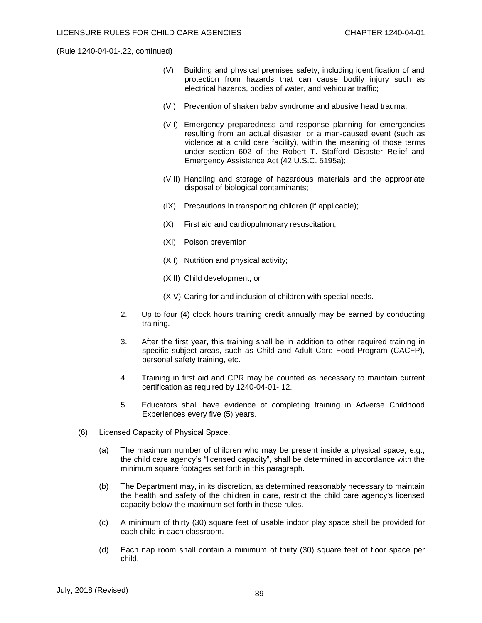- (V) Building and physical premises safety, including identification of and protection from hazards that can cause bodily injury such as electrical hazards, bodies of water, and vehicular traffic;
- (VI) Prevention of shaken baby syndrome and abusive head trauma;
- (VII) Emergency preparedness and response planning for emergencies resulting from an actual disaster, or a man-caused event (such as violence at a child care facility), within the meaning of those terms under section 602 of the Robert T. Stafford Disaster Relief and Emergency Assistance Act (42 U.S.C. 5195a);
- (VIII) Handling and storage of hazardous materials and the appropriate disposal of biological contaminants;
- (IX) Precautions in transporting children (if applicable);
- (X) First aid and cardiopulmonary resuscitation;
- (XI) Poison prevention;
- (XII) Nutrition and physical activity;
- (XIII) Child development; or
- (XIV) Caring for and inclusion of children with special needs.
- 2. Up to four (4) clock hours training credit annually may be earned by conducting training.
- 3. After the first year, this training shall be in addition to other required training in specific subject areas, such as Child and Adult Care Food Program (CACFP), personal safety training, etc.
- 4. Training in first aid and CPR may be counted as necessary to maintain current certification as required by 1240-04-01-.12.
- 5. Educators shall have evidence of completing training in Adverse Childhood Experiences every five (5) years.
- (6) Licensed Capacity of Physical Space.
	- (a) The maximum number of children who may be present inside a physical space, e.g., the child care agency's "licensed capacity", shall be determined in accordance with the minimum square footages set forth in this paragraph.
	- (b) The Department may, in its discretion, as determined reasonably necessary to maintain the health and safety of the children in care, restrict the child care agency's licensed capacity below the maximum set forth in these rules.
	- (c) A minimum of thirty (30) square feet of usable indoor play space shall be provided for each child in each classroom.
	- (d) Each nap room shall contain a minimum of thirty (30) square feet of floor space per child.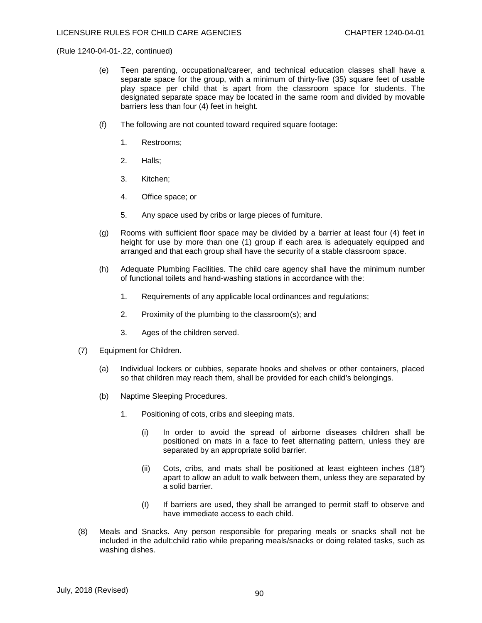- (e) Teen parenting, occupational/career, and technical education classes shall have a separate space for the group, with a minimum of thirty-five (35) square feet of usable play space per child that is apart from the classroom space for students. The designated separate space may be located in the same room and divided by movable barriers less than four (4) feet in height.
- (f) The following are not counted toward required square footage:
	- 1. Restrooms;
	- 2. Halls;
	- 3. Kitchen;
	- 4. Office space; or
	- 5. Any space used by cribs or large pieces of furniture.
- (g) Rooms with sufficient floor space may be divided by a barrier at least four (4) feet in height for use by more than one (1) group if each area is adequately equipped and arranged and that each group shall have the security of a stable classroom space.
- (h) Adequate Plumbing Facilities. The child care agency shall have the minimum number of functional toilets and hand-washing stations in accordance with the:
	- 1. Requirements of any applicable local ordinances and regulations;
	- 2. Proximity of the plumbing to the classroom(s); and
	- 3. Ages of the children served.
- (7) Equipment for Children.
	- (a) Individual lockers or cubbies, separate hooks and shelves or other containers, placed so that children may reach them, shall be provided for each child's belongings.
	- (b) Naptime Sleeping Procedures.
		- 1. Positioning of cots, cribs and sleeping mats.
			- (i) In order to avoid the spread of airborne diseases children shall be positioned on mats in a face to feet alternating pattern, unless they are separated by an appropriate solid barrier.
			- (ii) Cots, cribs, and mats shall be positioned at least eighteen inches (18") apart to allow an adult to walk between them, unless they are separated by a solid barrier.
			- (I) If barriers are used, they shall be arranged to permit staff to observe and have immediate access to each child.
- (8) Meals and Snacks. Any person responsible for preparing meals or snacks shall not be included in the adult:child ratio while preparing meals/snacks or doing related tasks, such as washing dishes.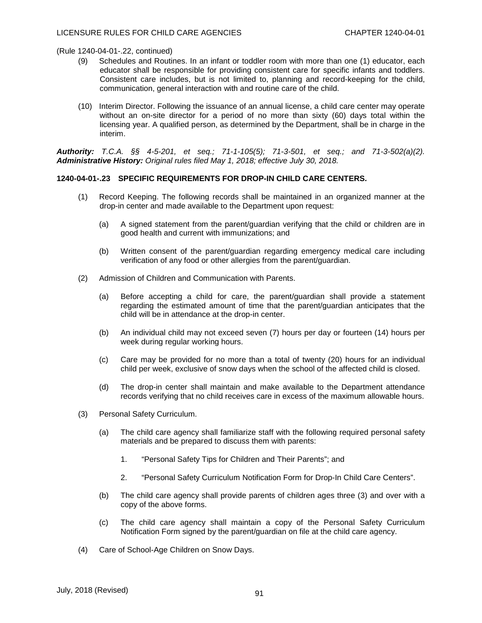- (9) Schedules and Routines. In an infant or toddler room with more than one (1) educator, each educator shall be responsible for providing consistent care for specific infants and toddlers. Consistent care includes, but is not limited to, planning and record-keeping for the child, communication, general interaction with and routine care of the child.
- (10) Interim Director. Following the issuance of an annual license, a child care center may operate without an on-site director for a period of no more than sixty (60) days total within the licensing year. A qualified person, as determined by the Department, shall be in charge in the interim.

*Authority: T.C.A. §§ 4-5-201, et seq.; 71-1-105(5); 71-3-501, et seq.; and 71-3-502(a)(2). Administrative History: Original rules filed May 1, 2018; effective July 30, 2018.*

## **1240-04-01-.23 SPECIFIC REQUIREMENTS FOR DROP-IN CHILD CARE CENTERS.**

- (1) Record Keeping. The following records shall be maintained in an organized manner at the drop-in center and made available to the Department upon request:
	- (a) A signed statement from the parent/guardian verifying that the child or children are in good health and current with immunizations; and
	- (b) Written consent of the parent/guardian regarding emergency medical care including verification of any food or other allergies from the parent/guardian.
- (2) Admission of Children and Communication with Parents.
	- (a) Before accepting a child for care, the parent/guardian shall provide a statement regarding the estimated amount of time that the parent/guardian anticipates that the child will be in attendance at the drop-in center.
	- (b) An individual child may not exceed seven (7) hours per day or fourteen (14) hours per week during regular working hours.
	- (c) Care may be provided for no more than a total of twenty (20) hours for an individual child per week, exclusive of snow days when the school of the affected child is closed.
	- (d) The drop-in center shall maintain and make available to the Department attendance records verifying that no child receives care in excess of the maximum allowable hours.
- (3) Personal Safety Curriculum.
	- (a) The child care agency shall familiarize staff with the following required personal safety materials and be prepared to discuss them with parents:
		- 1. "Personal Safety Tips for Children and Their Parents"; and
		- 2. "Personal Safety Curriculum Notification Form for Drop-In Child Care Centers".
	- (b) The child care agency shall provide parents of children ages three (3) and over with a copy of the above forms.
	- (c) The child care agency shall maintain a copy of the Personal Safety Curriculum Notification Form signed by the parent/guardian on file at the child care agency.
- (4) Care of School-Age Children on Snow Days.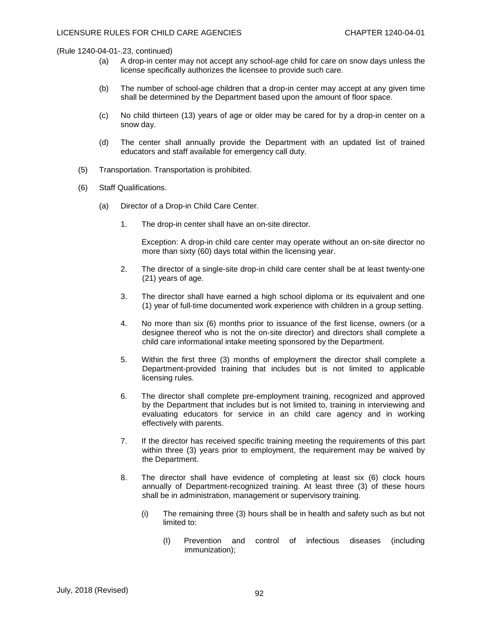- (a) A drop-in center may not accept any school-age child for care on snow days unless the license specifically authorizes the licensee to provide such care.
- (b) The number of school-age children that a drop-in center may accept at any given time shall be determined by the Department based upon the amount of floor space.
- (c) No child thirteen (13) years of age or older may be cared for by a drop-in center on a snow day.
- (d) The center shall annually provide the Department with an updated list of trained educators and staff available for emergency call duty.
- (5) Transportation. Transportation is prohibited.
- (6) Staff Qualifications.
	- (a) Director of a Drop-in Child Care Center.
		- 1. The drop-in center shall have an on-site director.

Exception: A drop-in child care center may operate without an on-site director no more than sixty (60) days total within the licensing year.

- 2. The director of a single-site drop-in child care center shall be at least twenty-one (21) years of age.
- 3. The director shall have earned a high school diploma or its equivalent and one (1) year of full-time documented work experience with children in a group setting.
- 4. No more than six (6) months prior to issuance of the first license, owners (or a designee thereof who is not the on-site director) and directors shall complete a child care informational intake meeting sponsored by the Department.
- 5. Within the first three (3) months of employment the director shall complete a Department-provided training that includes but is not limited to applicable licensing rules.
- 6. The director shall complete pre-employment training, recognized and approved by the Department that includes but is not limited to, training in interviewing and evaluating educators for service in an child care agency and in working effectively with parents.
- 7. If the director has received specific training meeting the requirements of this part within three (3) years prior to employment, the requirement may be waived by the Department.
- 8. The director shall have evidence of completing at least six (6) clock hours annually of Department-recognized training. At least three (3) of these hours shall be in administration, management or supervisory training.
	- (i) The remaining three (3) hours shall be in health and safety such as but not limited to:
		- (I) Prevention and control of infectious diseases (including immunization);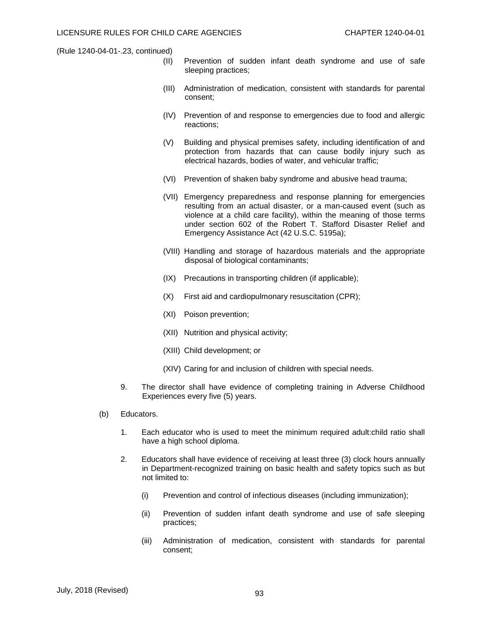- (II) Prevention of sudden infant death syndrome and use of safe sleeping practices;
- (III) Administration of medication, consistent with standards for parental consent;
- (IV) Prevention of and response to emergencies due to food and allergic reactions;
- (V) Building and physical premises safety, including identification of and protection from hazards that can cause bodily injury such as electrical hazards, bodies of water, and vehicular traffic;
- (VI) Prevention of shaken baby syndrome and abusive head trauma;
- (VII) Emergency preparedness and response planning for emergencies resulting from an actual disaster, or a man-caused event (such as violence at a child care facility), within the meaning of those terms under section 602 of the Robert T. Stafford Disaster Relief and Emergency Assistance Act (42 U.S.C. 5195a);
- (VIII) Handling and storage of hazardous materials and the appropriate disposal of biological contaminants;
- (IX) Precautions in transporting children (if applicable);
- (X) First aid and cardiopulmonary resuscitation (CPR);
- (XI) Poison prevention;
- (XII) Nutrition and physical activity;
- (XIII) Child development; or
- (XIV) Caring for and inclusion of children with special needs.
- 9. The director shall have evidence of completing training in Adverse Childhood Experiences every five (5) years.
- (b) Educators.
	- 1. Each educator who is used to meet the minimum required adult:child ratio shall have a high school diploma.
	- 2. Educators shall have evidence of receiving at least three (3) clock hours annually in Department-recognized training on basic health and safety topics such as but not limited to:
		- (i) Prevention and control of infectious diseases (including immunization);
		- (ii) Prevention of sudden infant death syndrome and use of safe sleeping practices;
		- (iii) Administration of medication, consistent with standards for parental consent;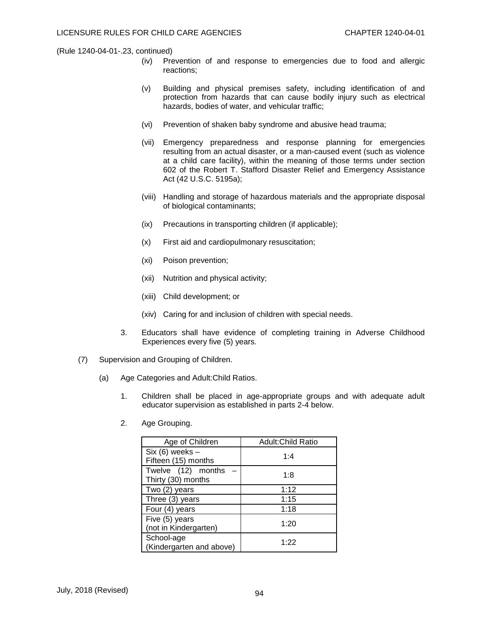- (iv) Prevention of and response to emergencies due to food and allergic reactions;
- (v) Building and physical premises safety, including identification of and protection from hazards that can cause bodily injury such as electrical hazards, bodies of water, and vehicular traffic;
- (vi) Prevention of shaken baby syndrome and abusive head trauma;
- (vii) Emergency preparedness and response planning for emergencies resulting from an actual disaster, or a man-caused event (such as violence at a child care facility), within the meaning of those terms under section 602 of the Robert T. Stafford Disaster Relief and Emergency Assistance Act (42 U.S.C. 5195a);
- (viii) Handling and storage of hazardous materials and the appropriate disposal of biological contaminants;
- (ix) Precautions in transporting children (if applicable);
- (x) First aid and cardiopulmonary resuscitation;
- (xi) Poison prevention;
- (xii) Nutrition and physical activity;
- (xiii) Child development; or
- (xiv) Caring for and inclusion of children with special needs.
- 3. Educators shall have evidence of completing training in Adverse Childhood Experiences every five (5) years.
- (7) Supervision and Grouping of Children.
	- (a) Age Categories and Adult:Child Ratios.
		- 1. Children shall be placed in age-appropriate groups and with adequate adult educator supervision as established in parts 2-4 below.
			- Age of Children **Adult:Child Ratio** Six (6) weeks –  $\begin{array}{c|c}\n\hline\n\text{C} & \text{C} \\
			\hline\n\text{Fifteen (15) months}\n\end{array}$  1:4 Twelve  $(12)$  months  $-$ The Thirty (30) months  $\begin{bmatrix} 1 & 2 & 3 \\ 1 & 3 & 5 \\ 1 & 1 & 1 \end{bmatrix}$  1:8  $Two (2) years$  1:12 Three  $(3)$  years  $\vert$  1:15 Four  $(4)$  years  $\begin{array}{ccc} \hline \end{array}$  1:18 Five (5) years Pive (5) years<br>(not in Kindergarten) 1:20 School-age (Kindergarten and above) 1:22
		- 2. Age Grouping.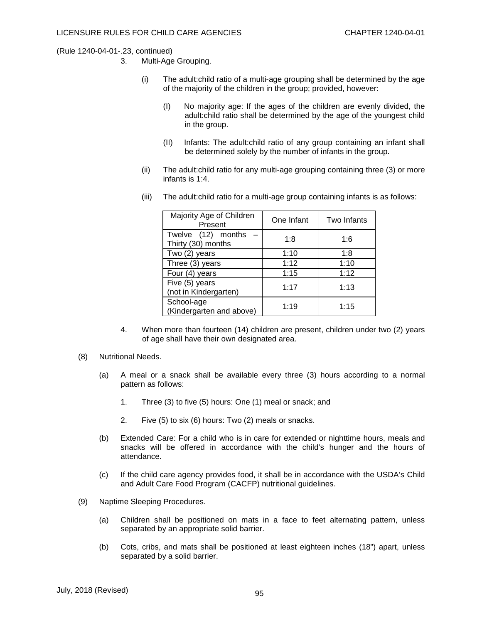- 3. Multi-Age Grouping.
	- (i) The adult:child ratio of a multi-age grouping shall be determined by the age of the majority of the children in the group; provided, however:
		- (I) No majority age: If the ages of the children are evenly divided, the adult:child ratio shall be determined by the age of the youngest child in the group.
		- (II) Infants: The adult:child ratio of any group containing an infant shall be determined solely by the number of infants in the group.
	- (ii) The adult:child ratio for any multi-age grouping containing three (3) or more infants is 1:4.
	- (iii) The adult:child ratio for a multi-age group containing infants is as follows:

| Majority Age of Children<br>Present      | One Infant | Two Infants |
|------------------------------------------|------------|-------------|
| Twelve (12) months<br>Thirty (30) months | 1:8        | 1:6         |
| Two (2) years                            | 1:10       | 1:8         |
| Three (3) years                          | 1:12       | 1:10        |
| Four (4) years                           | 1:15       | 1:12        |
| Five (5) years<br>(not in Kindergarten)  | 1:17       | 1:13        |
| School-age<br>(Kindergarten and above)   | 1:19       | 1:15        |

- 4. When more than fourteen (14) children are present, children under two (2) years of age shall have their own designated area.
- (8) Nutritional Needs.
	- (a) A meal or a snack shall be available every three (3) hours according to a normal pattern as follows:
		- 1. Three (3) to five (5) hours: One (1) meal or snack; and
		- 2. Five (5) to six (6) hours: Two (2) meals or snacks.
	- (b) Extended Care: For a child who is in care for extended or nighttime hours, meals and snacks will be offered in accordance with the child's hunger and the hours of attendance.
	- (c) If the child care agency provides food, it shall be in accordance with the USDA's Child and Adult Care Food Program (CACFP) nutritional guidelines.
- (9) Naptime Sleeping Procedures.
	- (a) Children shall be positioned on mats in a face to feet alternating pattern, unless separated by an appropriate solid barrier.
	- (b) Cots, cribs, and mats shall be positioned at least eighteen inches (18") apart, unless separated by a solid barrier.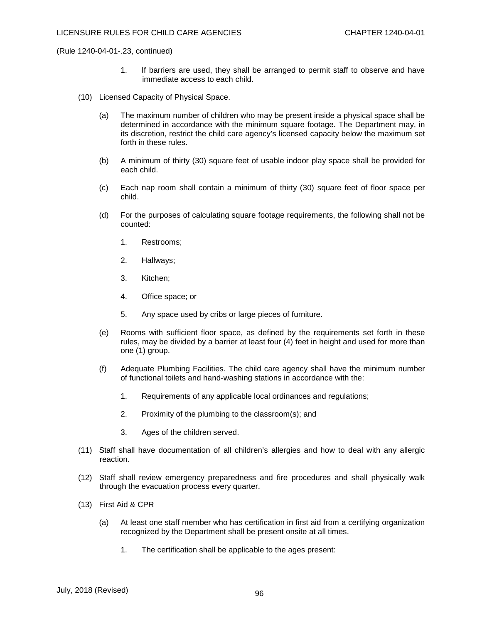- 1. If barriers are used, they shall be arranged to permit staff to observe and have immediate access to each child.
- (10) Licensed Capacity of Physical Space.
	- (a) The maximum number of children who may be present inside a physical space shall be determined in accordance with the minimum square footage. The Department may, in its discretion, restrict the child care agency's licensed capacity below the maximum set forth in these rules.
	- (b) A minimum of thirty (30) square feet of usable indoor play space shall be provided for each child.
	- (c) Each nap room shall contain a minimum of thirty (30) square feet of floor space per child.
	- (d) For the purposes of calculating square footage requirements, the following shall not be counted:
		- 1. Restrooms;
		- 2. Hallways;
		- 3. Kitchen;
		- 4. Office space; or
		- 5. Any space used by cribs or large pieces of furniture.
	- (e) Rooms with sufficient floor space, as defined by the requirements set forth in these rules, may be divided by a barrier at least four (4) feet in height and used for more than one (1) group.
	- (f) Adequate Plumbing Facilities. The child care agency shall have the minimum number of functional toilets and hand-washing stations in accordance with the:
		- 1. Requirements of any applicable local ordinances and regulations;
		- 2. Proximity of the plumbing to the classroom(s); and
		- 3. Ages of the children served.
- (11) Staff shall have documentation of all children's allergies and how to deal with any allergic reaction.
- (12) Staff shall review emergency preparedness and fire procedures and shall physically walk through the evacuation process every quarter.
- (13) First Aid & CPR
	- (a) At least one staff member who has certification in first aid from a certifying organization recognized by the Department shall be present onsite at all times.
		- 1. The certification shall be applicable to the ages present: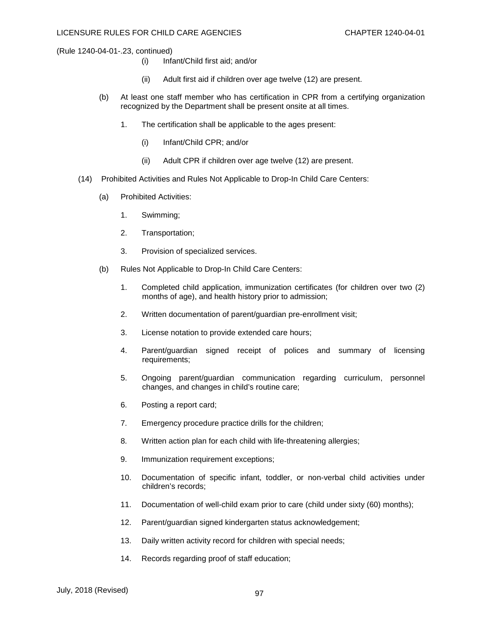- (i) Infant/Child first aid; and/or
- (ii) Adult first aid if children over age twelve (12) are present.
- (b) At least one staff member who has certification in CPR from a certifying organization recognized by the Department shall be present onsite at all times.
	- 1. The certification shall be applicable to the ages present:
		- (i) Infant/Child CPR; and/or
		- (ii) Adult CPR if children over age twelve (12) are present.
- (14) Prohibited Activities and Rules Not Applicable to Drop-In Child Care Centers:
	- (a) Prohibited Activities:
		- 1. Swimming;
		- 2. Transportation;
		- 3. Provision of specialized services.
	- (b) Rules Not Applicable to Drop-In Child Care Centers:
		- 1. Completed child application, immunization certificates (for children over two (2) months of age), and health history prior to admission;
		- 2. Written documentation of parent/guardian pre-enrollment visit;
		- 3. License notation to provide extended care hours;
		- 4. Parent/guardian signed receipt of polices and summary of licensing requirements;
		- 5. Ongoing parent/guardian communication regarding curriculum, personnel changes, and changes in child's routine care;
		- 6. Posting a report card;
		- 7. Emergency procedure practice drills for the children;
		- 8. Written action plan for each child with life-threatening allergies;
		- 9. Immunization requirement exceptions;
		- 10. Documentation of specific infant, toddler, or non-verbal child activities under children's records;
		- 11. Documentation of well-child exam prior to care (child under sixty (60) months);
		- 12. Parent/guardian signed kindergarten status acknowledgement;
		- 13. Daily written activity record for children with special needs;
		- 14. Records regarding proof of staff education;